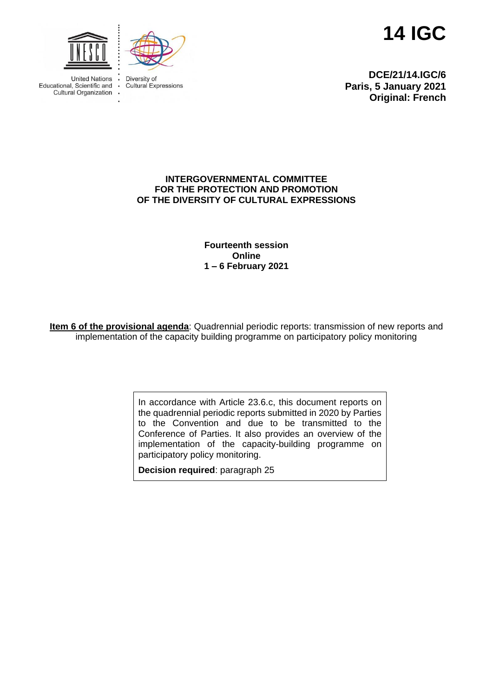



**United Nations** Educational, Scientific and **Cultural Organization**  Diversity of **Cultural Expressions** 

 $\overline{a}$ 

**14 IGC**

**DCE/21/14.IGC/6 Paris, 5 January 2021 Original: French**

#### **INTERGOVERNMENTAL COMMITTEE FOR THE PROTECTION AND PROMOTION OF THE DIVERSITY OF CULTURAL EXPRESSIONS**

**Fourteenth session Online 1 – 6 February 2021**

**Item 6 of the provisional agenda**: Quadrennial periodic reports: transmission of new reports and implementation of the capacity building programme on participatory policy monitoring

> In accordance with Article 23.6.c, this document reports on the quadrennial periodic reports submitted in 2020 by Parties to the Convention and due to be transmitted to the Conference of Parties. It also provides an overview of the implementation of the capacity-building programme on participatory policy monitoring.

**Decision required**: paragraph 25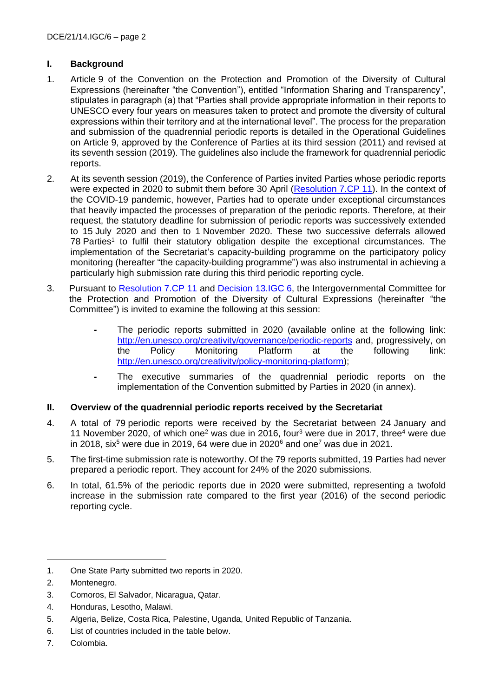## **I. Background**

- 1. Article 9 of the Convention on the Protection and Promotion of the Diversity of Cultural Expressions (hereinafter "the Convention"), entitled "Information Sharing and Transparency", stipulates in paragraph (a) that "Parties shall provide appropriate information in their reports to UNESCO every four years on measures taken to protect and promote the diversity of cultural expressions within their territory and at the international level". The process for the preparation and submission of the quadrennial periodic reports is detailed in the Operational Guidelines on Article 9, approved by the Conference of Parties at its third session (2011) and revised at its seventh session (2019). The guidelines also include the framework for quadrennial periodic reports.
- 2. At its seventh session (2019), the Conference of Parties invited Parties whose periodic reports were expected in 2020 to submit them before 30 April [\(Resolution](https://en.unesco.org/creativity/sites/creativity/files/sessions/7cp_resolutions_en.pdf) 7.CP 11). In the context of the COVID-19 pandemic, however, Parties had to operate under exceptional circumstances that heavily impacted the processes of preparation of the periodic reports. Therefore, at their request, the statutory deadline for submission of periodic reports was successively extended to 15 July 2020 and then to 1 November 2020. These two successive deferrals allowed 78 Parties<sup>1</sup> to fulfil their statutory obligation despite the exceptional circumstances. The implementation of the Secretariat's capacity-building programme on the participatory policy monitoring (hereafter "the capacity-building programme") was also instrumental in achieving a particularly high submission rate during this third periodic reporting cycle.
- 3. Pursuant to [Resolution](https://en.unesco.org/creativity/sites/creativity/files/sessions/7cp_resolutions_en.pdf) 7.CP 11 and [Decision 13.IGC](https://en.unesco.org/creativity/sites/creativity/files/sessions/13igc_decisions_en.pdf) 6, the Intergovernmental Committee for the Protection and Promotion of the Diversity of Cultural Expressions (hereinafter "the Committee") is invited to examine the following at this session:
	- **-** The periodic reports submitted in 2020 (available online at the following link: <http://en.unesco.org/creativity/governance/periodic-reports> and, progressively, on the Policy Monitoring Platform at the following link: [http://en.unesco.org/creativity/policy-monitoring-platform\)](http://en.unesco.org/creativity/policy-monitoring-platform);
	- **-** The executive summaries of the quadrennial periodic reports on the implementation of the Convention submitted by Parties in 2020 (in annex).

## **II. Overview of the quadrennial periodic reports received by the Secretariat**

- 4. A total of 79 periodic reports were received by the Secretariat between 24 January and 11 November 2020, of which one<sup>2</sup> was due in 2016, four<sup>3</sup> were due in 2017, three<sup>4</sup> were due in 2018, six<sup>5</sup> were due in 2019, 64 were due in 2020<sup>6</sup> and one<sup>7</sup> was due in 2021.
- 5. The first-time submission rate is noteworthy. Of the 79 reports submitted, 19 Parties had never prepared a periodic report. They account for 24% of the 2020 submissions.
- 6. In total, 61.5% of the periodic reports due in 2020 were submitted, representing a twofold increase in the submission rate compared to the first year (2016) of the second periodic reporting cycle.

- 3. Comoros, El Salvador, Nicaragua, Qatar.
- 4. Honduras, Lesotho, Malawi.
- 5. Algeria, Belize, Costa Rica, Palestine, Uganda, United Republic of Tanzania.
- 6. List of countries included in the table below.
- 7. Colombia.

<sup>1.</sup> One State Party submitted two reports in 2020.

<sup>2.</sup> Montenegro.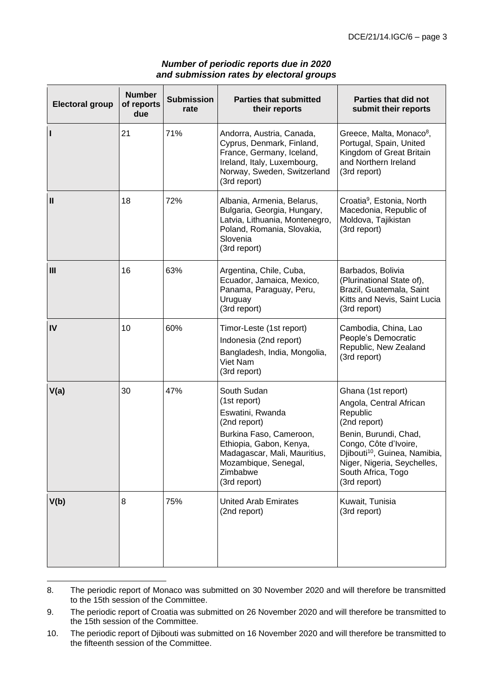| <b>Electoral group</b> | <b>Number</b><br>of reports<br>due | <b>Submission</b><br>rate | <b>Parties that submitted</b><br>their reports                                                                                                                                                            | <b>Parties that did not</b><br>submit their reports                                                                                                                                                                                           |
|------------------------|------------------------------------|---------------------------|-----------------------------------------------------------------------------------------------------------------------------------------------------------------------------------------------------------|-----------------------------------------------------------------------------------------------------------------------------------------------------------------------------------------------------------------------------------------------|
| H                      | 21                                 | 71%                       | Andorra, Austria, Canada,<br>Cyprus, Denmark, Finland,<br>France, Germany, Iceland,<br>Ireland, Italy, Luxembourg,<br>Norway, Sweden, Switzerland<br>(3rd report)                                         | Greece, Malta, Monaco <sup>8</sup> ,<br>Portugal, Spain, United<br>Kingdom of Great Britain<br>and Northern Ireland<br>(3rd report)                                                                                                           |
| Ш                      | 18                                 | 72%                       | Albania, Armenia, Belarus,<br>Bulgaria, Georgia, Hungary,<br>Latvia, Lithuania, Montenegro,<br>Poland, Romania, Slovakia,<br>Slovenia<br>(3rd report)                                                     | Croatia <sup>9</sup> , Estonia, North<br>Macedonia, Republic of<br>Moldova, Tajikistan<br>(3rd report)                                                                                                                                        |
| III                    | 16                                 | 63%                       | Argentina, Chile, Cuba,<br>Ecuador, Jamaica, Mexico,<br>Panama, Paraguay, Peru,<br>Uruguay<br>(3rd report)                                                                                                | Barbados, Bolivia<br>(Plurinational State of),<br>Brazil, Guatemala, Saint<br>Kitts and Nevis, Saint Lucia<br>(3rd report)                                                                                                                    |
| IV                     | 10                                 | 60%                       | Timor-Leste (1st report)<br>Indonesia (2nd report)<br>Bangladesh, India, Mongolia,<br>Viet Nam<br>(3rd report)                                                                                            | Cambodia, China, Lao<br>People's Democratic<br>Republic, New Zealand<br>(3rd report)                                                                                                                                                          |
| V(a)                   | 30                                 | 47%                       | South Sudan<br>(1st report)<br>Eswatini, Rwanda<br>(2nd report)<br>Burkina Faso, Cameroon,<br>Ethiopia, Gabon, Kenya,<br>Madagascar, Mali, Mauritius,<br>Mozambique, Senegal,<br>Zimbabwe<br>(3rd report) | Ghana (1st report)<br>Angola, Central African<br>Republic<br>(2nd report)<br>Benin, Burundi, Chad,<br>Congo, Côte d'Ivoire,<br>Djibouti <sup>10</sup> , Guinea, Namibia,<br>Niger, Nigeria, Seychelles,<br>South Africa, Togo<br>(3rd report) |
| V(b)                   | 8                                  | 75%                       | <b>United Arab Emirates</b><br>(2nd report)                                                                                                                                                               | Kuwait, Tunisia<br>(3rd report)                                                                                                                                                                                                               |

## *Number of periodic reports due in 2020 and submission rates by electoral groups*

8. The periodic report of Monaco was submitted on 30 November 2020 and will therefore be transmitted to the 15th session of the Committee.

<sup>9.</sup> The periodic report of Croatia was submitted on 26 November 2020 and will therefore be transmitted to the 15th session of the Committee.

<sup>10.</sup> The periodic report of Djibouti was submitted on 16 November 2020 and will therefore be transmitted to the fifteenth session of the Committee.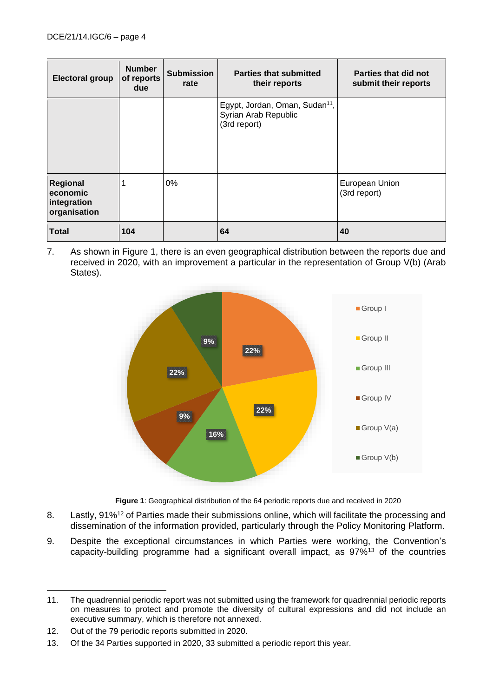| <b>Electoral group</b>                              | <b>Number</b><br>of reports<br>due | <b>Submission</b><br>rate | <b>Parties that submitted</b><br>their reports                                     | Parties that did not<br>submit their reports |
|-----------------------------------------------------|------------------------------------|---------------------------|------------------------------------------------------------------------------------|----------------------------------------------|
|                                                     |                                    |                           | Egypt, Jordan, Oman, Sudan <sup>11</sup> ,<br>Syrian Arab Republic<br>(3rd report) |                                              |
| Regional<br>economic<br>integration<br>organisation | 1                                  | $0\%$                     |                                                                                    | European Union<br>(3rd report)               |
| <b>Total</b>                                        | 104                                |                           | 64                                                                                 | 40                                           |

7. As shown in Figure 1, there is an even geographical distribution between the reports due and received in 2020, with an improvement a particular in the representation of Group V(b) (Arab States).



**Figure 1**: Geographical distribution of the 64 periodic reports due and received in 2020

- 8. Lastly, 91%<sup>12</sup> of Parties made their submissions online, which will facilitate the processing and dissemination of the information provided, particularly through the Policy Monitoring Platform.
- 9. Despite the exceptional circumstances in which Parties were working, the Convention's capacity-building programme had a significant overall impact, as  $97\%$ <sup>13</sup> of the countries

<sup>11.</sup> The quadrennial periodic report was not submitted using the framework for quadrennial periodic reports on measures to protect and promote the diversity of cultural expressions and did not include an executive summary, which is therefore not annexed.

<sup>12.</sup> Out of the 79 periodic reports submitted in 2020.

<sup>13.</sup> Of the 34 Parties supported in 2020, 33 submitted a periodic report this year.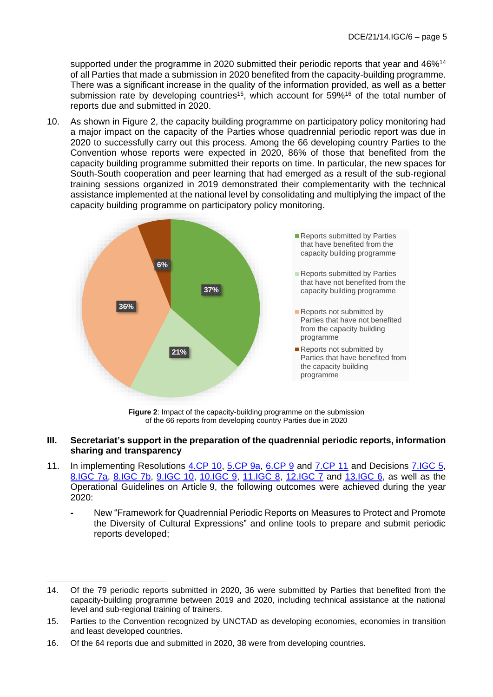supported under the programme in 2020 submitted their periodic reports that year and 46%<sup>14</sup> of all Parties that made a submission in 2020 benefited from the capacity-building programme. There was a significant increase in the quality of the information provided, as well as a better submission rate by developing countries<sup>15</sup>, which account for  $59\%$ <sup>16</sup> of the total number of reports due and submitted in 2020.

10. As shown in Figure 2, the capacity building programme on participatory policy monitoring had a major impact on the capacity of the Parties whose quadrennial periodic report was due in 2020 to successfully carry out this process. Among the 66 developing country Parties to the Convention whose reports were expected in 2020, 86% of those that benefited from the capacity building programme submitted their reports on time. In particular, the new spaces for South-South cooperation and peer learning that had emerged as a result of the sub-regional training sessions organized in 2019 demonstrated their complementarity with the technical assistance implemented at the national level by consolidating and multiplying the impact of the capacity building programme on participatory policy monitoring.



**Figure 2**: Impact of the capacity-building programme on the submission of the 66 reports from developing country Parties due in 2020

- **III. Secretariat's support in the preparation of the quadrennial periodic reports, information sharing and transparency**
- 11. In implementing Resolutions [4.CP 10,](http://www.unesco.org/new/fileadmin/MULTIMEDIA/HQ/CLT/pdf/Conv2005_4CP_Resolutions_ENG.pdf#page=15) [5.CP 9a,](https://fr.unesco.org/creativity/sites/creativity/files/sessions/resolutions_5cp_en_0.pdf#page=4) [6.CP 9](https://en.unesco.org/creativity/sites/creativity/files/sessions/resolutions_6cp_en.pdf#page=4) and [7.CP 11](https://fr.unesco.org/creativity/sites/creativity/files/sessions/7cp_resolutions_en.pdf#page=9) and Decisions [7.IGC 5,](https://fr.unesco.org/creativity/sites/creativity/files/sessions/7igc_decisions_en_final_1.pdf#page=3) [8.IGC 7a,](https://en.unesco.org/creativity/sites/creativity/files/sessions/8igc-decisions-en_final_0.pdf#page=5) [8.IGC 7b,](https://en.unesco.org/creativity/sites/creativity/files/sessions/8igc-decisions-en_final_0.pdf#page=6) [9.IGC 10,](https://en.unesco.org/creativity/sites/creativity/files/sessions/9igc_decisions_en_final.pdf#page=12) [10.IGC 9,](https://fr.unesco.org/creativity/sites/creativity/files/sessions/10igc_decisions_en_0.pdf#page=15) [11.IGC 8,](https://fr.unesco.org/creativity/sites/creativity/files/sessions/11igc_decisions_en.pdf#page=11) [12.IGC 7](https://en.unesco.org/creativity/sites/creativity/files/12igc_decisions_en.pdf#page=19) and [13.IGC 6,](https://fr.unesco.org/creativity/sites/creativity/files/sessions/13igc_decisions_en.pdf#page=6) as well as the Operational Guidelines on Article 9, the following outcomes were achieved during the year 2020:
	- **-** New "Framework for Quadrennial Periodic Reports on Measures to Protect and Promote the Diversity of Cultural Expressions" and online tools to prepare and submit periodic reports developed;

<sup>14.</sup> Of the 79 periodic reports submitted in 2020, 36 were submitted by Parties that benefited from the capacity-building programme between 2019 and 2020, including technical assistance at the national level and sub-regional training of trainers.

<sup>15.</sup> Parties to the Convention recognized by UNCTAD as developing economies, economies in transition and least developed countries.

<sup>16.</sup> Of the 64 reports due and submitted in 2020, 38 were from developing countries.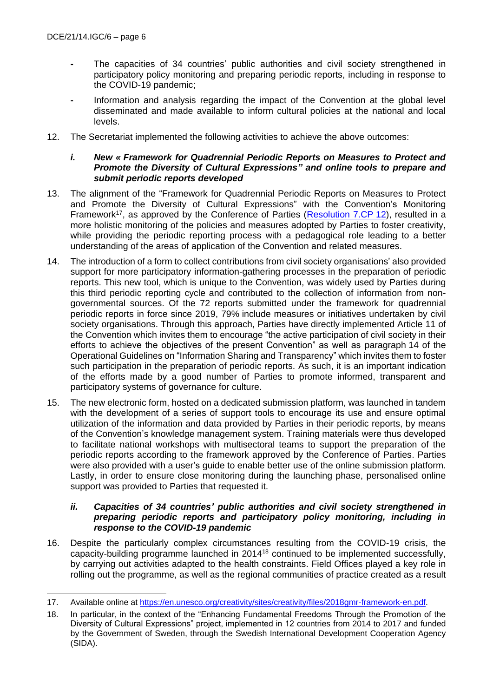- **-** The capacities of 34 countries' public authorities and civil society strengthened in participatory policy monitoring and preparing periodic reports, including in response to the COVID-19 pandemic;
- **-** Information and analysis regarding the impact of the Convention at the global level disseminated and made available to inform cultural policies at the national and local levels.
- 12. The Secretariat implemented the following activities to achieve the above outcomes:

### *i. New « Framework for Quadrennial Periodic Reports on Measures to Protect and Promote the Diversity of Cultural Expressions" and online tools to prepare and submit periodic reports developed*

- 13. The alignment of the "Framework for Quadrennial Periodic Reports on Measures to Protect and Promote the Diversity of Cultural Expressions" with the Convention's Monitoring Framework<sup>17</sup>, as approved by the Conference of Parties [\(Resolution 7.CP](https://en.unesco.org/creativity/sites/creativity/files/sessions/7cp_resolutions_en.pdf) 12), resulted in a more holistic monitoring of the policies and measures adopted by Parties to foster creativity, while providing the periodic reporting process with a pedagogical role leading to a better understanding of the areas of application of the Convention and related measures.
- 14. The introduction of a form to collect contributions from civil society organisations' also provided support for more participatory information-gathering processes in the preparation of periodic reports. This new tool, which is unique to the Convention, was widely used by Parties during this third periodic reporting cycle and contributed to the collection of information from nongovernmental sources. Of the 72 reports submitted under the framework for quadrennial periodic reports in force since 2019, 79% include measures or initiatives undertaken by civil society organisations. Through this approach, Parties have directly implemented Article 11 of the Convention which invites them to encourage "the active participation of civil society in their efforts to achieve the objectives of the present Convention" as well as paragraph 14 of the Operational Guidelines on "Information Sharing and Transparency" which invites them to foster such participation in the preparation of periodic reports. As such, it is an important indication of the efforts made by a good number of Parties to promote informed, transparent and participatory systems of governance for culture.
- 15. The new electronic form, hosted on a dedicated submission platform, was launched in tandem with the development of a series of support tools to encourage its use and ensure optimal utilization of the information and data provided by Parties in their periodic reports, by means of the Convention's knowledge management system. Training materials were thus developed to facilitate national workshops with multisectoral teams to support the preparation of the periodic reports according to the framework approved by the Conference of Parties. Parties were also provided with a user's guide to enable better use of the online submission platform. Lastly, in order to ensure close monitoring during the launching phase, personalised online support was provided to Parties that requested it.

#### *ii. Capacities of 34 countries' public authorities and civil society strengthened in preparing periodic reports and participatory policy monitoring, including in response to the COVID-19 pandemic*

16. Despite the particularly complex circumstances resulting from the COVID-19 crisis, the capacity-building programme launched in 2014<sup>18</sup> continued to be implemented successfully, by carrying out activities adapted to the health constraints. Field Offices played a key role in rolling out the programme, as well as the regional communities of practice created as a result

<sup>17.</sup> Available online at [https://en.unesco.org/creativity/sites/creativity/files/2018gmr-framework-en.pdf.](https://en.unesco.org/creativity/sites/creativity/files/2018gmr-framework-en.pdf)

<sup>18.</sup> In particular, in the context of the "Enhancing Fundamental Freedoms Through the Promotion of the Diversity of Cultural Expressions" project, implemented in 12 countries from 2014 to 2017 and funded by the Government of Sweden, through the Swedish International Development Cooperation Agency (SIDA).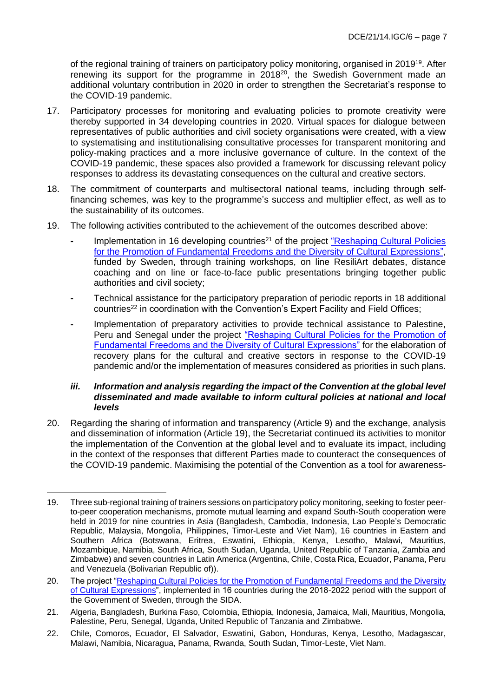of the regional training of trainers on participatory policy monitoring, organised in 2019<sup>19</sup>. After renewing its support for the programme in 2018<sup>20</sup>, the Swedish Government made an additional voluntary contribution in 2020 in order to strengthen the Secretariat's response to the COVID-19 pandemic.

- 17. Participatory processes for monitoring and evaluating policies to promote creativity were thereby supported in 34 developing countries in 2020. Virtual spaces for dialogue between representatives of public authorities and civil society organisations were created, with a view to systematising and institutionalising consultative processes for transparent monitoring and policy-making practices and a more inclusive governance of culture. In the context of the COVID-19 pandemic, these spaces also provided a framework for discussing relevant policy responses to address its devastating consequences on the cultural and creative sectors.
- 18. The commitment of counterparts and multisectoral national teams, including through selffinancing schemes, was key to the programme's success and multiplier effect, as well as to the sustainability of its outcomes.
- 19. The following activities contributed to the achievement of the outcomes described above:
	- Implementation in 16 developing countries<sup>21</sup> of the project "Reshaping Cultural Policies" [for the Promotion of Fundamental Freedoms and the Diversity of Cultural Expressions",](https://en.unesco.org/creativity/activities/reshaping-cultural-policies-promotion-fundamental) funded by Sweden, through training workshops, on line ResiliArt debates, distance coaching and on line or face-to-face public presentations bringing together public authorities and civil society;
	- **-** Technical assistance for the participatory preparation of periodic reports in 18 additional countries<sup>22</sup> in coordination with the Convention's Expert Facility and Field Offices;
	- **-** Implementation of preparatory activities to provide technical assistance to Palestine, Peru and Senegal under the project "Reshaping Cultural Policies for the Promotion of [Fundamental Freedoms and the Diversity of Cultural Expressions"](https://en.unesco.org/creativity/activities/reshaping-cultural-policies-promotion-fundamental) for the elaboration of recovery plans for the cultural and creative sectors in response to the COVID-19 pandemic and/or the implementation of measures considered as priorities in such plans.

#### *iii. Information and analysis regarding the impact of the Convention at the global level disseminated and made available to inform cultural policies at national and local levels*

20. Regarding the sharing of information and transparency (Article 9) and the exchange, analysis and dissemination of information (Article 19), the Secretariat continued its activities to monitor the implementation of the Convention at the global level and to evaluate its impact, including in the context of the responses that different Parties made to counteract the consequences of the COVID-19 pandemic. Maximising the potential of the Convention as a tool for awareness-

<sup>19.</sup> Three sub-regional training of trainers sessions on participatory policy monitoring, seeking to foster peerto-peer cooperation mechanisms, promote mutual learning and expand South-South cooperation were held in 2019 for nine countries in Asia (Bangladesh, Cambodia, Indonesia, Lao People's Democratic Republic, Malaysia, Mongolia, Philippines, Timor-Leste and Viet Nam), 16 countries in Eastern and Southern Africa (Botswana, Eritrea, Eswatini, Ethiopia, Kenya, Lesotho, Malawi, Mauritius, Mozambique, Namibia, South Africa, South Sudan, Uganda, United Republic of Tanzania, Zambia and Zimbabwe) and seven countries in Latin America (Argentina, Chile, Costa Rica, Ecuador, Panama, Peru and Venezuela (Bolivarian Republic of)).

<sup>20.</sup> The project ["Reshaping Cultural Policies for the Promotion of Fundamental Freedoms and the Diversity](https://en.unesco.org/creativity/activities/reshaping-cultural-policies-promotion-fundamental)  [of Cultural Expressions"](https://en.unesco.org/creativity/activities/reshaping-cultural-policies-promotion-fundamental), implemented in 16 countries during the 2018-2022 period with the support of the Government of Sweden, through the SIDA.

<sup>21.</sup> Algeria, Bangladesh, Burkina Faso, Colombia, Ethiopia, Indonesia, Jamaica, Mali, Mauritius, Mongolia, Palestine, Peru, Senegal, Uganda, United Republic of Tanzania and Zimbabwe.

<sup>22.</sup> Chile, Comoros, Ecuador, El Salvador, Eswatini, Gabon, Honduras, Kenya, Lesotho, Madagascar, Malawi, Namibia, Nicaragua, Panama, Rwanda, South Sudan, Timor-Leste, Viet Nam.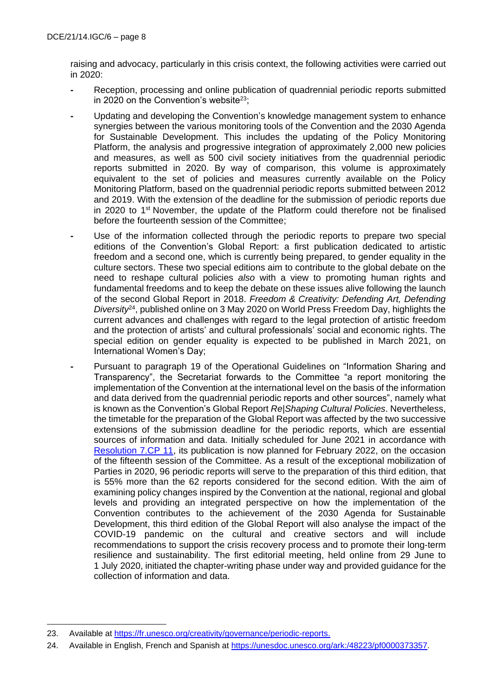raising and advocacy, particularly in this crisis context, the following activities were carried out in 2020:

- **-** Reception, processing and online publication of quadrennial periodic reports submitted in 2020 on the Convention's website<sup>23</sup>;
- **-** Updating and developing the Convention's knowledge management system to enhance synergies between the various monitoring tools of the Convention and the 2030 Agenda for Sustainable Development. This includes the updating of the Policy Monitoring Platform, the analysis and progressive integration of approximately 2,000 new policies and measures, as well as 500 civil society initiatives from the quadrennial periodic reports submitted in 2020. By way of comparison, this volume is approximately equivalent to the set of policies and measures currently available on the Policy Monitoring Platform, based on the quadrennial periodic reports submitted between 2012 and 2019. With the extension of the deadline for the submission of periodic reports due in 2020 to 1<sup>st</sup> November, the update of the Platform could therefore not be finalised before the fourteenth session of the Committee;
- **-** Use of the information collected through the periodic reports to prepare two special editions of the Convention's Global Report: a first publication dedicated to artistic freedom and a second one, which is currently being prepared, to gender equality in the culture sectors. These two special editions aim to contribute to the global debate on the need to reshape cultural policies *also* with a view to promoting human rights and fundamental freedoms and to keep the debate on these issues alive following the launch of the second Global Report in 2018. *Freedom & Creativity: Defending Art, Defending Diversity*<sup>24</sup>, published online on 3 May 2020 on World Press Freedom Day, highlights the current advances and challenges with regard to the legal protection of artistic freedom and the protection of artists' and cultural professionals' social and economic rights. The special edition on gender equality is expected to be published in March 2021, on International Women's Day;
- **-** Pursuant to paragraph 19 of the Operational Guidelines on "Information Sharing and Transparency", the Secretariat forwards to the Committee "a report monitoring the implementation of the Convention at the international level on the basis of the information and data derived from the quadrennial periodic reports and other sources", namely what is known as the Convention's Global Report *Re|Shaping Cultural Policies*. Nevertheless, the timetable for the preparation of the Global Report was affected by the two successive extensions of the submission deadline for the periodic reports, which are essential sources of information and data. Initially scheduled for June 2021 in accordance with [Resolution 7.CP 11,](https://en.unesco.org/creativity/sites/creativity/files/sessions/7cp_resolutions_en.pdf) its publication is now planned for February 2022, on the occasion of the fifteenth session of the Committee. As a result of the exceptional mobilization of Parties in 2020, 96 periodic reports will serve to the preparation of this third edition, that is 55% more than the 62 reports considered for the second edition. With the aim of examining policy changes inspired by the Convention at the national, regional and global levels and providing an integrated perspective on how the implementation of the Convention contributes to the achievement of the 2030 Agenda for Sustainable Development, this third edition of the Global Report will also analyse the impact of the COVID-19 pandemic on the cultural and creative sectors and will include recommendations to support the crisis recovery process and to promote their long-term resilience and sustainability. The first editorial meeting, held online from 29 June to 1 July 2020, initiated the chapter-writing phase under way and provided guidance for the collection of information and data.

<sup>23.</sup> Available at [https://fr.unesco.org/creativity/governance/periodic-reports.](https://fr.unesco.org/creativity/governance/periodic-reports)

<sup>24.</sup> Available in English, French and Spanish at [https://unesdoc.unesco.org/ark:/48223/pf0000373357.](https://unesdoc.unesco.org/ark:/48223/pf0000373357)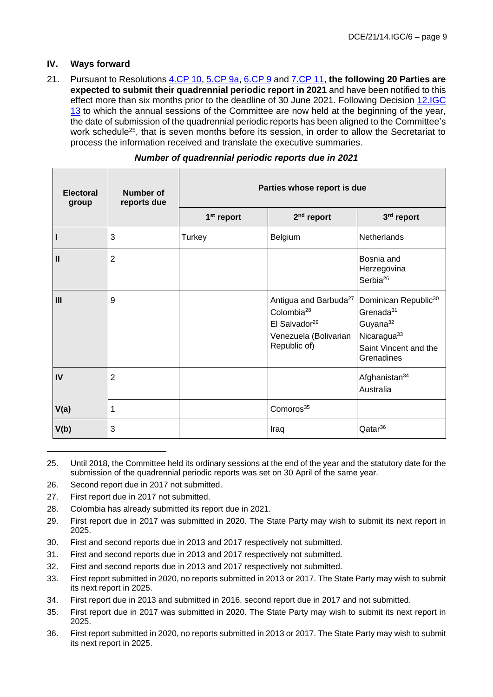### **IV. Ways forward**

21. Pursuant to Resolutions [4.CP 10,](http://www.unesco.org/new/fileadmin/MULTIMEDIA/HQ/CLT/pdf/Conv2005_4CP_Resolutions_ENG.pdf#page=15) [5.CP 9a,](https://fr.unesco.org/creativity/sites/creativity/files/sessions/resolutions_5cp_en_0.pdf#page=4) [6.CP 9](https://en.unesco.org/creativity/sites/creativity/files/sessions/resolutions_6cp_en.pdf#page=4) and [7.CP 11,](https://en.unesco.org/creativity/sites/creativity/files/sessions/7cp_resolutions_en.pdf#page=9) **the following 20 Parties are expected to submit their quadrennial periodic report in 2021** and have been notified to this effect more than six months prior to the deadline of 30 June 2021. Following Decision 12.IGC [13](https://fr.unesco.org/creativity/sites/creativity/files/12igc_decisions_en.pdf#page=34) to which the annual sessions of the Committee are now held at the beginning of the year, the date of submission of the quadrennial periodic reports has been aligned to the Committee's work schedule<sup>25</sup>, that is seven months before its session, in order to allow the Secretariat to process the information received and translate the executive summaries.

| <b>Electoral</b><br>group | Number of<br>reports due | Parties whose report is due |                                                                                                                                   |                                                                                                                                                     |  |
|---------------------------|--------------------------|-----------------------------|-----------------------------------------------------------------------------------------------------------------------------------|-----------------------------------------------------------------------------------------------------------------------------------------------------|--|
|                           |                          | 1 <sup>st</sup> report      | $2nd$ report                                                                                                                      | 3rd report                                                                                                                                          |  |
|                           | 3                        | Turkey                      | Belgium                                                                                                                           | Netherlands                                                                                                                                         |  |
| $\mathbf{I}$              | $\overline{2}$           |                             |                                                                                                                                   | Bosnia and<br>Herzegovina<br>Serbia <sup>26</sup>                                                                                                   |  |
| III                       | 9                        |                             | Antigua and Barbuda <sup>27</sup><br>Colombia <sup>28</sup><br>El Salvador <sup>29</sup><br>Venezuela (Bolivarian<br>Republic of) | Dominican Republic <sup>30</sup><br>Grenada <sup>31</sup><br>Guyana <sup>32</sup><br>Nicaragua <sup>33</sup><br>Saint Vincent and the<br>Grenadines |  |
| IV                        | $\overline{2}$           |                             |                                                                                                                                   | Afghanistan <sup>34</sup><br>Australia                                                                                                              |  |
| V(a)                      | 1                        |                             | Comoros <sup>35</sup>                                                                                                             |                                                                                                                                                     |  |
| V(b)                      | 3                        |                             | Iraq                                                                                                                              | Qatar <sup>36</sup>                                                                                                                                 |  |

- 27. First report due in 2017 not submitted.
- 28. Colombia has already submitted its report due in 2021.

- 30. First and second reports due in 2013 and 2017 respectively not submitted.
- 31. First and second reports due in 2013 and 2017 respectively not submitted.
- 32. First and second reports due in 2013 and 2017 respectively not submitted.
- 33. First report submitted in 2020, no reports submitted in 2013 or 2017. The State Party may wish to submit its next report in 2025.
- 34. First report due in 2013 and submitted in 2016, second report due in 2017 and not submitted.
- 35. First report due in 2017 was submitted in 2020. The State Party may wish to submit its next report in 2025.
- 36. First report submitted in 2020, no reports submitted in 2013 or 2017. The State Party may wish to submit its next report in 2025.

<sup>25.</sup> Until 2018, the Committee held its ordinary sessions at the end of the year and the statutory date for the submission of the quadrennial periodic reports was set on 30 April of the same year.

<sup>26.</sup> Second report due in 2017 not submitted.

<sup>29.</sup> First report due in 2017 was submitted in 2020. The State Party may wish to submit its next report in 2025.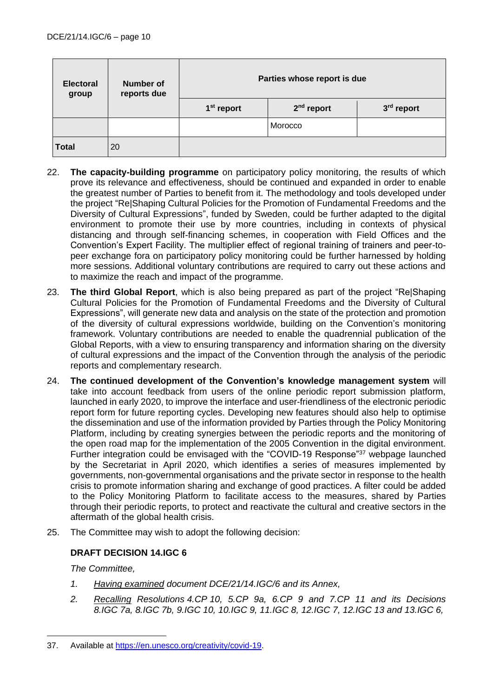| <b>Electoral</b><br>group | Number of<br>reports due | Parties whose report is due |              |            |  |
|---------------------------|--------------------------|-----------------------------|--------------|------------|--|
|                           |                          | 1 <sup>st</sup> report      | $2nd$ report | 3rd report |  |
|                           |                          |                             | Morocco      |            |  |
| <b>Total</b>              | 20                       |                             |              |            |  |

- 22. **The capacity-building programme** on participatory policy monitoring, the results of which prove its relevance and effectiveness, should be continued and expanded in order to enable the greatest number of Parties to benefit from it. The methodology and tools developed under the project "Re|Shaping Cultural Policies for the Promotion of Fundamental Freedoms and the Diversity of Cultural Expressions", funded by Sweden, could be further adapted to the digital environment to promote their use by more countries, including in contexts of physical distancing and through self-financing schemes, in cooperation with Field Offices and the Convention's Expert Facility. The multiplier effect of regional training of trainers and peer-topeer exchange fora on participatory policy monitoring could be further harnessed by holding more sessions. Additional voluntary contributions are required to carry out these actions and to maximize the reach and impact of the programme.
- 23. **The third Global Report**, which is also being prepared as part of the project "Re|Shaping Cultural Policies for the Promotion of Fundamental Freedoms and the Diversity of Cultural Expressions", will generate new data and analysis on the state of the protection and promotion of the diversity of cultural expressions worldwide, building on the Convention's monitoring framework. Voluntary contributions are needed to enable the quadrennial publication of the Global Reports, with a view to ensuring transparency and information sharing on the diversity of cultural expressions and the impact of the Convention through the analysis of the periodic reports and complementary research.
- 24. **The continued development of the Convention's knowledge management system** will take into account feedback from users of the online periodic report submission platform, launched in early 2020, to improve the interface and user-friendliness of the electronic periodic report form for future reporting cycles. Developing new features should also help to optimise the dissemination and use of the information provided by Parties through the Policy Monitoring Platform, including by creating synergies between the periodic reports and the monitoring of the open road map for the implementation of the 2005 Convention in the digital environment. Further integration could be envisaged with the "COVID-19 Response"<sup>37</sup> webpage launched by the Secretariat in April 2020, which identifies a series of measures implemented by governments, non-governmental organisations and the private sector in response to the health crisis to promote information sharing and exchange of good practices. A filter could be added to the Policy Monitoring Platform to facilitate access to the measures, shared by Parties through their periodic reports, to protect and reactivate the cultural and creative sectors in the aftermath of the global health crisis.
- 25. The Committee may wish to adopt the following decision:

# **DRAFT DECISION 14.IGC 6**

*The Committee,*

- *1. Having examined document DCE/21/14.IGC/6 and its Annex,*
- *2. Recalling Resolutions 4.CP 10, 5.CP 9a, 6.CP 9 and 7.CP 11 and its Decisions 8.IGC 7a, 8.IGC 7b, 9.IGC 10, 10.IGC 9, 11.IGC 8, 12.IGC 7, 12.IGC 13 and 13.IGC 6,*

<sup>37.</sup> Available at [https://en.unesco.org/creativity/covid-19.](https://en.unesco.org/creativity/covid-19)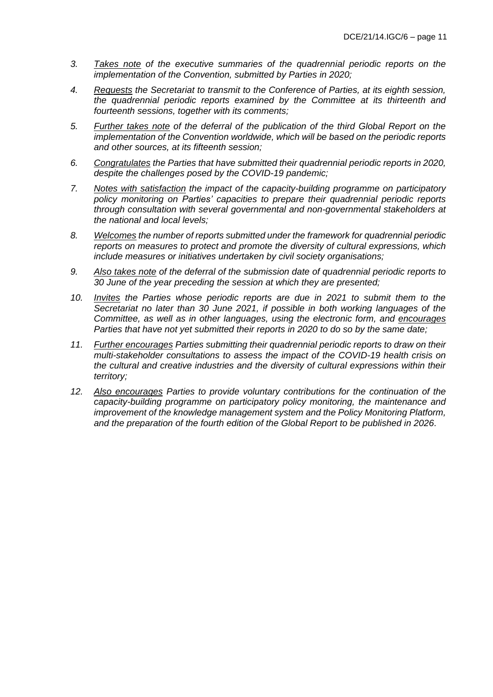- *3. Takes note of the executive summaries of the quadrennial periodic reports on the implementation of the Convention, submitted by Parties in 2020;*
- *4. Requests the Secretariat to transmit to the Conference of Parties, at its eighth session, the quadrennial periodic reports examined by the Committee at its thirteenth and fourteenth sessions, together with its comments;*
- *5. Further takes note of the deferral of the publication of the third Global Report on the implementation of the Convention worldwide, which will be based on the periodic reports and other sources, at its fifteenth session;*
- *6. Congratulates the Parties that have submitted their quadrennial periodic reports in 2020, despite the challenges posed by the COVID-19 pandemic;*
- *7. Notes with satisfaction the impact of the capacity-building programme on participatory policy monitoring on Parties' capacities to prepare their quadrennial periodic reports through consultation with several governmental and non-governmental stakeholders at the national and local levels;*
- *8. Welcomes the number of reports submitted under the framework for quadrennial periodic reports on measures to protect and promote the diversity of cultural expressions, which include measures or initiatives undertaken by civil society organisations;*
- *9. Also takes note of the deferral of the submission date of quadrennial periodic reports to 30 June of the year preceding the session at which they are presented;*
- *10. Invites the Parties whose periodic reports are due in 2021 to submit them to the Secretariat no later than 30 June 2021, if possible in both working languages of the Committee, as well as in other languages, using the electronic form, and encourages Parties that have not yet submitted their reports in 2020 to do so by the same date;*
- *11. Further encourages Parties submitting their quadrennial periodic reports to draw on their multi-stakeholder consultations to assess the impact of the COVID-19 health crisis on the cultural and creative industries and the diversity of cultural expressions within their territory;*
- *12. Also encourages Parties to provide voluntary contributions for the continuation of the capacity-building programme on participatory policy monitoring, the maintenance and improvement of the knowledge management system and the Policy Monitoring Platform, and the preparation of the fourth edition of the Global Report to be published in 2026.*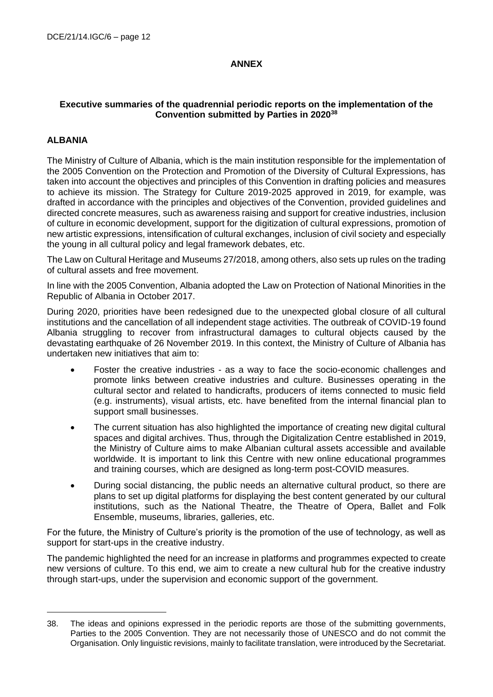## **ANNEX**

## **Executive summaries of the quadrennial periodic reports on the implementation of the Convention submitted by Parties in 2020<sup>38</sup>**

## **ALBANIA**

The Ministry of Culture of Albania, which is the main institution responsible for the implementation of the 2005 Convention on the Protection and Promotion of the Diversity of Cultural Expressions, has taken into account the objectives and principles of this Convention in drafting policies and measures to achieve its mission. The Strategy for Culture 2019-2025 approved in 2019, for example, was drafted in accordance with the principles and objectives of the Convention, provided guidelines and directed concrete measures, such as awareness raising and support for creative industries, inclusion of culture in economic development, support for the digitization of cultural expressions, promotion of new artistic expressions, intensification of cultural exchanges, inclusion of civil society and especially the young in all cultural policy and legal framework debates, etc.

The Law on Cultural Heritage and Museums 27/2018, among others, also sets up rules on the trading of cultural assets and free movement.

In line with the 2005 Convention, Albania adopted the Law on Protection of National Minorities in the Republic of Albania in October 2017.

During 2020, priorities have been redesigned due to the unexpected global closure of all cultural institutions and the cancellation of all independent stage activities. The outbreak of COVID-19 found Albania struggling to recover from infrastructural damages to cultural objects caused by the devastating earthquake of 26 November 2019. In this context, the Ministry of Culture of Albania has undertaken new initiatives that aim to:

- Foster the creative industries as a way to face the socio-economic challenges and promote links between creative industries and culture. Businesses operating in the cultural sector and related to handicrafts, producers of items connected to music field (e.g. instruments), visual artists, etc. have benefited from the internal financial plan to support small businesses.
- The current situation has also highlighted the importance of creating new digital cultural spaces and digital archives. Thus, through the Digitalization Centre established in 2019, the Ministry of Culture aims to make Albanian cultural assets accessible and available worldwide. It is important to link this Centre with new online educational programmes and training courses, which are designed as long-term post-COVID measures.
- During social distancing, the public needs an alternative cultural product, so there are plans to set up digital platforms for displaying the best content generated by our cultural institutions, such as the National Theatre, the Theatre of Opera, Ballet and Folk Ensemble, museums, libraries, galleries, etc.

For the future, the Ministry of Culture's priority is the promotion of the use of technology, as well as support for start-ups in the creative industry.

The pandemic highlighted the need for an increase in platforms and programmes expected to create new versions of culture. To this end, we aim to create a new cultural hub for the creative industry through start-ups, under the supervision and economic support of the government.

<sup>38.</sup> The ideas and opinions expressed in the periodic reports are those of the submitting governments, Parties to the 2005 Convention. They are not necessarily those of UNESCO and do not commit the Organisation. Only linguistic revisions, mainly to facilitate translation, were introduced by the Secretariat.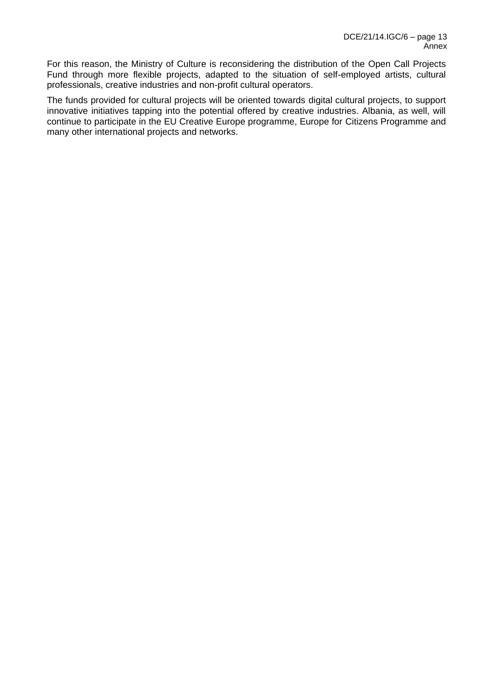For this reason, the Ministry of Culture is reconsidering the distribution of the Open Call Projects Fund through more flexible projects, adapted to the situation of self-employed artists, cultural professionals, creative industries and non-profit cultural operators.

The funds provided for cultural projects will be oriented towards digital cultural projects, to support innovative initiatives tapping into the potential offered by creative industries. Albania, as well, will continue to participate in the EU Creative Europe programme, Europe for Citizens Programme and many other international projects and networks.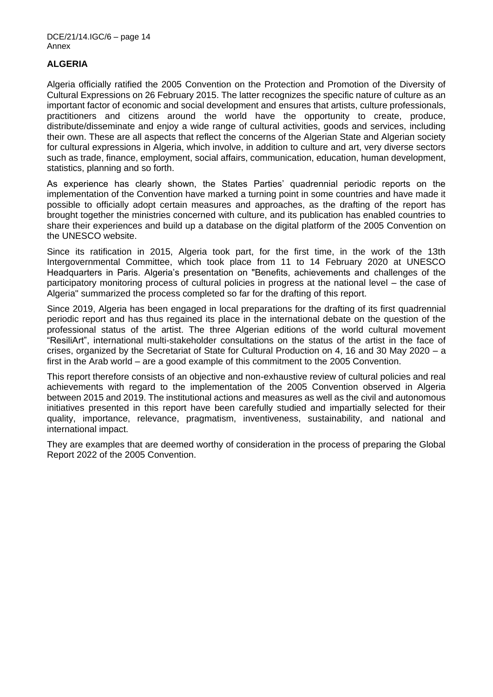## **ALGERIA**

Algeria officially ratified the 2005 Convention on the Protection and Promotion of the Diversity of Cultural Expressions on 26 February 2015. The latter recognizes the specific nature of culture as an important factor of economic and social development and ensures that artists, culture professionals, practitioners and citizens around the world have the opportunity to create, produce, distribute/disseminate and enjoy a wide range of cultural activities, goods and services, including their own. These are all aspects that reflect the concerns of the Algerian State and Algerian society for cultural expressions in Algeria, which involve, in addition to culture and art, very diverse sectors such as trade, finance, employment, social affairs, communication, education, human development, statistics, planning and so forth.

As experience has clearly shown, the States Parties' quadrennial periodic reports on the implementation of the Convention have marked a turning point in some countries and have made it possible to officially adopt certain measures and approaches, as the drafting of the report has brought together the ministries concerned with culture, and its publication has enabled countries to share their experiences and build up a database on the digital platform of the 2005 Convention on the UNESCO website.

Since its ratification in 2015, Algeria took part, for the first time, in the work of the 13th Intergovernmental Committee, which took place from 11 to 14 February 2020 at UNESCO Headquarters in Paris. Algeria's presentation on "Benefits, achievements and challenges of the participatory monitoring process of cultural policies in progress at the national level – the case of Algeria" summarized the process completed so far for the drafting of this report.

Since 2019, Algeria has been engaged in local preparations for the drafting of its first quadrennial periodic report and has thus regained its place in the international debate on the question of the professional status of the artist. The three Algerian editions of the world cultural movement "ResiliArt", international multi-stakeholder consultations on the status of the artist in the face of crises, organized by the Secretariat of State for Cultural Production on 4, 16 and 30 May 2020 – a first in the Arab world – are a good example of this commitment to the 2005 Convention.

This report therefore consists of an objective and non-exhaustive review of cultural policies and real achievements with regard to the implementation of the 2005 Convention observed in Algeria between 2015 and 2019. The institutional actions and measures as well as the civil and autonomous initiatives presented in this report have been carefully studied and impartially selected for their quality, importance, relevance, pragmatism, inventiveness, sustainability, and national and international impact.

They are examples that are deemed worthy of consideration in the process of preparing the Global Report 2022 of the 2005 Convention.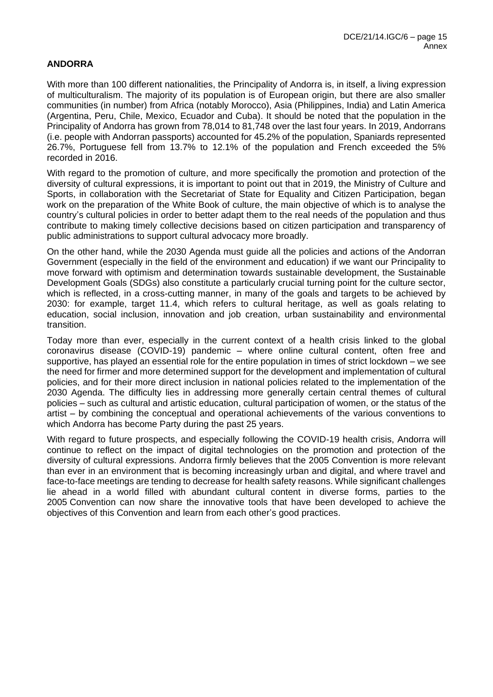## **ANDORRA**

With more than 100 different nationalities, the Principality of Andorra is, in itself, a living expression of multiculturalism. The majority of its population is of European origin, but there are also smaller communities (in number) from Africa (notably Morocco), Asia (Philippines, India) and Latin America (Argentina, Peru, Chile, Mexico, Ecuador and Cuba). It should be noted that the population in the Principality of Andorra has grown from 78,014 to 81,748 over the last four years. In 2019, Andorrans (i.e. people with Andorran passports) accounted for 45.2% of the population, Spaniards represented 26.7%, Portuguese fell from 13.7% to 12.1% of the population and French exceeded the 5% recorded in 2016.

With regard to the promotion of culture, and more specifically the promotion and protection of the diversity of cultural expressions, it is important to point out that in 2019, the Ministry of Culture and Sports, in collaboration with the Secretariat of State for Equality and Citizen Participation, began work on the preparation of the White Book of culture, the main objective of which is to analyse the country's cultural policies in order to better adapt them to the real needs of the population and thus contribute to making timely collective decisions based on citizen participation and transparency of public administrations to support cultural advocacy more broadly.

On the other hand, while the 2030 Agenda must guide all the policies and actions of the Andorran Government (especially in the field of the environment and education) if we want our Principality to move forward with optimism and determination towards sustainable development, the Sustainable Development Goals (SDGs) also constitute a particularly crucial turning point for the culture sector, which is reflected, in a cross-cutting manner, in many of the goals and targets to be achieved by 2030: for example, target 11.4, which refers to cultural heritage, as well as goals relating to education, social inclusion, innovation and job creation, urban sustainability and environmental transition.

Today more than ever, especially in the current context of a health crisis linked to the global coronavirus disease (COVID-19) pandemic – where online cultural content, often free and supportive, has played an essential role for the entire population in times of strict lockdown – we see the need for firmer and more determined support for the development and implementation of cultural policies, and for their more direct inclusion in national policies related to the implementation of the 2030 Agenda. The difficulty lies in addressing more generally certain central themes of cultural policies – such as cultural and artistic education, cultural participation of women, or the status of the artist – by combining the conceptual and operational achievements of the various conventions to which Andorra has become Party during the past 25 years.

With regard to future prospects, and especially following the COVID-19 health crisis, Andorra will continue to reflect on the impact of digital technologies on the promotion and protection of the diversity of cultural expressions. Andorra firmly believes that the 2005 Convention is more relevant than ever in an environment that is becoming increasingly urban and digital, and where travel and face-to-face meetings are tending to decrease for health safety reasons. While significant challenges lie ahead in a world filled with abundant cultural content in diverse forms, parties to the 2005 Convention can now share the innovative tools that have been developed to achieve the objectives of this Convention and learn from each other's good practices.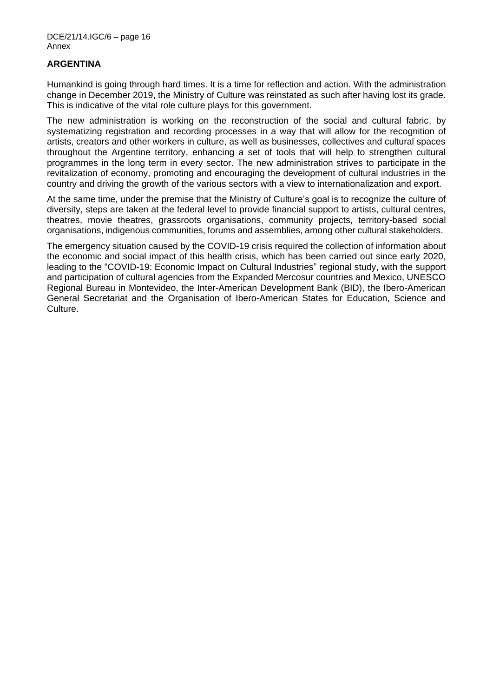#### **ARGENTINA**

Humankind is going through hard times. It is a time for reflection and action. With the administration change in December 2019, the Ministry of Culture was reinstated as such after having lost its grade. This is indicative of the vital role culture plays for this government.

The new administration is working on the reconstruction of the social and cultural fabric, by systematizing registration and recording processes in a way that will allow for the recognition of artists, creators and other workers in culture, as well as businesses, collectives and cultural spaces throughout the Argentine territory, enhancing a set of tools that will help to strengthen cultural programmes in the long term in every sector. The new administration strives to participate in the revitalization of economy, promoting and encouraging the development of cultural industries in the country and driving the growth of the various sectors with a view to internationalization and export.

At the same time, under the premise that the Ministry of Culture's goal is to recognize the culture of diversity, steps are taken at the federal level to provide financial support to artists, cultural centres, theatres, movie theatres, grassroots organisations, community projects, territory-based social organisations, indigenous communities, forums and assemblies, among other cultural stakeholders.

The emergency situation caused by the COVID-19 crisis required the collection of information about the economic and social impact of this health crisis, which has been carried out since early 2020, leading to the "COVID-19: Economic Impact on Cultural Industries" regional study, with the support and participation of cultural agencies from the Expanded Mercosur countries and Mexico, UNESCO Regional Bureau in Montevideo, the Inter-American Development Bank (BID), the Ibero-American General Secretariat and the Organisation of Ibero-American States for Education, Science and Culture.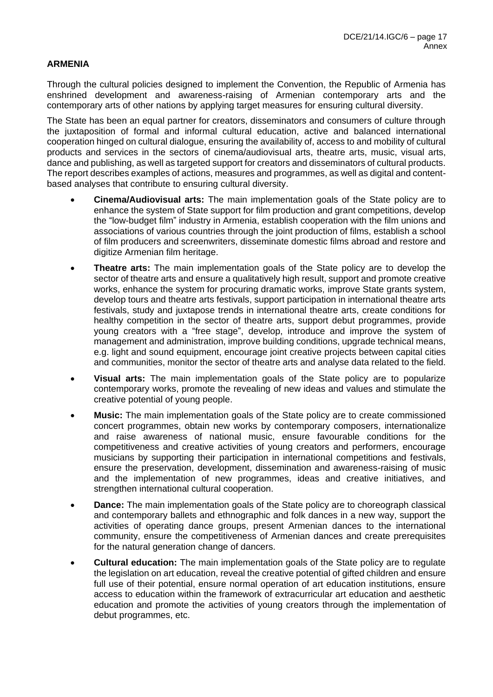## **ARMENIA**

Through the cultural policies designed to implement the Convention, the Republic of Armenia has enshrined development and awareness-raising of Armenian contemporary arts and the contemporary arts of other nations by applying target measures for ensuring cultural diversity.

The State has been an equal partner for creators, disseminators and consumers of culture through the juxtaposition of formal and informal cultural education, active and balanced international cooperation hinged on cultural dialogue, ensuring the availability of, access to and mobility of cultural products and services in the sectors of cinema/audiovisual arts, theatre arts, music, visual arts, dance and publishing, as well as targeted support for creators and disseminators of cultural products. The report describes examples of actions, measures and programmes, as well as digital and contentbased analyses that contribute to ensuring cultural diversity.

- **Cinema/Audiovisual arts:** The main implementation goals of the State policy are to enhance the system of State support for film production and grant competitions, develop the "low-budget film" industry in Armenia, establish cooperation with the film unions and associations of various countries through the joint production of films, establish a school of film producers and screenwriters, disseminate domestic films abroad and restore and digitize Armenian film heritage.
- **Theatre arts:** The main implementation goals of the State policy are to develop the sector of theatre arts and ensure a qualitatively high result, support and promote creative works, enhance the system for procuring dramatic works, improve State grants system, develop tours and theatre arts festivals, support participation in international theatre arts festivals, study and juxtapose trends in international theatre arts, create conditions for healthy competition in the sector of theatre arts, support debut programmes, provide young creators with a "free stage", develop, introduce and improve the system of management and administration, improve building conditions, upgrade technical means, e.g. light and sound equipment, encourage joint creative projects between capital cities and communities, monitor the sector of theatre arts and analyse data related to the field.
- **Visual arts:** The main implementation goals of the State policy are to popularize contemporary works, promote the revealing of new ideas and values and stimulate the creative potential of young people.
- **Music:** The main implementation goals of the State policy are to create commissioned concert programmes, obtain new works by contemporary composers, internationalize and raise awareness of national music, ensure favourable conditions for the competitiveness and creative activities of young creators and performers, encourage musicians by supporting their participation in international competitions and festivals, ensure the preservation, development, dissemination and awareness-raising of music and the implementation of new programmes, ideas and creative initiatives, and strengthen international cultural cooperation.
- **Dance:** The main implementation goals of the State policy are to choreograph classical and contemporary ballets and ethnographic and folk dances in a new way, support the activities of operating dance groups, present Armenian dances to the international community, ensure the competitiveness of Armenian dances and create prerequisites for the natural generation change of dancers.
- **Cultural education:** The main implementation goals of the State policy are to regulate the legislation on art education, reveal the creative potential of gifted children and ensure full use of their potential, ensure normal operation of art education institutions, ensure access to education within the framework of extracurricular art education and aesthetic education and promote the activities of young creators through the implementation of debut programmes, etc.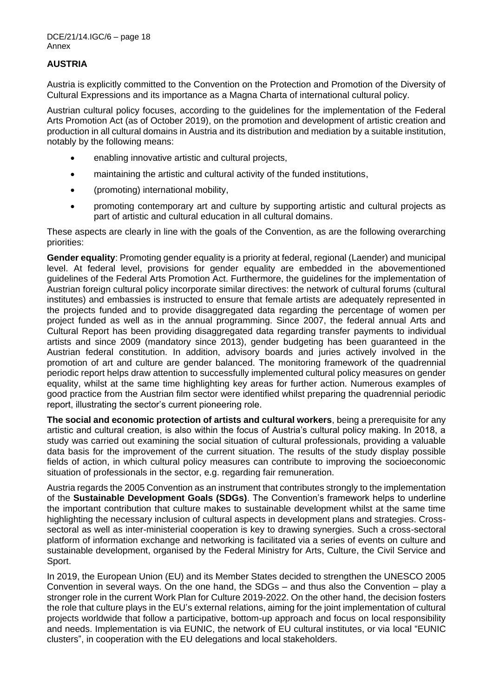## **AUSTRIA**

Austria is explicitly committed to the Convention on the Protection and Promotion of the Diversity of Cultural Expressions and its importance as a Magna Charta of international cultural policy.

Austrian cultural policy focuses, according to the guidelines for the implementation of the Federal Arts Promotion Act (as of October 2019), on the promotion and development of artistic creation and production in all cultural domains in Austria and its distribution and mediation by a suitable institution, notably by the following means:

- enabling innovative artistic and cultural projects,
- maintaining the artistic and cultural activity of the funded institutions,
- (promoting) international mobility,
- promoting contemporary art and culture by supporting artistic and cultural projects as part of artistic and cultural education in all cultural domains.

These aspects are clearly in line with the goals of the Convention, as are the following overarching priorities:

**Gender equality**: Promoting gender equality is a priority at federal, regional (Laender) and municipal level. At federal level, provisions for gender equality are embedded in the abovementioned guidelines of the Federal Arts Promotion Act. Furthermore, the guidelines for the implementation of Austrian foreign cultural policy incorporate similar directives: the network of cultural forums (cultural institutes) and embassies is instructed to ensure that female artists are adequately represented in the projects funded and to provide disaggregated data regarding the percentage of women per project funded as well as in the annual programming. Since 2007, the federal annual Arts and Cultural Report has been providing disaggregated data regarding transfer payments to individual artists and since 2009 (mandatory since 2013), gender budgeting has been guaranteed in the Austrian federal constitution. In addition, advisory boards and juries actively involved in the promotion of art and culture are gender balanced. The monitoring framework of the quadrennial periodic report helps draw attention to successfully implemented cultural policy measures on gender equality, whilst at the same time highlighting key areas for further action. Numerous examples of good practice from the Austrian film sector were identified whilst preparing the quadrennial periodic report, illustrating the sector's current pioneering role.

**The social and economic protection of artists and cultural workers**, being a prerequisite for any artistic and cultural creation, is also within the focus of Austria's cultural policy making. In 2018, a study was carried out examining the social situation of cultural professionals, providing a valuable data basis for the improvement of the current situation. The results of the study display possible fields of action, in which cultural policy measures can contribute to improving the socioeconomic situation of professionals in the sector, e.g. regarding fair remuneration.

Austria regards the 2005 Convention as an instrument that contributes strongly to the implementation of the **Sustainable Development Goals (SDGs)**. The Convention's framework helps to underline the important contribution that culture makes to sustainable development whilst at the same time highlighting the necessary inclusion of cultural aspects in development plans and strategies. Crosssectoral as well as inter-ministerial cooperation is key to drawing synergies. Such a cross-sectoral platform of information exchange and networking is facilitated via a series of events on culture and sustainable development, organised by the Federal Ministry for Arts, Culture, the Civil Service and Sport.

In 2019, the European Union (EU) and its Member States decided to strengthen the UNESCO 2005 Convention in several ways. On the one hand, the SDGs – and thus also the Convention – play a stronger role in the current Work Plan for Culture 2019-2022. On the other hand, the decision fosters the role that culture plays in the EU's external relations, aiming for the joint implementation of cultural projects worldwide that follow a participative, bottom-up approach and focus on local responsibility and needs. Implementation is via EUNIC, the network of EU cultural institutes, or via local "EUNIC clusters", in cooperation with the EU delegations and local stakeholders.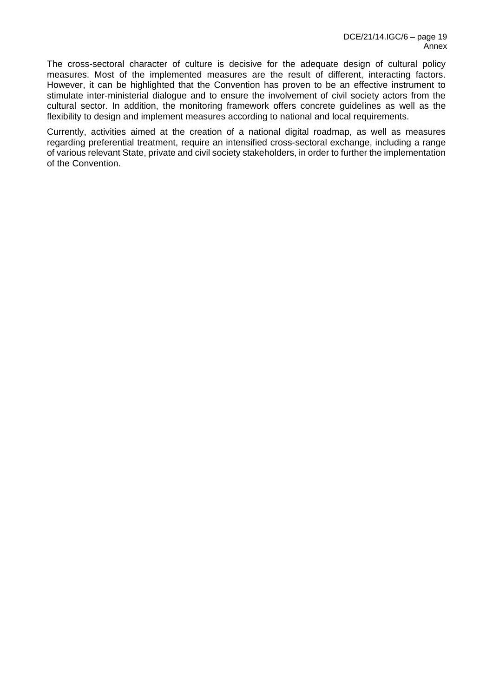The cross-sectoral character of culture is decisive for the adequate design of cultural policy measures. Most of the implemented measures are the result of different, interacting factors. However, it can be highlighted that the Convention has proven to be an effective instrument to stimulate inter-ministerial dialogue and to ensure the involvement of civil society actors from the cultural sector. In addition, the monitoring framework offers concrete guidelines as well as the flexibility to design and implement measures according to national and local requirements.

Currently, activities aimed at the creation of a national digital roadmap, as well as measures regarding preferential treatment, require an intensified cross-sectoral exchange, including a range of various relevant State, private and civil society stakeholders, in order to further the implementation of the Convention.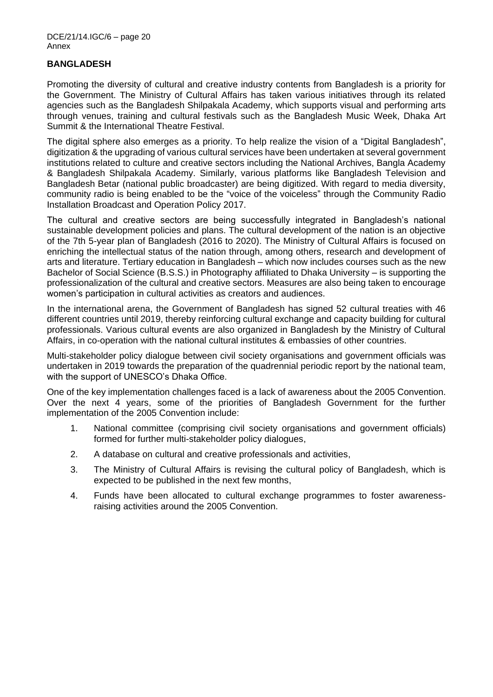### **BANGLADESH**

Promoting the diversity of cultural and creative industry contents from Bangladesh is a priority for the Government. The Ministry of Cultural Affairs has taken various initiatives through its related agencies such as the Bangladesh Shilpakala Academy, which supports visual and performing arts through venues, training and cultural festivals such as the Bangladesh Music Week, Dhaka Art Summit & the International Theatre Festival.

The digital sphere also emerges as a priority. To help realize the vision of a "Digital Bangladesh", digitization & the upgrading of various cultural services have been undertaken at several government institutions related to culture and creative sectors including the National Archives, Bangla Academy & Bangladesh Shilpakala Academy. Similarly, various platforms like Bangladesh Television and Bangladesh Betar (national public broadcaster) are being digitized. With regard to media diversity, community radio is being enabled to be the "voice of the voiceless" through the Community Radio Installation Broadcast and Operation Policy 2017.

The cultural and creative sectors are being successfully integrated in Bangladesh's national sustainable development policies and plans. The cultural development of the nation is an objective of the 7th 5-year plan of Bangladesh (2016 to 2020). The Ministry of Cultural Affairs is focused on enriching the intellectual status of the nation through, among others, research and development of arts and literature. Tertiary education in Bangladesh – which now includes courses such as the new Bachelor of Social Science (B.S.S.) in Photography affiliated to Dhaka University – is supporting the professionalization of the cultural and creative sectors. Measures are also being taken to encourage women's participation in cultural activities as creators and audiences.

In the international arena, the Government of Bangladesh has signed 52 cultural treaties with 46 different countries until 2019, thereby reinforcing cultural exchange and capacity building for cultural professionals. Various cultural events are also organized in Bangladesh by the Ministry of Cultural Affairs, in co-operation with the national cultural institutes & embassies of other countries.

Multi-stakeholder policy dialogue between civil society organisations and government officials was undertaken in 2019 towards the preparation of the quadrennial periodic report by the national team, with the support of UNESCO's Dhaka Office.

One of the key implementation challenges faced is a lack of awareness about the 2005 Convention. Over the next 4 years, some of the priorities of Bangladesh Government for the further implementation of the 2005 Convention include:

- 1. National committee (comprising civil society organisations and government officials) formed for further multi-stakeholder policy dialogues,
- 2. A database on cultural and creative professionals and activities,
- 3. The Ministry of Cultural Affairs is revising the cultural policy of Bangladesh, which is expected to be published in the next few months,
- 4. Funds have been allocated to cultural exchange programmes to foster awarenessraising activities around the 2005 Convention.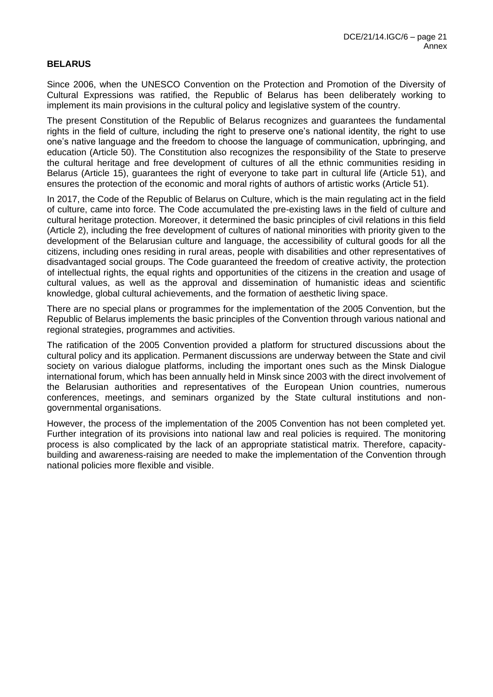### **BELARUS**

Since 2006, when the UNESCO Convention on the Protection and Promotion of the Diversity of Cultural Expressions was ratified, the Republic of Belarus has been deliberately working to implement its main provisions in the cultural policy and legislative system of the country.

The present Constitution of the Republic of Belarus recognizes and guarantees the fundamental rights in the field of culture, including the right to preserve one's national identity, the right to use one's native language and the freedom to choose the language of communication, upbringing, and education (Article 50). The Constitution also recognizes the responsibility of the State to preserve the cultural heritage and free development of cultures of all the ethnic communities residing in Belarus (Article 15), guarantees the right of everyone to take part in cultural life (Article 51), and ensures the protection of the economic and moral rights of authors of artistic works (Article 51).

In 2017, the Code of the Republic of Belarus on Culture, which is the main regulating act in the field of culture, came into force. The Code accumulated the pre-existing laws in the field of culture and cultural heritage protection. Moreover, it determined the basic principles of civil relations in this field (Article 2), including the free development of cultures of national minorities with priority given to the development of the Belarusian culture and language, the accessibility of cultural goods for all the citizens, including ones residing in rural areas, people with disabilities and other representatives of disadvantaged social groups. The Code guaranteed the freedom of creative activity, the protection of intellectual rights, the equal rights and opportunities of the citizens in the creation and usage of cultural values, as well as the approval and dissemination of humanistic ideas and scientific knowledge, global cultural achievements, and the formation of aesthetic living space.

There are no special plans or programmes for the implementation of the 2005 Convention, but the Republic of Belarus implements the basic principles of the Convention through various national and regional strategies, programmes and activities.

The ratification of the 2005 Convention provided a platform for structured discussions about the cultural policy and its application. Permanent discussions are underway between the State and civil society on various dialogue platforms, including the important ones such as the Minsk Dialogue international forum, which has been annually held in Minsk since 2003 with the direct involvement of the Belarusian authorities and representatives of the European Union countries, numerous conferences, meetings, and seminars organized by the State cultural institutions and nongovernmental organisations.

However, the process of the implementation of the 2005 Convention has not been completed yet. Further integration of its provisions into national law and real policies is required. The monitoring process is also complicated by the lack of an appropriate statistical matrix. Therefore, capacitybuilding and awareness-raising are needed to make the implementation of the Convention through national policies more flexible and visible.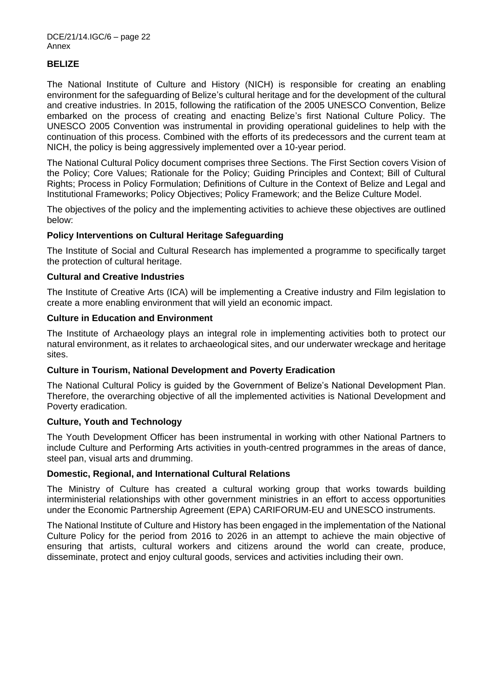### **BELIZE**

The National Institute of Culture and History (NICH) is responsible for creating an enabling environment for the safeguarding of Belize's cultural heritage and for the development of the cultural and creative industries. In 2015, following the ratification of the 2005 UNESCO Convention, Belize embarked on the process of creating and enacting Belize's first National Culture Policy. The UNESCO 2005 Convention was instrumental in providing operational guidelines to help with the continuation of this process. Combined with the efforts of its predecessors and the current team at NICH, the policy is being aggressively implemented over a 10-year period.

The National Cultural Policy document comprises three Sections. The First Section covers Vision of the Policy; Core Values; Rationale for the Policy; Guiding Principles and Context; Bill of Cultural Rights; Process in Policy Formulation; Definitions of Culture in the Context of Belize and Legal and Institutional Frameworks; Policy Objectives; Policy Framework; and the Belize Culture Model.

The objectives of the policy and the implementing activities to achieve these objectives are outlined below:

#### **Policy Interventions on Cultural Heritage Safeguarding**

The Institute of Social and Cultural Research has implemented a programme to specifically target the protection of cultural heritage.

#### **Cultural and Creative Industries**

The Institute of Creative Arts (ICA) will be implementing a Creative industry and Film legislation to create a more enabling environment that will yield an economic impact.

#### **Culture in Education and Environment**

The Institute of Archaeology plays an integral role in implementing activities both to protect our natural environment, as it relates to archaeological sites, and our underwater wreckage and heritage sites.

#### **Culture in Tourism, National Development and Poverty Eradication**

The National Cultural Policy is guided by the Government of Belize's National Development Plan. Therefore, the overarching objective of all the implemented activities is National Development and Poverty eradication.

#### **Culture, Youth and Technology**

The Youth Development Officer has been instrumental in working with other National Partners to include Culture and Performing Arts activities in youth-centred programmes in the areas of dance, steel pan, visual arts and drumming.

#### **Domestic, Regional, and International Cultural Relations**

The Ministry of Culture has created a cultural working group that works towards building interministerial relationships with other government ministries in an effort to access opportunities under the Economic Partnership Agreement (EPA) CARIFORUM-EU and UNESCO instruments.

The National Institute of Culture and History has been engaged in the implementation of the National Culture Policy for the period from 2016 to 2026 in an attempt to achieve the main objective of ensuring that artists, cultural workers and citizens around the world can create, produce, disseminate, protect and enjoy cultural goods, services and activities including their own.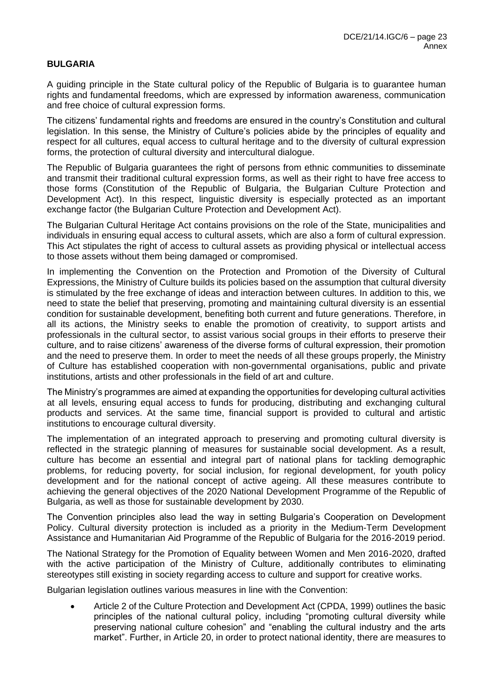## **BULGARIA**

A guiding principle in the State cultural policy of the Republic of Bulgaria is to guarantee human rights and fundamental freedoms, which are expressed by information awareness, communication and free choice of cultural expression forms.

The citizens' fundamental rights and freedoms are ensured in the country's Constitution and cultural legislation. In this sense, the Ministry of Culture's policies abide by the principles of equality and respect for all cultures, equal access to cultural heritage and to the diversity of cultural expression forms, the protection of cultural diversity and intercultural dialogue.

The Republic of Bulgaria guarantees the right of persons from ethnic communities to disseminate and transmit their traditional cultural expression forms, as well as their right to have free access to those forms (Constitution of the Republic of Bulgaria, the Bulgarian Culture Protection and Development Act). In this respect, linguistic diversity is especially protected as an important exchange factor (the Bulgarian Culture Protection and Development Act).

The Bulgarian Cultural Heritage Act contains provisions on the role of the State, municipalities and individuals in ensuring equal access to cultural assets, which are also a form of cultural expression. This Act stipulates the right of access to cultural assets as providing physical or intellectual access to those assets without them being damaged or compromised.

In implementing the Convention on the Protection and Promotion of the Diversity of Cultural Expressions, the Ministry of Culture builds its policies based on the assumption that cultural diversity is stimulated by the free exchange of ideas and interaction between cultures. In addition to this, we need to state the belief that preserving, promoting and maintaining cultural diversity is an essential condition for sustainable development, benefiting both current and future generations. Therefore, in all its actions, the Ministry seeks to enable the promotion of creativity, to support artists and professionals in the cultural sector, to assist various social groups in their efforts to preserve their culture, and to raise citizens' awareness of the diverse forms of cultural expression, their promotion and the need to preserve them. In order to meet the needs of all these groups properly, the Ministry of Culture has established cooperation with non-governmental organisations, public and private institutions, artists and other professionals in the field of art and culture.

The Ministry's programmes are aimed at expanding the opportunities for developing cultural activities at all levels, ensuring equal access to funds for producing, distributing and exchanging cultural products and services. At the same time, financial support is provided to cultural and artistic institutions to encourage cultural diversity.

The implementation of an integrated approach to preserving and promoting cultural diversity is reflected in the strategic planning of measures for sustainable social development. As a result, culture has become an essential and integral part of national plans for tackling demographic problems, for reducing poverty, for social inclusion, for regional development, for youth policy development and for the national concept of active ageing. All these measures contribute to achieving the general objectives of the 2020 National Development Programme of the Republic of Bulgaria, as well as those for sustainable development by 2030.

The Convention principles also lead the way in setting Bulgaria's Cooperation on Development Policy. Cultural diversity protection is included as a priority in the Medium-Term Development Assistance and Humanitarian Aid Programme of the Republic of Bulgaria for the 2016-2019 period.

The National Strategy for the Promotion of Equality between Women and Men 2016-2020, drafted with the active participation of the Ministry of Culture, additionally contributes to eliminating stereotypes still existing in society regarding access to culture and support for creative works.

Bulgarian legislation outlines various measures in line with the Convention:

• Article 2 of the Culture Protection and Development Act (CPDA, 1999) outlines the basic principles of the national cultural policy, including "promoting cultural diversity while preserving national culture cohesion" and "enabling the cultural industry and the arts market". Further, in Article 20, in order to protect national identity, there are measures to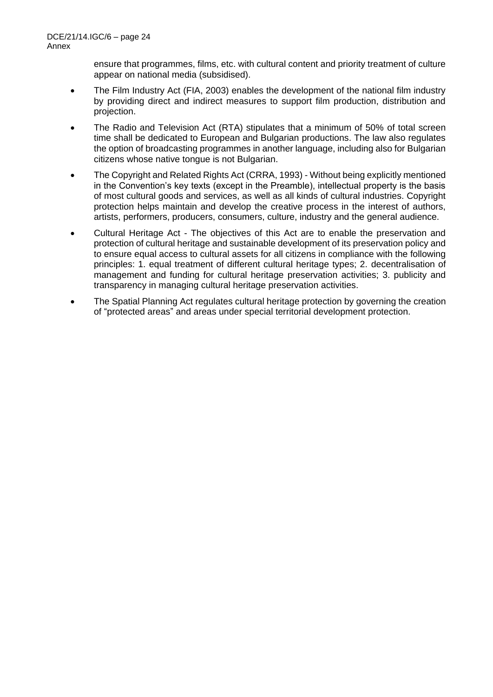ensure that programmes, films, etc. with cultural content and priority treatment of culture appear on national media (subsidised).

- The Film Industry Act (FIA, 2003) enables the development of the national film industry by providing direct and indirect measures to support film production, distribution and projection.
- The Radio and Television Act (RTA) stipulates that a minimum of 50% of total screen time shall be dedicated to European and Bulgarian productions. The law also regulates the option of broadcasting programmes in another language, including also for Bulgarian citizens whose native tongue is not Bulgarian.
- The Copyright and Related Rights Act (CRRA, 1993) Without being explicitly mentioned in the Convention's key texts (except in the Preamble), intellectual property is the basis of most cultural goods and services, as well as all kinds of cultural industries. Copyright protection helps maintain and develop the creative process in the interest of authors, artists, performers, producers, consumers, culture, industry and the general audience.
- Cultural Heritage Act The objectives of this Act are to enable the preservation and protection of cultural heritage and sustainable development of its preservation policy and to ensure equal access to cultural assets for all citizens in compliance with the following principles: 1. equal treatment of different cultural heritage types; 2. decentralisation of management and funding for cultural heritage preservation activities; 3. publicity and transparency in managing cultural heritage preservation activities.
- The Spatial Planning Act regulates cultural heritage protection by governing the creation of "protected areas" and areas under special territorial development protection.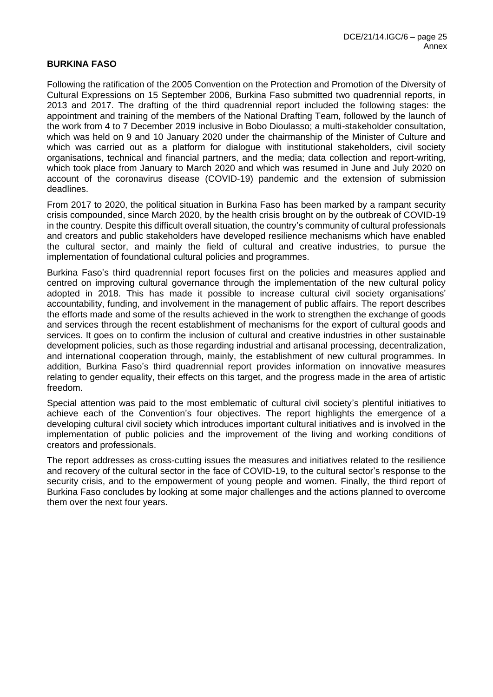#### **BURKINA FASO**

Following the ratification of the 2005 Convention on the Protection and Promotion of the Diversity of Cultural Expressions on 15 September 2006, Burkina Faso submitted two quadrennial reports, in 2013 and 2017. The drafting of the third quadrennial report included the following stages: the appointment and training of the members of the National Drafting Team, followed by the launch of the work from 4 to 7 December 2019 inclusive in Bobo Dioulasso; a multi-stakeholder consultation, which was held on 9 and 10 January 2020 under the chairmanship of the Minister of Culture and which was carried out as a platform for dialogue with institutional stakeholders, civil society organisations, technical and financial partners, and the media; data collection and report-writing, which took place from January to March 2020 and which was resumed in June and July 2020 on account of the coronavirus disease (COVID-19) pandemic and the extension of submission deadlines.

From 2017 to 2020, the political situation in Burkina Faso has been marked by a rampant security crisis compounded, since March 2020, by the health crisis brought on by the outbreak of COVID-19 in the country. Despite this difficult overall situation, the country's community of cultural professionals and creators and public stakeholders have developed resilience mechanisms which have enabled the cultural sector, and mainly the field of cultural and creative industries, to pursue the implementation of foundational cultural policies and programmes.

Burkina Faso's third quadrennial report focuses first on the policies and measures applied and centred on improving cultural governance through the implementation of the new cultural policy adopted in 2018. This has made it possible to increase cultural civil society organisations' accountability, funding, and involvement in the management of public affairs. The report describes the efforts made and some of the results achieved in the work to strengthen the exchange of goods and services through the recent establishment of mechanisms for the export of cultural goods and services. It goes on to confirm the inclusion of cultural and creative industries in other sustainable development policies, such as those regarding industrial and artisanal processing, decentralization, and international cooperation through, mainly, the establishment of new cultural programmes. In addition, Burkina Faso's third quadrennial report provides information on innovative measures relating to gender equality, their effects on this target, and the progress made in the area of artistic freedom.

Special attention was paid to the most emblematic of cultural civil society's plentiful initiatives to achieve each of the Convention's four objectives. The report highlights the emergence of a developing cultural civil society which introduces important cultural initiatives and is involved in the implementation of public policies and the improvement of the living and working conditions of creators and professionals.

The report addresses as cross-cutting issues the measures and initiatives related to the resilience and recovery of the cultural sector in the face of COVID-19, to the cultural sector's response to the security crisis, and to the empowerment of young people and women. Finally, the third report of Burkina Faso concludes by looking at some major challenges and the actions planned to overcome them over the next four years.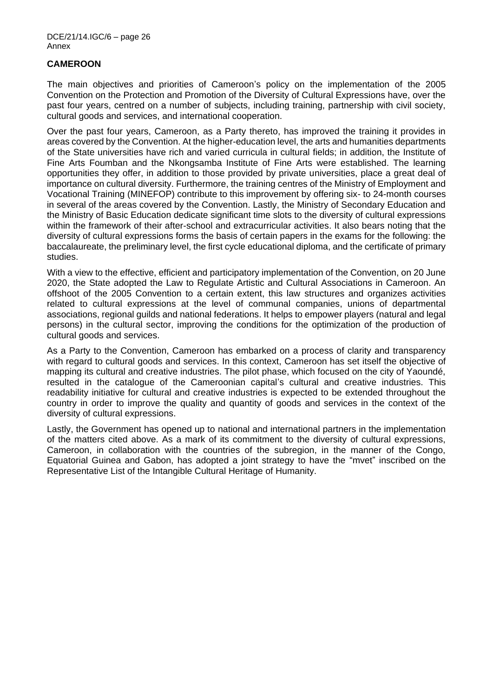### **CAMEROON**

The main objectives and priorities of Cameroon's policy on the implementation of the 2005 Convention on the Protection and Promotion of the Diversity of Cultural Expressions have, over the past four years, centred on a number of subjects, including training, partnership with civil society, cultural goods and services, and international cooperation.

Over the past four years, Cameroon, as a Party thereto, has improved the training it provides in areas covered by the Convention. At the higher-education level, the arts and humanities departments of the State universities have rich and varied curricula in cultural fields; in addition, the Institute of Fine Arts Foumban and the Nkongsamba Institute of Fine Arts were established. The learning opportunities they offer, in addition to those provided by private universities, place a great deal of importance on cultural diversity. Furthermore, the training centres of the Ministry of Employment and Vocational Training (MINEFOP) contribute to this improvement by offering six- to 24-month courses in several of the areas covered by the Convention. Lastly, the Ministry of Secondary Education and the Ministry of Basic Education dedicate significant time slots to the diversity of cultural expressions within the framework of their after-school and extracurricular activities. It also bears noting that the diversity of cultural expressions forms the basis of certain papers in the exams for the following: the baccalaureate, the preliminary level, the first cycle educational diploma, and the certificate of primary studies.

With a view to the effective, efficient and participatory implementation of the Convention, on 20 June 2020, the State adopted the Law to Regulate Artistic and Cultural Associations in Cameroon. An offshoot of the 2005 Convention to a certain extent, this law structures and organizes activities related to cultural expressions at the level of communal companies, unions of departmental associations, regional guilds and national federations. It helps to empower players (natural and legal persons) in the cultural sector, improving the conditions for the optimization of the production of cultural goods and services.

As a Party to the Convention, Cameroon has embarked on a process of clarity and transparency with regard to cultural goods and services. In this context, Cameroon has set itself the objective of mapping its cultural and creative industries. The pilot phase, which focused on the city of Yaoundé, resulted in the catalogue of the Cameroonian capital's cultural and creative industries. This readability initiative for cultural and creative industries is expected to be extended throughout the country in order to improve the quality and quantity of goods and services in the context of the diversity of cultural expressions.

Lastly, the Government has opened up to national and international partners in the implementation of the matters cited above. As a mark of its commitment to the diversity of cultural expressions, Cameroon, in collaboration with the countries of the subregion, in the manner of the Congo, Equatorial Guinea and Gabon, has adopted a joint strategy to have the "mvet" inscribed on the Representative List of the Intangible Cultural Heritage of Humanity.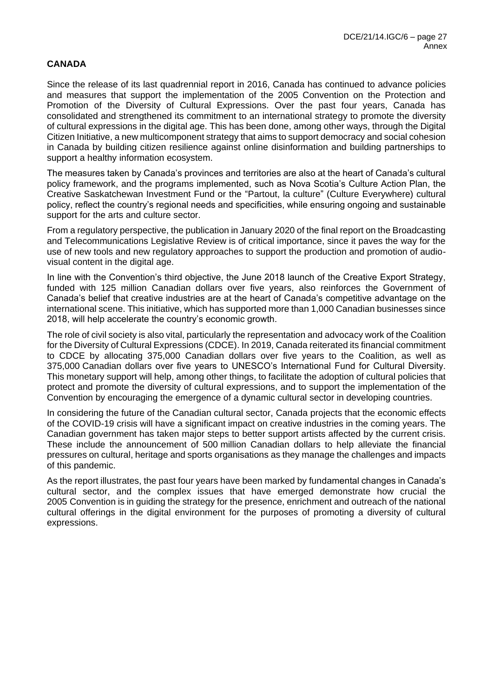### **CANADA**

Since the release of its last quadrennial report in 2016, Canada has continued to advance policies and measures that support the implementation of the 2005 Convention on the Protection and Promotion of the Diversity of Cultural Expressions. Over the past four years, Canada has consolidated and strengthened its commitment to an international strategy to promote the diversity of cultural expressions in the digital age. This has been done, among other ways, through the Digital Citizen Initiative, a new multicomponent strategy that aims to support democracy and social cohesion in Canada by building citizen resilience against online disinformation and building partnerships to support a healthy information ecosystem.

The measures taken by Canada's provinces and territories are also at the heart of Canada's cultural policy framework, and the programs implemented, such as Nova Scotia's Culture Action Plan, the Creative Saskatchewan Investment Fund or the "Partout, la culture" (Culture Everywhere) cultural policy, reflect the country's regional needs and specificities, while ensuring ongoing and sustainable support for the arts and culture sector.

From a regulatory perspective, the publication in January 2020 of the final report on the Broadcasting and Telecommunications Legislative Review is of critical importance, since it paves the way for the use of new tools and new regulatory approaches to support the production and promotion of audiovisual content in the digital age.

In line with the Convention's third objective, the June 2018 launch of the Creative Export Strategy, funded with 125 million Canadian dollars over five years, also reinforces the Government of Canada's belief that creative industries are at the heart of Canada's competitive advantage on the international scene. This initiative, which has supported more than 1,000 Canadian businesses since 2018, will help accelerate the country's economic growth.

The role of civil society is also vital, particularly the representation and advocacy work of the Coalition for the Diversity of Cultural Expressions (CDCE). In 2019, Canada reiterated its financial commitment to CDCE by allocating 375,000 Canadian dollars over five years to the Coalition, as well as 375,000 Canadian dollars over five years to UNESCO's International Fund for Cultural Diversity. This monetary support will help, among other things, to facilitate the adoption of cultural policies that protect and promote the diversity of cultural expressions, and to support the implementation of the Convention by encouraging the emergence of a dynamic cultural sector in developing countries.

In considering the future of the Canadian cultural sector, Canada projects that the economic effects of the COVID-19 crisis will have a significant impact on creative industries in the coming years. The Canadian government has taken major steps to better support artists affected by the current crisis. These include the announcement of 500 million Canadian dollars to help alleviate the financial pressures on cultural, heritage and sports organisations as they manage the challenges and impacts of this pandemic.

As the report illustrates, the past four years have been marked by fundamental changes in Canada's cultural sector, and the complex issues that have emerged demonstrate how crucial the 2005 Convention is in guiding the strategy for the presence, enrichment and outreach of the national cultural offerings in the digital environment for the purposes of promoting a diversity of cultural expressions.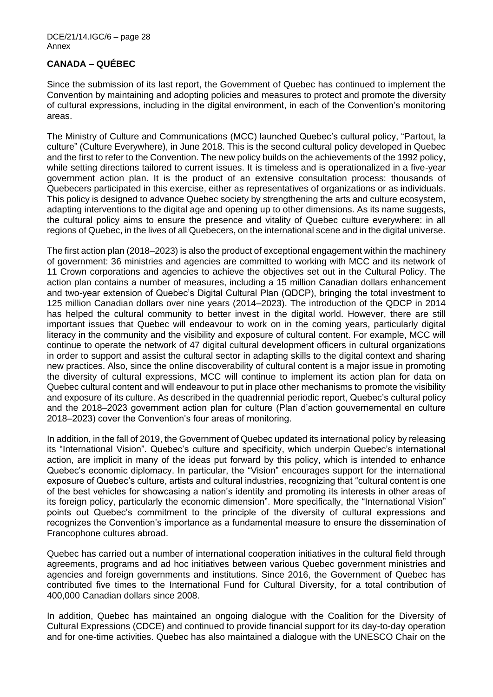## **CANADA – QUÉBEC**

Since the submission of its last report, the Government of Quebec has continued to implement the Convention by maintaining and adopting policies and measures to protect and promote the diversity of cultural expressions, including in the digital environment, in each of the Convention's monitoring areas.

The Ministry of Culture and Communications (MCC) launched Quebec's cultural policy, "Partout, la culture" (Culture Everywhere), in June 2018. This is the second cultural policy developed in Quebec and the first to refer to the Convention. The new policy builds on the achievements of the 1992 policy, while setting directions tailored to current issues. It is timeless and is operationalized in a five-year government action plan. It is the product of an extensive consultation process: thousands of Quebecers participated in this exercise, either as representatives of organizations or as individuals. This policy is designed to advance Quebec society by strengthening the arts and culture ecosystem, adapting interventions to the digital age and opening up to other dimensions. As its name suggests, the cultural policy aims to ensure the presence and vitality of Quebec culture everywhere: in all regions of Quebec, in the lives of all Quebecers, on the international scene and in the digital universe.

The first action plan (2018–2023) is also the product of exceptional engagement within the machinery of government: 36 ministries and agencies are committed to working with MCC and its network of 11 Crown corporations and agencies to achieve the objectives set out in the Cultural Policy. The action plan contains a number of measures, including a 15 million Canadian dollars enhancement and two-year extension of Quebec's Digital Cultural Plan (QDCP), bringing the total investment to 125 million Canadian dollars over nine years (2014–2023). The introduction of the QDCP in 2014 has helped the cultural community to better invest in the digital world. However, there are still important issues that Quebec will endeavour to work on in the coming years, particularly digital literacy in the community and the visibility and exposure of cultural content. For example, MCC will continue to operate the network of 47 digital cultural development officers in cultural organizations in order to support and assist the cultural sector in adapting skills to the digital context and sharing new practices. Also, since the online discoverability of cultural content is a major issue in promoting the diversity of cultural expressions, MCC will continue to implement its action plan for data on Quebec cultural content and will endeavour to put in place other mechanisms to promote the visibility and exposure of its culture. As described in the quadrennial periodic report, Quebec's cultural policy and the 2018–2023 government action plan for culture (Plan d'action gouvernemental en culture 2018–2023) cover the Convention's four areas of monitoring.

In addition, in the fall of 2019, the Government of Quebec updated its international policy by releasing its "International Vision". Quebec's culture and specificity, which underpin Quebec's international action, are implicit in many of the ideas put forward by this policy, which is intended to enhance Quebec's economic diplomacy. In particular, the "Vision" encourages support for the international exposure of Quebec's culture, artists and cultural industries, recognizing that "cultural content is one of the best vehicles for showcasing a nation's identity and promoting its interests in other areas of its foreign policy, particularly the economic dimension". More specifically, the "International Vision" points out Quebec's commitment to the principle of the diversity of cultural expressions and recognizes the Convention's importance as a fundamental measure to ensure the dissemination of Francophone cultures abroad.

Quebec has carried out a number of international cooperation initiatives in the cultural field through agreements, programs and ad hoc initiatives between various Quebec government ministries and agencies and foreign governments and institutions. Since 2016, the Government of Quebec has contributed five times to the International Fund for Cultural Diversity, for a total contribution of 400,000 Canadian dollars since 2008.

In addition, Quebec has maintained an ongoing dialogue with the Coalition for the Diversity of Cultural Expressions (CDCE) and continued to provide financial support for its day-to-day operation and for one-time activities. Quebec has also maintained a dialogue with the UNESCO Chair on the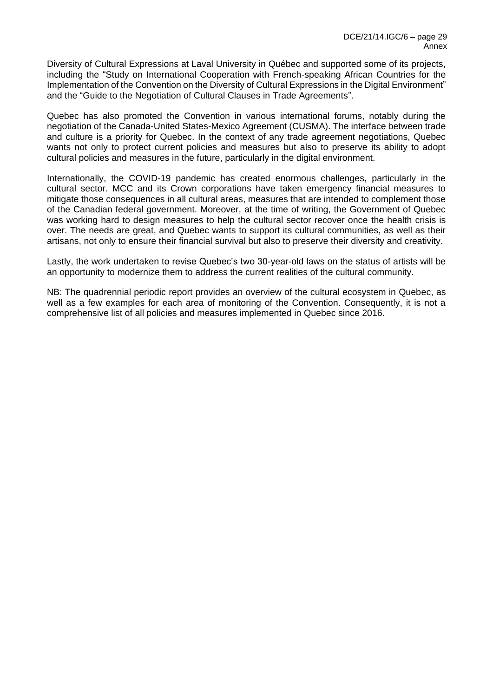Diversity of Cultural Expressions at Laval University in Québec and supported some of its projects, including the "Study on International Cooperation with French-speaking African Countries for the Implementation of the Convention on the Diversity of Cultural Expressions in the Digital Environment" and the "Guide to the Negotiation of Cultural Clauses in Trade Agreements".

Quebec has also promoted the Convention in various international forums, notably during the negotiation of the Canada-United States-Mexico Agreement (CUSMA). The interface between trade and culture is a priority for Quebec. In the context of any trade agreement negotiations, Quebec wants not only to protect current policies and measures but also to preserve its ability to adopt cultural policies and measures in the future, particularly in the digital environment.

Internationally, the COVID-19 pandemic has created enormous challenges, particularly in the cultural sector. MCC and its Crown corporations have taken emergency financial measures to mitigate those consequences in all cultural areas, measures that are intended to complement those of the Canadian federal government. Moreover, at the time of writing, the Government of Quebec was working hard to design measures to help the cultural sector recover once the health crisis is over. The needs are great, and Quebec wants to support its cultural communities, as well as their artisans, not only to ensure their financial survival but also to preserve their diversity and creativity.

Lastly, the work undertaken to revise Quebec's two 30-year-old laws on the status of artists will be an opportunity to modernize them to address the current realities of the cultural community.

NB: The quadrennial periodic report provides an overview of the cultural ecosystem in Quebec, as well as a few examples for each area of monitoring of the Convention. Consequently, it is not a comprehensive list of all policies and measures implemented in Quebec since 2016.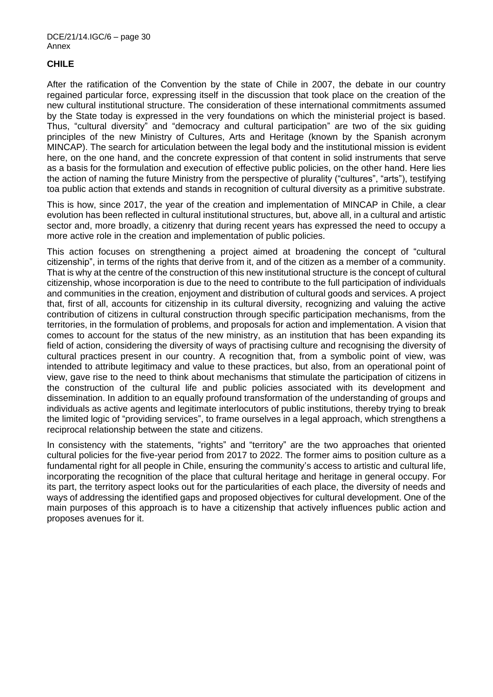## **CHILE**

After the ratification of the Convention by the state of Chile in 2007, the debate in our country regained particular force, expressing itself in the discussion that took place on the creation of the new cultural institutional structure. The consideration of these international commitments assumed by the State today is expressed in the very foundations on which the ministerial project is based. Thus, "cultural diversity" and "democracy and cultural participation" are two of the six guiding principles of the new Ministry of Cultures, Arts and Heritage (known by the Spanish acronym MINCAP). The search for articulation between the legal body and the institutional mission is evident here, on the one hand, and the concrete expression of that content in solid instruments that serve as a basis for the formulation and execution of effective public policies, on the other hand. Here lies the action of naming the future Ministry from the perspective of plurality ("cultures", "arts"), testifying toa public action that extends and stands in recognition of cultural diversity as a primitive substrate.

This is how, since 2017, the year of the creation and implementation of MINCAP in Chile, a clear evolution has been reflected in cultural institutional structures, but, above all, in a cultural and artistic sector and, more broadly, a citizenry that during recent years has expressed the need to occupy a more active role in the creation and implementation of public policies.

This action focuses on strengthening a project aimed at broadening the concept of "cultural citizenship", in terms of the rights that derive from it, and of the citizen as a member of a community. That is why at the centre of the construction of this new institutional structure is the concept of cultural citizenship, whose incorporation is due to the need to contribute to the full participation of individuals and communities in the creation, enjoyment and distribution of cultural goods and services. A project that, first of all, accounts for citizenship in its cultural diversity, recognizing and valuing the active contribution of citizens in cultural construction through specific participation mechanisms, from the territories, in the formulation of problems, and proposals for action and implementation. A vision that comes to account for the status of the new ministry, as an institution that has been expanding its field of action, considering the diversity of ways of practising culture and recognising the diversity of cultural practices present in our country. A recognition that, from a symbolic point of view, was intended to attribute legitimacy and value to these practices, but also, from an operational point of view, gave rise to the need to think about mechanisms that stimulate the participation of citizens in the construction of the cultural life and public policies associated with its development and dissemination. In addition to an equally profound transformation of the understanding of groups and individuals as active agents and legitimate interlocutors of public institutions, thereby trying to break the limited logic of "providing services", to frame ourselves in a legal approach, which strengthens a reciprocal relationship between the state and citizens.

In consistency with the statements, "rights" and "territory" are the two approaches that oriented cultural policies for the five-year period from 2017 to 2022. The former aims to position culture as a fundamental right for all people in Chile, ensuring the community's access to artistic and cultural life, incorporating the recognition of the place that cultural heritage and heritage in general occupy. For its part, the territory aspect looks out for the particularities of each place, the diversity of needs and ways of addressing the identified gaps and proposed objectives for cultural development. One of the main purposes of this approach is to have a citizenship that actively influences public action and proposes avenues for it.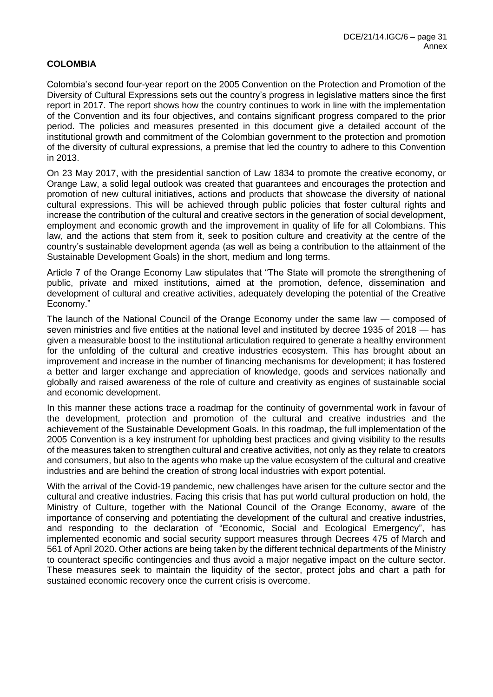## **COLOMBIA**

Colombia's second four-year report on the 2005 Convention on the Protection and Promotion of the Diversity of Cultural Expressions sets out the country's progress in legislative matters since the first report in 2017. The report shows how the country continues to work in line with the implementation of the Convention and its four objectives, and contains significant progress compared to the prior period. The policies and measures presented in this document give a detailed account of the institutional growth and commitment of the Colombian government to the protection and promotion of the diversity of cultural expressions, a premise that led the country to adhere to this Convention in 2013.

On 23 May 2017, with the presidential sanction of Law 1834 to promote the creative economy, or Orange Law, a solid legal outlook was created that guarantees and encourages the protection and promotion of new cultural initiatives, actions and products that showcase the diversity of national cultural expressions. This will be achieved through public policies that foster cultural rights and increase the contribution of the cultural and creative sectors in the generation of social development, employment and economic growth and the improvement in quality of life for all Colombians. This law, and the actions that stem from it, seek to position culture and creativity at the centre of the country's sustainable development agenda (as well as being a contribution to the attainment of the Sustainable Development Goals) in the short, medium and long terms.

Article 7 of the Orange Economy Law stipulates that "The State will promote the strengthening of public, private and mixed institutions, aimed at the promotion, defence, dissemination and development of cultural and creative activities, adequately developing the potential of the Creative Economy."

The launch of the National Council of the Orange Economy under the same law — composed of seven ministries and five entities at the national level and instituted by decree 1935 of 2018 — has given a measurable boost to the institutional articulation required to generate a healthy environment for the unfolding of the cultural and creative industries ecosystem. This has brought about an improvement and increase in the number of financing mechanisms for development; it has fostered a better and larger exchange and appreciation of knowledge, goods and services nationally and globally and raised awareness of the role of culture and creativity as engines of sustainable social and economic development.

In this manner these actions trace a roadmap for the continuity of governmental work in favour of the development, protection and promotion of the cultural and creative industries and the achievement of the Sustainable Development Goals. In this roadmap, the full implementation of the 2005 Convention is a key instrument for upholding best practices and giving visibility to the results of the measures taken to strengthen cultural and creative activities, not only as they relate to creators and consumers, but also to the agents who make up the value ecosystem of the cultural and creative industries and are behind the creation of strong local industries with export potential.

With the arrival of the Covid-19 pandemic, new challenges have arisen for the culture sector and the cultural and creative industries. Facing this crisis that has put world cultural production on hold, the Ministry of Culture, together with the National Council of the Orange Economy, aware of the importance of conserving and potentiating the development of the cultural and creative industries, and responding to the declaration of "Economic, Social and Ecological Emergency", has implemented economic and social security support measures through Decrees 475 of March and 561 of April 2020. Other actions are being taken by the different technical departments of the Ministry to counteract specific contingencies and thus avoid a major negative impact on the culture sector. These measures seek to maintain the liquidity of the sector, protect jobs and chart a path for sustained economic recovery once the current crisis is overcome.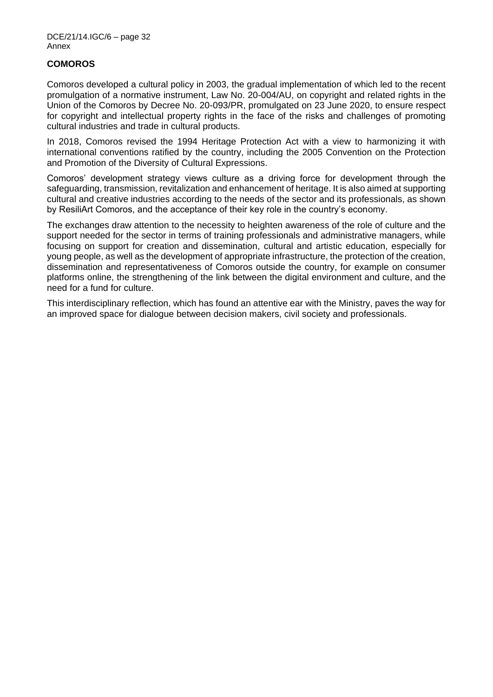### **COMOROS**

Comoros developed a cultural policy in 2003, the gradual implementation of which led to the recent promulgation of a normative instrument, Law No. 20-004/AU, on copyright and related rights in the Union of the Comoros by Decree No. 20-093/PR, promulgated on 23 June 2020, to ensure respect for copyright and intellectual property rights in the face of the risks and challenges of promoting cultural industries and trade in cultural products.

In 2018, Comoros revised the 1994 Heritage Protection Act with a view to harmonizing it with international conventions ratified by the country, including the 2005 Convention on the Protection and Promotion of the Diversity of Cultural Expressions.

Comoros' development strategy views culture as a driving force for development through the safeguarding, transmission, revitalization and enhancement of heritage. It is also aimed at supporting cultural and creative industries according to the needs of the sector and its professionals, as shown by ResiliArt Comoros, and the acceptance of their key role in the country's economy.

The exchanges draw attention to the necessity to heighten awareness of the role of culture and the support needed for the sector in terms of training professionals and administrative managers, while focusing on support for creation and dissemination, cultural and artistic education, especially for young people, as well as the development of appropriate infrastructure, the protection of the creation, dissemination and representativeness of Comoros outside the country, for example on consumer platforms online, the strengthening of the link between the digital environment and culture, and the need for a fund for culture.

This interdisciplinary reflection, which has found an attentive ear with the Ministry, paves the way for an improved space for dialogue between decision makers, civil society and professionals.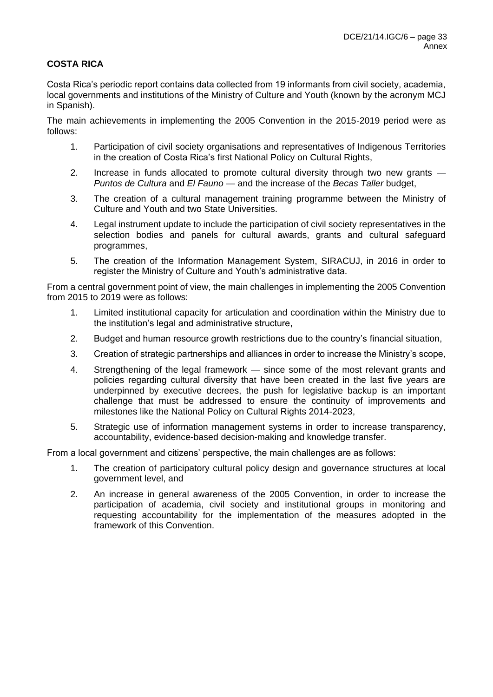## **COSTA RICA**

Costa Rica's periodic report contains data collected from 19 informants from civil society, academia, local governments and institutions of the Ministry of Culture and Youth (known by the acronym MCJ in Spanish).

The main achievements in implementing the 2005 Convention in the 2015-2019 period were as follows:

- 1. Participation of civil society organisations and representatives of Indigenous Territories in the creation of Costa Rica's first National Policy on Cultural Rights,
- 2. Increase in funds allocated to promote cultural diversity through two new grants -*Puntos de Cultura* and *El Fauno* — and the increase of the *Becas Taller* budget,
- 3. The creation of a cultural management training programme between the Ministry of Culture and Youth and two State Universities.
- 4. Legal instrument update to include the participation of civil society representatives in the selection bodies and panels for cultural awards, grants and cultural safeguard programmes,
- 5. The creation of the Information Management System, SIRACUJ, in 2016 in order to register the Ministry of Culture and Youth's administrative data.

From a central government point of view, the main challenges in implementing the 2005 Convention from 2015 to 2019 were as follows:

- 1. Limited institutional capacity for articulation and coordination within the Ministry due to the institution's legal and administrative structure,
- 2. Budget and human resource growth restrictions due to the country's financial situation,
- 3. Creation of strategic partnerships and alliances in order to increase the Ministry's scope,
- 4. Strengthening of the legal framework since some of the most relevant grants and policies regarding cultural diversity that have been created in the last five years are underpinned by executive decrees, the push for legislative backup is an important challenge that must be addressed to ensure the continuity of improvements and milestones like the National Policy on Cultural Rights 2014-2023,
- 5. Strategic use of information management systems in order to increase transparency, accountability, evidence-based decision-making and knowledge transfer.

From a local government and citizens' perspective, the main challenges are as follows:

- 1. The creation of participatory cultural policy design and governance structures at local government level, and
- 2. An increase in general awareness of the 2005 Convention, in order to increase the participation of academia, civil society and institutional groups in monitoring and requesting accountability for the implementation of the measures adopted in the framework of this Convention.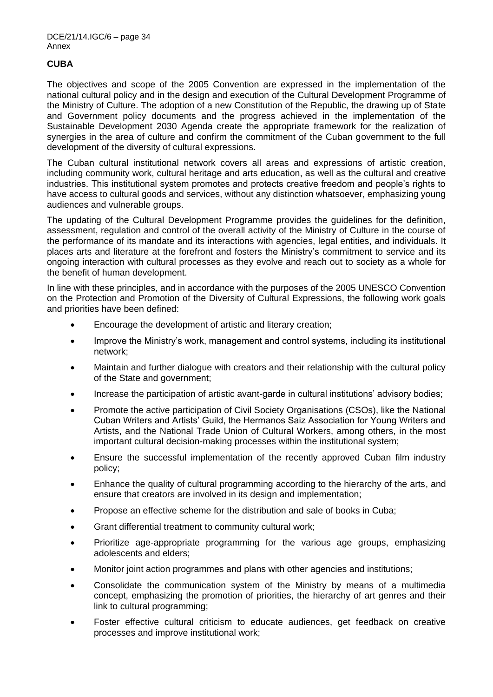## **CUBA**

The objectives and scope of the 2005 Convention are expressed in the implementation of the national cultural policy and in the design and execution of the Cultural Development Programme of the Ministry of Culture. The adoption of a new Constitution of the Republic, the drawing up of State and Government policy documents and the progress achieved in the implementation of the Sustainable Development 2030 Agenda create the appropriate framework for the realization of synergies in the area of culture and confirm the commitment of the Cuban government to the full development of the diversity of cultural expressions.

The Cuban cultural institutional network covers all areas and expressions of artistic creation, including community work, cultural heritage and arts education, as well as the cultural and creative industries. This institutional system promotes and protects creative freedom and people's rights to have access to cultural goods and services, without any distinction whatsoever, emphasizing young audiences and vulnerable groups.

The updating of the Cultural Development Programme provides the guidelines for the definition, assessment, regulation and control of the overall activity of the Ministry of Culture in the course of the performance of its mandate and its interactions with agencies, legal entities, and individuals. It places arts and literature at the forefront and fosters the Ministry's commitment to service and its ongoing interaction with cultural processes as they evolve and reach out to society as a whole for the benefit of human development.

In line with these principles, and in accordance with the purposes of the 2005 UNESCO Convention on the Protection and Promotion of the Diversity of Cultural Expressions, the following work goals and priorities have been defined:

- Encourage the development of artistic and literary creation;
- Improve the Ministry's work, management and control systems, including its institutional network;
- Maintain and further dialogue with creators and their relationship with the cultural policy of the State and government;
- Increase the participation of artistic avant-garde in cultural institutions' advisory bodies;
- Promote the active participation of Civil Society Organisations (CSOs), like the National Cuban Writers and Artists' Guild, the Hermanos Saiz Association for Young Writers and Artists, and the National Trade Union of Cultural Workers, among others, in the most important cultural decision-making processes within the institutional system;
- Ensure the successful implementation of the recently approved Cuban film industry policy;
- Enhance the quality of cultural programming according to the hierarchy of the arts, and ensure that creators are involved in its design and implementation;
- Propose an effective scheme for the distribution and sale of books in Cuba;
- Grant differential treatment to community cultural work;
- Prioritize age-appropriate programming for the various age groups, emphasizing adolescents and elders;
- Monitor joint action programmes and plans with other agencies and institutions;
- Consolidate the communication system of the Ministry by means of a multimedia concept, emphasizing the promotion of priorities, the hierarchy of art genres and their link to cultural programming;
- Foster effective cultural criticism to educate audiences, get feedback on creative processes and improve institutional work;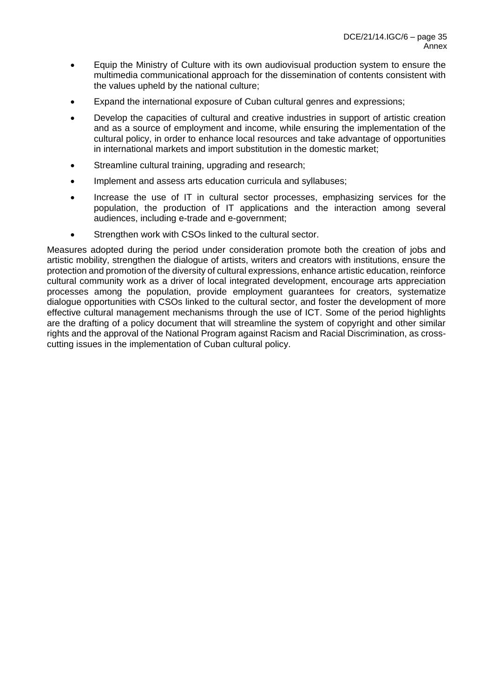- Equip the Ministry of Culture with its own audiovisual production system to ensure the multimedia communicational approach for the dissemination of contents consistent with the values upheld by the national culture;
- Expand the international exposure of Cuban cultural genres and expressions;
- Develop the capacities of cultural and creative industries in support of artistic creation and as a source of employment and income, while ensuring the implementation of the cultural policy, in order to enhance local resources and take advantage of opportunities in international markets and import substitution in the domestic market;
- Streamline cultural training, upgrading and research;
- Implement and assess arts education curricula and syllabuses;
- Increase the use of IT in cultural sector processes, emphasizing services for the population, the production of IT applications and the interaction among several audiences, including e-trade and e-government;
- Strengthen work with CSOs linked to the cultural sector.

Measures adopted during the period under consideration promote both the creation of jobs and artistic mobility, strengthen the dialogue of artists, writers and creators with institutions, ensure the protection and promotion of the diversity of cultural expressions, enhance artistic education, reinforce cultural community work as a driver of local integrated development, encourage arts appreciation processes among the population, provide employment guarantees for creators, systematize dialogue opportunities with CSOs linked to the cultural sector, and foster the development of more effective cultural management mechanisms through the use of ICT. Some of the period highlights are the drafting of a policy document that will streamline the system of copyright and other similar rights and the approval of the National Program against Racism and Racial Discrimination, as crosscutting issues in the implementation of Cuban cultural policy.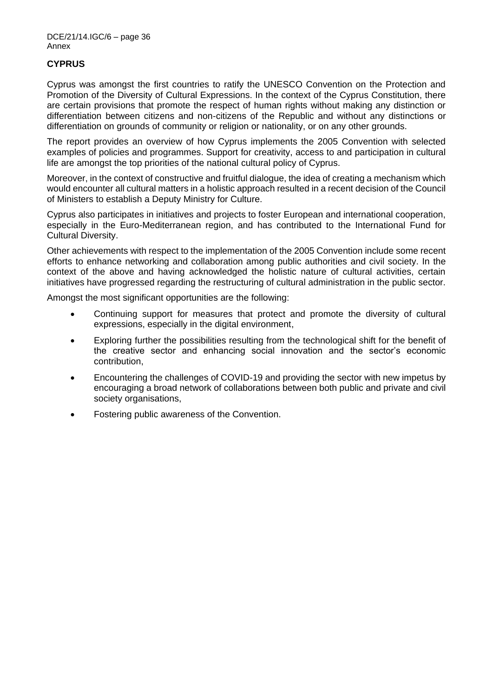## **CYPRUS**

Cyprus was amongst the first countries to ratify the UNESCO Convention on the Protection and Promotion of the Diversity of Cultural Expressions. In the context of the Cyprus Constitution, there are certain provisions that promote the respect of human rights without making any distinction or differentiation between citizens and non-citizens of the Republic and without any distinctions or differentiation on grounds of community or religion or nationality, or on any other grounds.

The report provides an overview of how Cyprus implements the 2005 Convention with selected examples of policies and programmes. Support for creativity, access to and participation in cultural life are amongst the top priorities of the national cultural policy of Cyprus.

Moreover, in the context of constructive and fruitful dialogue, the idea of creating a mechanism which would encounter all cultural matters in a holistic approach resulted in a recent decision of the Council of Ministers to establish a Deputy Ministry for Culture.

Cyprus also participates in initiatives and projects to foster European and international cooperation, especially in the Euro-Mediterranean region, and has contributed to the International Fund for Cultural Diversity.

Other achievements with respect to the implementation of the 2005 Convention include some recent efforts to enhance networking and collaboration among public authorities and civil society. In the context of the above and having acknowledged the holistic nature of cultural activities, certain initiatives have progressed regarding the restructuring of cultural administration in the public sector.

Amongst the most significant opportunities are the following:

- Continuing support for measures that protect and promote the diversity of cultural expressions, especially in the digital environment,
- Exploring further the possibilities resulting from the technological shift for the benefit of the creative sector and enhancing social innovation and the sector's economic contribution,
- Encountering the challenges of COVID-19 and providing the sector with new impetus by encouraging a broad network of collaborations between both public and private and civil society organisations,
- Fostering public awareness of the Convention.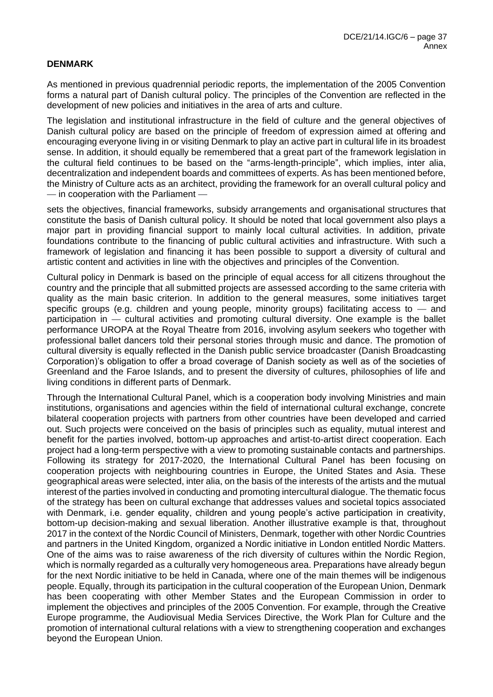### **DENMARK**

As mentioned in previous quadrennial periodic reports, the implementation of the 2005 Convention forms a natural part of Danish cultural policy. The principles of the Convention are reflected in the development of new policies and initiatives in the area of arts and culture.

The legislation and institutional infrastructure in the field of culture and the general objectives of Danish cultural policy are based on the principle of freedom of expression aimed at offering and encouraging everyone living in or visiting Denmark to play an active part in cultural life in its broadest sense. In addition, it should equally be remembered that a great part of the framework legislation in the cultural field continues to be based on the "arms-length-principle", which implies, inter alia, decentralization and independent boards and committees of experts. As has been mentioned before, the Ministry of Culture acts as an architect, providing the framework for an overall cultural policy and — in cooperation with the Parliament —

sets the objectives, financial frameworks, subsidy arrangements and organisational structures that constitute the basis of Danish cultural policy. It should be noted that local government also plays a major part in providing financial support to mainly local cultural activities. In addition, private foundations contribute to the financing of public cultural activities and infrastructure. With such a framework of legislation and financing it has been possible to support a diversity of cultural and artistic content and activities in line with the objectives and principles of the Convention.

Cultural policy in Denmark is based on the principle of equal access for all citizens throughout the country and the principle that all submitted projects are assessed according to the same criteria with quality as the main basic criterion. In addition to the general measures, some initiatives target specific groups (e.g. children and young people, minority groups) facilitating access to  $-$  and participation in — cultural activities and promoting cultural diversity. One example is the ballet performance UROPA at the Royal Theatre from 2016, involving asylum seekers who together with professional ballet dancers told their personal stories through music and dance. The promotion of cultural diversity is equally reflected in the Danish public service broadcaster (Danish Broadcasting Corporation)'s obligation to offer a broad coverage of Danish society as well as of the societies of Greenland and the Faroe Islands, and to present the diversity of cultures, philosophies of life and living conditions in different parts of Denmark.

Through the International Cultural Panel, which is a cooperation body involving Ministries and main institutions, organisations and agencies within the field of international cultural exchange, concrete bilateral cooperation projects with partners from other countries have been developed and carried out. Such projects were conceived on the basis of principles such as equality, mutual interest and benefit for the parties involved, bottom-up approaches and artist-to-artist direct cooperation. Each project had a long-term perspective with a view to promoting sustainable contacts and partnerships. Following its strategy for 2017-2020, the International Cultural Panel has been focusing on cooperation projects with neighbouring countries in Europe, the United States and Asia. These geographical areas were selected, inter alia, on the basis of the interests of the artists and the mutual interest of the parties involved in conducting and promoting intercultural dialogue. The thematic focus of the strategy has been on cultural exchange that addresses values and societal topics associated with Denmark, i.e. gender equality, children and young people's active participation in creativity, bottom-up decision-making and sexual liberation. Another illustrative example is that, throughout 2017 in the context of the Nordic Council of Ministers, Denmark, together with other Nordic Countries and partners in the United Kingdom, organized a Nordic initiative in London entitled Nordic Matters. One of the aims was to raise awareness of the rich diversity of cultures within the Nordic Region, which is normally regarded as a culturally very homogeneous area. Preparations have already begun for the next Nordic initiative to be held in Canada, where one of the main themes will be indigenous people. Equally, through its participation in the cultural cooperation of the European Union, Denmark has been cooperating with other Member States and the European Commission in order to implement the objectives and principles of the 2005 Convention. For example, through the Creative Europe programme, the Audiovisual Media Services Directive, the Work Plan for Culture and the promotion of international cultural relations with a view to strengthening cooperation and exchanges beyond the European Union.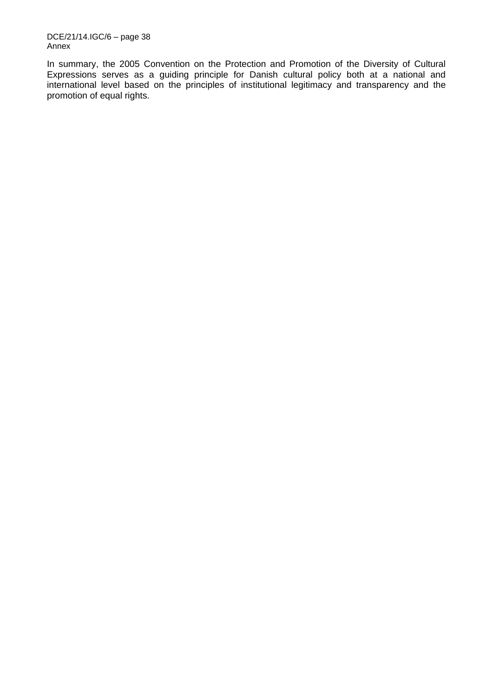DCE/21/14.IGC/6 – page 38 Annex

In summary, the 2005 Convention on the Protection and Promotion of the Diversity of Cultural Expressions serves as a guiding principle for Danish cultural policy both at a national and international level based on the principles of institutional legitimacy and transparency and the promotion of equal rights.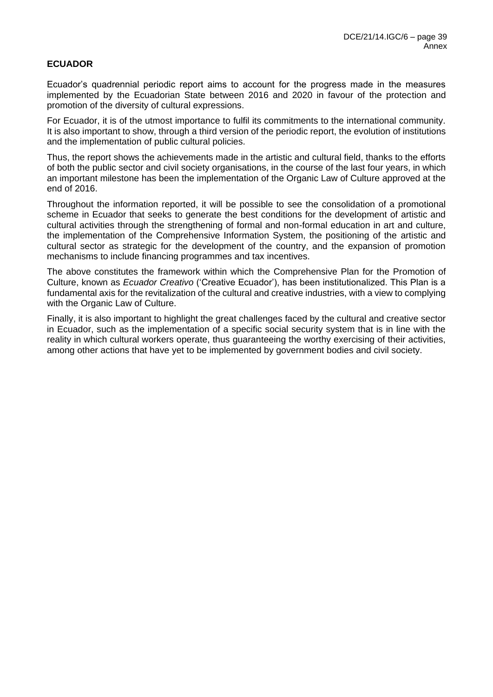## **ECUADOR**

Ecuador's quadrennial periodic report aims to account for the progress made in the measures implemented by the Ecuadorian State between 2016 and 2020 in favour of the protection and promotion of the diversity of cultural expressions.

For Ecuador, it is of the utmost importance to fulfil its commitments to the international community. It is also important to show, through a third version of the periodic report, the evolution of institutions and the implementation of public cultural policies.

Thus, the report shows the achievements made in the artistic and cultural field, thanks to the efforts of both the public sector and civil society organisations, in the course of the last four years, in which an important milestone has been the implementation of the Organic Law of Culture approved at the end of 2016.

Throughout the information reported, it will be possible to see the consolidation of a promotional scheme in Ecuador that seeks to generate the best conditions for the development of artistic and cultural activities through the strengthening of formal and non-formal education in art and culture, the implementation of the Comprehensive Information System, the positioning of the artistic and cultural sector as strategic for the development of the country, and the expansion of promotion mechanisms to include financing programmes and tax incentives.

The above constitutes the framework within which the Comprehensive Plan for the Promotion of Culture, known as *Ecuador Creativo* ('Creative Ecuador'), has been institutionalized. This Plan is a fundamental axis for the revitalization of the cultural and creative industries, with a view to complying with the Organic Law of Culture.

Finally, it is also important to highlight the great challenges faced by the cultural and creative sector in Ecuador, such as the implementation of a specific social security system that is in line with the reality in which cultural workers operate, thus guaranteeing the worthy exercising of their activities, among other actions that have yet to be implemented by government bodies and civil society.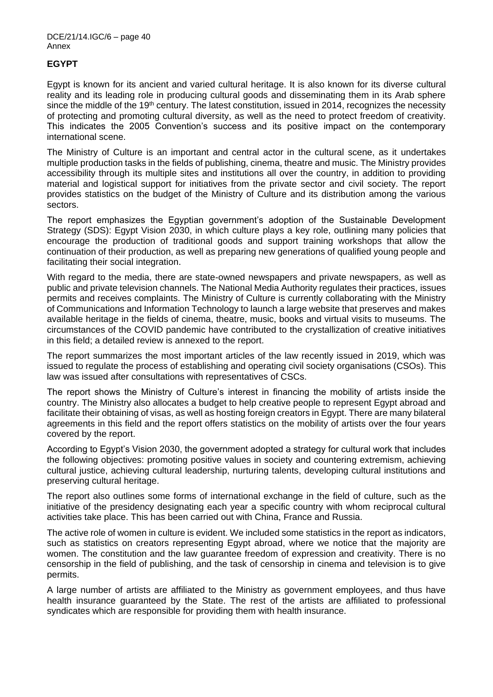# **EGYPT**

Egypt is known for its ancient and varied cultural heritage. It is also known for its diverse cultural reality and its leading role in producing cultural goods and disseminating them in its Arab sphere since the middle of the 19<sup>th</sup> century. The latest constitution, issued in 2014, recognizes the necessity of protecting and promoting cultural diversity, as well as the need to protect freedom of creativity. This indicates the 2005 Convention's success and its positive impact on the contemporary international scene.

The Ministry of Culture is an important and central actor in the cultural scene, as it undertakes multiple production tasks in the fields of publishing, cinema, theatre and music. The Ministry provides accessibility through its multiple sites and institutions all over the country, in addition to providing material and logistical support for initiatives from the private sector and civil society. The report provides statistics on the budget of the Ministry of Culture and its distribution among the various sectors.

The report emphasizes the Egyptian government's adoption of the Sustainable Development Strategy (SDS): Egypt Vision 2030, in which culture plays a key role, outlining many policies that encourage the production of traditional goods and support training workshops that allow the continuation of their production, as well as preparing new generations of qualified young people and facilitating their social integration.

With regard to the media, there are state-owned newspapers and private newspapers, as well as public and private television channels. The National Media Authority regulates their practices, issues permits and receives complaints. The Ministry of Culture is currently collaborating with the Ministry of Communications and Information Technology to launch a large website that preserves and makes available heritage in the fields of cinema, theatre, music, books and virtual visits to museums. The circumstances of the COVID pandemic have contributed to the crystallization of creative initiatives in this field; a detailed review is annexed to the report.

The report summarizes the most important articles of the law recently issued in 2019, which was issued to regulate the process of establishing and operating civil society organisations (CSOs). This law was issued after consultations with representatives of CSCs.

The report shows the Ministry of Culture's interest in financing the mobility of artists inside the country. The Ministry also allocates a budget to help creative people to represent Egypt abroad and facilitate their obtaining of visas, as well as hosting foreign creators in Egypt. There are many bilateral agreements in this field and the report offers statistics on the mobility of artists over the four years covered by the report.

According to Egypt's Vision 2030, the government adopted a strategy for cultural work that includes the following objectives: promoting positive values in society and countering extremism, achieving cultural justice, achieving cultural leadership, nurturing talents, developing cultural institutions and preserving cultural heritage.

The report also outlines some forms of international exchange in the field of culture, such as the initiative of the presidency designating each year a specific country with whom reciprocal cultural activities take place. This has been carried out with China, France and Russia.

The active role of women in culture is evident. We included some statistics in the report as indicators, such as statistics on creators representing Egypt abroad, where we notice that the majority are women. The constitution and the law guarantee freedom of expression and creativity. There is no censorship in the field of publishing, and the task of censorship in cinema and television is to give permits.

A large number of artists are affiliated to the Ministry as government employees, and thus have health insurance guaranteed by the State. The rest of the artists are affiliated to professional syndicates which are responsible for providing them with health insurance.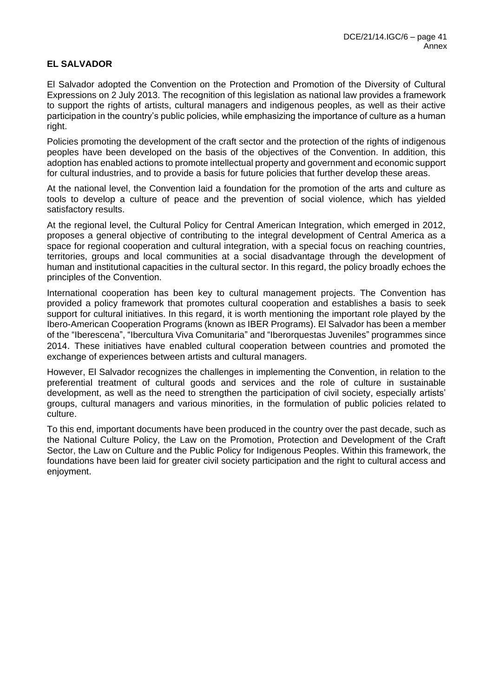# **EL SALVADOR**

El Salvador adopted the Convention on the Protection and Promotion of the Diversity of Cultural Expressions on 2 July 2013. The recognition of this legislation as national law provides a framework to support the rights of artists, cultural managers and indigenous peoples, as well as their active participation in the country's public policies, while emphasizing the importance of culture as a human right.

Policies promoting the development of the craft sector and the protection of the rights of indigenous peoples have been developed on the basis of the objectives of the Convention. In addition, this adoption has enabled actions to promote intellectual property and government and economic support for cultural industries, and to provide a basis for future policies that further develop these areas.

At the national level, the Convention laid a foundation for the promotion of the arts and culture as tools to develop a culture of peace and the prevention of social violence, which has yielded satisfactory results.

At the regional level, the Cultural Policy for Central American Integration, which emerged in 2012, proposes a general objective of contributing to the integral development of Central America as a space for regional cooperation and cultural integration, with a special focus on reaching countries, territories, groups and local communities at a social disadvantage through the development of human and institutional capacities in the cultural sector. In this regard, the policy broadly echoes the principles of the Convention.

International cooperation has been key to cultural management projects. The Convention has provided a policy framework that promotes cultural cooperation and establishes a basis to seek support for cultural initiatives. In this regard, it is worth mentioning the important role played by the Ibero-American Cooperation Programs (known as IBER Programs). El Salvador has been a member of the "Iberescena", "Ibercultura Viva Comunitaria" and "Iberorquestas Juveniles" programmes since 2014. These initiatives have enabled cultural cooperation between countries and promoted the exchange of experiences between artists and cultural managers.

However, El Salvador recognizes the challenges in implementing the Convention, in relation to the preferential treatment of cultural goods and services and the role of culture in sustainable development, as well as the need to strengthen the participation of civil society, especially artists' groups, cultural managers and various minorities, in the formulation of public policies related to culture.

To this end, important documents have been produced in the country over the past decade, such as the National Culture Policy, the Law on the Promotion, Protection and Development of the Craft Sector, the Law on Culture and the Public Policy for Indigenous Peoples. Within this framework, the foundations have been laid for greater civil society participation and the right to cultural access and enjoyment.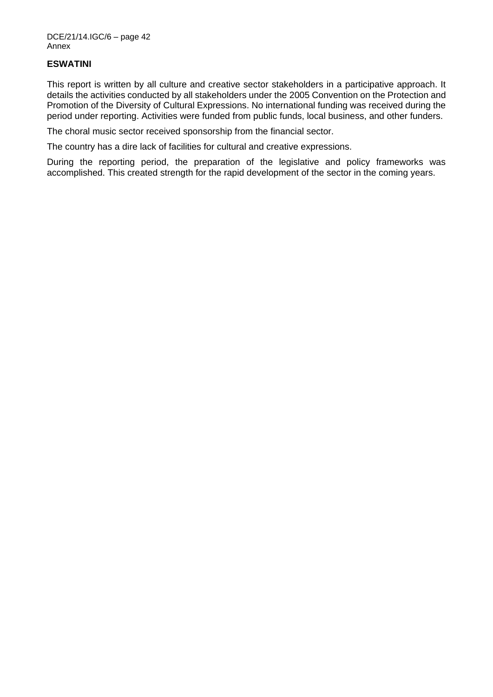## **ESWATINI**

This report is written by all culture and creative sector stakeholders in a participative approach. It details the activities conducted by all stakeholders under the 2005 Convention on the Protection and Promotion of the Diversity of Cultural Expressions. No international funding was received during the period under reporting. Activities were funded from public funds, local business, and other funders.

The choral music sector received sponsorship from the financial sector.

The country has a dire lack of facilities for cultural and creative expressions.

During the reporting period, the preparation of the legislative and policy frameworks was accomplished. This created strength for the rapid development of the sector in the coming years.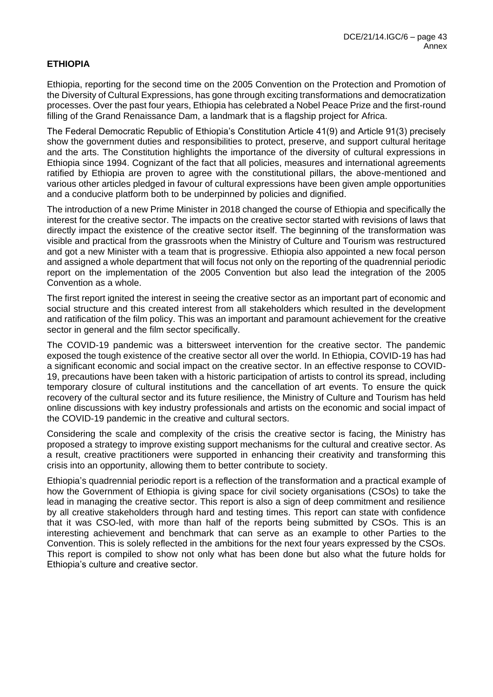# **ETHIOPIA**

Ethiopia, reporting for the second time on the 2005 Convention on the Protection and Promotion of the Diversity of Cultural Expressions, has gone through exciting transformations and democratization processes. Over the past four years, Ethiopia has celebrated a Nobel Peace Prize and the first-round filling of the Grand Renaissance Dam, a landmark that is a flagship project for Africa.

The Federal Democratic Republic of Ethiopia's Constitution Article 41(9) and Article 91(3) precisely show the government duties and responsibilities to protect, preserve, and support cultural heritage and the arts. The Constitution highlights the importance of the diversity of cultural expressions in Ethiopia since 1994. Cognizant of the fact that all policies, measures and international agreements ratified by Ethiopia are proven to agree with the constitutional pillars, the above-mentioned and various other articles pledged in favour of cultural expressions have been given ample opportunities and a conducive platform both to be underpinned by policies and dignified.

The introduction of a new Prime Minister in 2018 changed the course of Ethiopia and specifically the interest for the creative sector. The impacts on the creative sector started with revisions of laws that directly impact the existence of the creative sector itself. The beginning of the transformation was visible and practical from the grassroots when the Ministry of Culture and Tourism was restructured and got a new Minister with a team that is progressive. Ethiopia also appointed a new focal person and assigned a whole department that will focus not only on the reporting of the quadrennial periodic report on the implementation of the 2005 Convention but also lead the integration of the 2005 Convention as a whole.

The first report ignited the interest in seeing the creative sector as an important part of economic and social structure and this created interest from all stakeholders which resulted in the development and ratification of the film policy. This was an important and paramount achievement for the creative sector in general and the film sector specifically.

The COVID-19 pandemic was a bittersweet intervention for the creative sector. The pandemic exposed the tough existence of the creative sector all over the world. In Ethiopia, COVID-19 has had a significant economic and social impact on the creative sector. In an effective response to COVID-19, precautions have been taken with a historic participation of artists to control its spread, including temporary closure of cultural institutions and the cancellation of art events. To ensure the quick recovery of the cultural sector and its future resilience, the Ministry of Culture and Tourism has held online discussions with key industry professionals and artists on the economic and social impact of the COVID-19 pandemic in the creative and cultural sectors.

Considering the scale and complexity of the crisis the creative sector is facing, the Ministry has proposed a strategy to improve existing support mechanisms for the cultural and creative sector. As a result, creative practitioners were supported in enhancing their creativity and transforming this crisis into an opportunity, allowing them to better contribute to society.

Ethiopia's quadrennial periodic report is a reflection of the transformation and a practical example of how the Government of Ethiopia is giving space for civil society organisations (CSOs) to take the lead in managing the creative sector. This report is also a sign of deep commitment and resilience by all creative stakeholders through hard and testing times. This report can state with confidence that it was CSO-led, with more than half of the reports being submitted by CSOs. This is an interesting achievement and benchmark that can serve as an example to other Parties to the Convention. This is solely reflected in the ambitions for the next four years expressed by the CSOs. This report is compiled to show not only what has been done but also what the future holds for Ethiopia's culture and creative sector.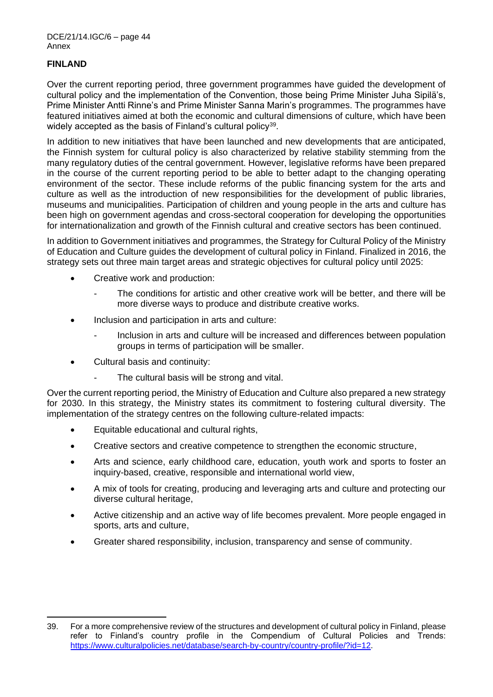## **FINLAND**

Over the current reporting period, three government programmes have guided the development of cultural policy and the implementation of the Convention, those being Prime Minister Juha Sipilä's, Prime Minister Antti Rinne's and Prime Minister Sanna Marin's programmes. The programmes have featured initiatives aimed at both the economic and cultural dimensions of culture, which have been widely accepted as the basis of Finland's cultural policy<sup>39</sup>.

In addition to new initiatives that have been launched and new developments that are anticipated, the Finnish system for cultural policy is also characterized by relative stability stemming from the many regulatory duties of the central government. However, legislative reforms have been prepared in the course of the current reporting period to be able to better adapt to the changing operating environment of the sector. These include reforms of the public financing system for the arts and culture as well as the introduction of new responsibilities for the development of public libraries, museums and municipalities. Participation of children and young people in the arts and culture has been high on government agendas and cross-sectoral cooperation for developing the opportunities for internationalization and growth of the Finnish cultural and creative sectors has been continued.

In addition to Government initiatives and programmes, the Strategy for Cultural Policy of the Ministry of Education and Culture guides the development of cultural policy in Finland. Finalized in 2016, the strategy sets out three main target areas and strategic objectives for cultural policy until 2025:

- Creative work and production:
	- The conditions for artistic and other creative work will be better, and there will be more diverse ways to produce and distribute creative works.
- Inclusion and participation in arts and culture:
	- Inclusion in arts and culture will be increased and differences between population groups in terms of participation will be smaller.
- Cultural basis and continuity:
	- The cultural basis will be strong and vital.

Over the current reporting period, the Ministry of Education and Culture also prepared a new strategy for 2030. In this strategy, the Ministry states its commitment to fostering cultural diversity. The implementation of the strategy centres on the following culture-related impacts:

- Equitable educational and cultural rights,
- Creative sectors and creative competence to strengthen the economic structure,
- Arts and science, early childhood care, education, youth work and sports to foster an inquiry-based, creative, responsible and international world view,
- A mix of tools for creating, producing and leveraging arts and culture and protecting our diverse cultural heritage,
- Active citizenship and an active way of life becomes prevalent. More people engaged in sports, arts and culture,
- Greater shared responsibility, inclusion, transparency and sense of community.

<sup>39.</sup> For a more comprehensive review of the structures and development of cultural policy in Finland, please refer to Finland's country profile in the Compendium of Cultural Policies and Trends: [https://www.culturalpolicies.net/database/search-by-country/country-profile/?id=12.](https://www.culturalpolicies.net/database/search-by-country/country-profile/?id=12)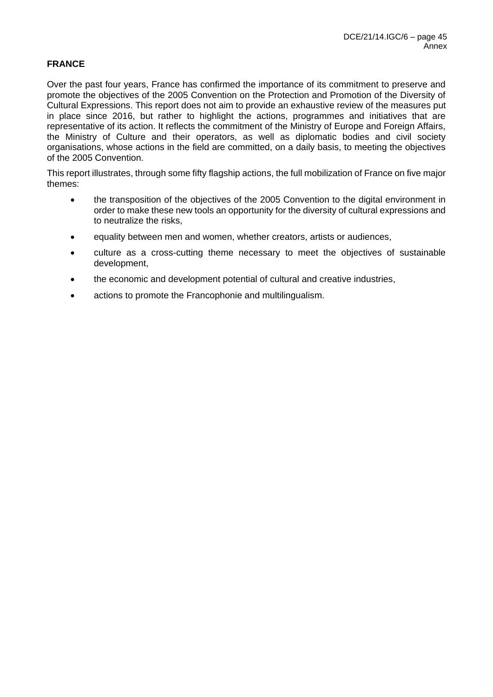## **FRANCE**

Over the past four years, France has confirmed the importance of its commitment to preserve and promote the objectives of the 2005 Convention on the Protection and Promotion of the Diversity of Cultural Expressions. This report does not aim to provide an exhaustive review of the measures put in place since 2016, but rather to highlight the actions, programmes and initiatives that are representative of its action. It reflects the commitment of the Ministry of Europe and Foreign Affairs, the Ministry of Culture and their operators, as well as diplomatic bodies and civil society organisations, whose actions in the field are committed, on a daily basis, to meeting the objectives of the 2005 Convention.

This report illustrates, through some fifty flagship actions, the full mobilization of France on five major themes:

- the transposition of the objectives of the 2005 Convention to the digital environment in order to make these new tools an opportunity for the diversity of cultural expressions and to neutralize the risks,
- equality between men and women, whether creators, artists or audiences,
- culture as a cross-cutting theme necessary to meet the objectives of sustainable development,
- the economic and development potential of cultural and creative industries,
- actions to promote the Francophonie and multilingualism.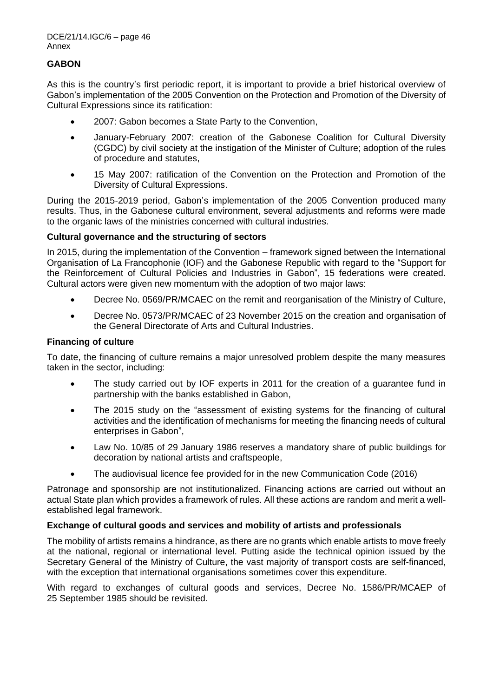## **GABON**

As this is the country's first periodic report, it is important to provide a brief historical overview of Gabon's implementation of the 2005 Convention on the Protection and Promotion of the Diversity of Cultural Expressions since its ratification:

- 2007: Gabon becomes a State Party to the Convention,
- January-February 2007: creation of the Gabonese Coalition for Cultural Diversity (CGDC) by civil society at the instigation of the Minister of Culture; adoption of the rules of procedure and statutes,
- 15 May 2007: ratification of the Convention on the Protection and Promotion of the Diversity of Cultural Expressions.

During the 2015-2019 period, Gabon's implementation of the 2005 Convention produced many results. Thus, in the Gabonese cultural environment, several adjustments and reforms were made to the organic laws of the ministries concerned with cultural industries.

## **Cultural governance and the structuring of sectors**

In 2015, during the implementation of the Convention – framework signed between the International Organisation of La Francophonie (IOF) and the Gabonese Republic with regard to the "Support for the Reinforcement of Cultural Policies and Industries in Gabon", 15 federations were created. Cultural actors were given new momentum with the adoption of two major laws:

- Decree No. 0569/PR/MCAEC on the remit and reorganisation of the Ministry of Culture,
- Decree No. 0573/PR/MCAEC of 23 November 2015 on the creation and organisation of the General Directorate of Arts and Cultural Industries.

## **Financing of culture**

To date, the financing of culture remains a major unresolved problem despite the many measures taken in the sector, including:

- The study carried out by IOF experts in 2011 for the creation of a guarantee fund in partnership with the banks established in Gabon,
- The 2015 study on the "assessment of existing systems for the financing of cultural activities and the identification of mechanisms for meeting the financing needs of cultural enterprises in Gabon",
- Law No. 10/85 of 29 January 1986 reserves a mandatory share of public buildings for decoration by national artists and craftspeople,
- The audiovisual licence fee provided for in the new Communication Code (2016)

Patronage and sponsorship are not institutionalized. Financing actions are carried out without an actual State plan which provides a framework of rules. All these actions are random and merit a wellestablished legal framework.

## **Exchange of cultural goods and services and mobility of artists and professionals**

The mobility of artists remains a hindrance, as there are no grants which enable artists to move freely at the national, regional or international level. Putting aside the technical opinion issued by the Secretary General of the Ministry of Culture, the vast majority of transport costs are self-financed. with the exception that international organisations sometimes cover this expenditure.

With regard to exchanges of cultural goods and services, Decree No. 1586/PR/MCAEP of 25 September 1985 should be revisited.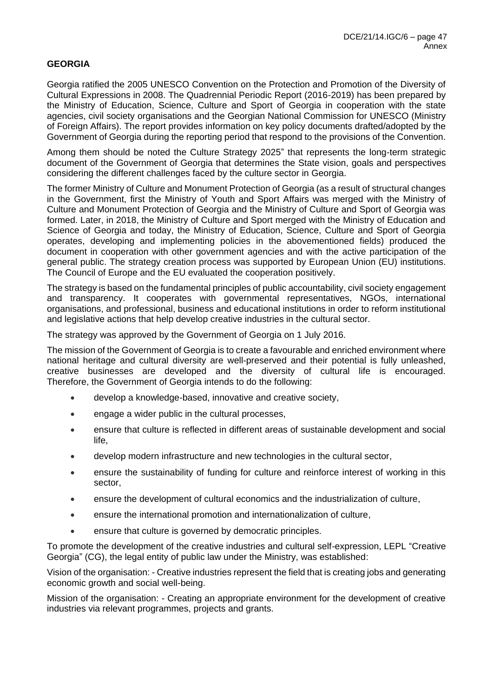# **GEORGIA**

Georgia ratified the 2005 UNESCO Convention on the Protection and Promotion of the Diversity of Cultural Expressions in 2008. The Quadrennial Periodic Report (2016-2019) has been prepared by the Ministry of Education, Science, Culture and Sport of Georgia in cooperation with the state agencies, civil society organisations and the Georgian National Commission for UNESCO (Ministry of Foreign Affairs). The report provides information on key policy documents drafted/adopted by the Government of Georgia during the reporting period that respond to the provisions of the Convention.

Among them should be noted the Culture Strategy 2025" that represents the long-term strategic document of the Government of Georgia that determines the State vision, goals and perspectives considering the different challenges faced by the culture sector in Georgia.

The former Ministry of Culture and Monument Protection of Georgia (as a result of structural changes in the Government, first the Ministry of Youth and Sport Affairs was merged with the Ministry of Culture and Monument Protection of Georgia and the Ministry of Culture and Sport of Georgia was formed. Later, in 2018, the Ministry of Culture and Sport merged with the Ministry of Education and Science of Georgia and today, the Ministry of Education, Science, Culture and Sport of Georgia operates, developing and implementing policies in the abovementioned fields) produced the document in cooperation with other government agencies and with the active participation of the general public. The strategy creation process was supported by European Union (EU) institutions. The Council of Europe and the EU evaluated the cooperation positively.

The strategy is based on the fundamental principles of public accountability, civil society engagement and transparency. It cooperates with governmental representatives, NGOs, international organisations, and professional, business and educational institutions in order to reform institutional and legislative actions that help develop creative industries in the cultural sector.

The strategy was approved by the Government of Georgia on 1 July 2016.

The mission of the Government of Georgia is to create a favourable and enriched environment where national heritage and cultural diversity are well-preserved and their potential is fully unleashed, creative businesses are developed and the diversity of cultural life is encouraged. Therefore, the Government of Georgia intends to do the following:

- develop a knowledge-based, innovative and creative society,
- engage a wider public in the cultural processes,
- ensure that culture is reflected in different areas of sustainable development and social life,
- develop modern infrastructure and new technologies in the cultural sector,
- ensure the sustainability of funding for culture and reinforce interest of working in this sector,
- ensure the development of cultural economics and the industrialization of culture,
- ensure the international promotion and internationalization of culture,
- ensure that culture is governed by democratic principles.

To promote the development of the creative industries and cultural self-expression, LEPL "Creative Georgia" (CG), the legal entity of public law under the Ministry, was established:

Vision of the organisation: - Creative industries represent the field that is creating jobs and generating economic growth and social well-being.

Mission of the organisation: - Creating an appropriate environment for the development of creative industries via relevant programmes, projects and grants.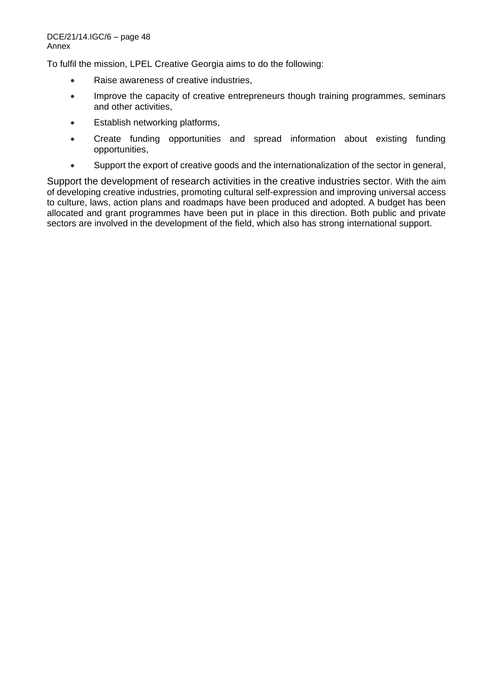To fulfil the mission, LPEL Creative Georgia aims to do the following:

- Raise awareness of creative industries,
- Improve the capacity of creative entrepreneurs though training programmes, seminars and other activities,
- Establish networking platforms,
- Create funding opportunities and spread information about existing funding opportunities,
- Support the export of creative goods and the internationalization of the sector in general,

Support the development of research activities in the creative industries sector. With the aim of developing creative industries, promoting cultural self-expression and improving universal access to culture, laws, action plans and roadmaps have been produced and adopted. A budget has been allocated and grant programmes have been put in place in this direction. Both public and private sectors are involved in the development of the field, which also has strong international support.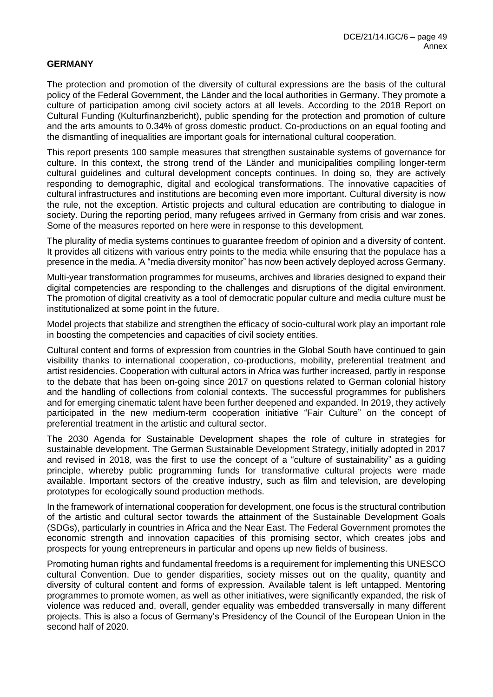### **GERMANY**

The protection and promotion of the diversity of cultural expressions are the basis of the cultural policy of the Federal Government, the Länder and the local authorities in Germany. They promote a culture of participation among civil society actors at all levels. According to the 2018 Report on Cultural Funding (Kulturfinanzbericht), public spending for the protection and promotion of culture and the arts amounts to 0.34% of gross domestic product. Co-productions on an equal footing and the dismantling of inequalities are important goals for international cultural cooperation.

This report presents 100 sample measures that strengthen sustainable systems of governance for culture. In this context, the strong trend of the Länder and municipalities compiling longer-term cultural guidelines and cultural development concepts continues. In doing so, they are actively responding to demographic, digital and ecological transformations. The innovative capacities of cultural infrastructures and institutions are becoming even more important. Cultural diversity is now the rule, not the exception. Artistic projects and cultural education are contributing to dialogue in society. During the reporting period, many refugees arrived in Germany from crisis and war zones. Some of the measures reported on here were in response to this development.

The plurality of media systems continues to guarantee freedom of opinion and a diversity of content. It provides all citizens with various entry points to the media while ensuring that the populace has a presence in the media. A "media diversity monitor" has now been actively deployed across Germany.

Multi-year transformation programmes for museums, archives and libraries designed to expand their digital competencies are responding to the challenges and disruptions of the digital environment. The promotion of digital creativity as a tool of democratic popular culture and media culture must be institutionalized at some point in the future.

Model projects that stabilize and strengthen the efficacy of socio-cultural work play an important role in boosting the competencies and capacities of civil society entities.

Cultural content and forms of expression from countries in the Global South have continued to gain visibility thanks to international cooperation, co-productions, mobility, preferential treatment and artist residencies. Cooperation with cultural actors in Africa was further increased, partly in response to the debate that has been on-going since 2017 on questions related to German colonial history and the handling of collections from colonial contexts. The successful programmes for publishers and for emerging cinematic talent have been further deepened and expanded. In 2019, they actively participated in the new medium-term cooperation initiative "Fair Culture" on the concept of preferential treatment in the artistic and cultural sector.

The 2030 Agenda for Sustainable Development shapes the role of culture in strategies for sustainable development. The German Sustainable Development Strategy, initially adopted in 2017 and revised in 2018, was the first to use the concept of a "culture of sustainability" as a guiding principle, whereby public programming funds for transformative cultural projects were made available. Important sectors of the creative industry, such as film and television, are developing prototypes for ecologically sound production methods.

In the framework of international cooperation for development, one focus is the structural contribution of the artistic and cultural sector towards the attainment of the Sustainable Development Goals (SDGs), particularly in countries in Africa and the Near East. The Federal Government promotes the economic strength and innovation capacities of this promising sector, which creates jobs and prospects for young entrepreneurs in particular and opens up new fields of business.

Promoting human rights and fundamental freedoms is a requirement for implementing this UNESCO cultural Convention. Due to gender disparities, society misses out on the quality, quantity and diversity of cultural content and forms of expression. Available talent is left untapped. Mentoring programmes to promote women, as well as other initiatives, were significantly expanded, the risk of violence was reduced and, overall, gender equality was embedded transversally in many different projects. This is also a focus of Germany's Presidency of the Council of the European Union in the second half of 2020.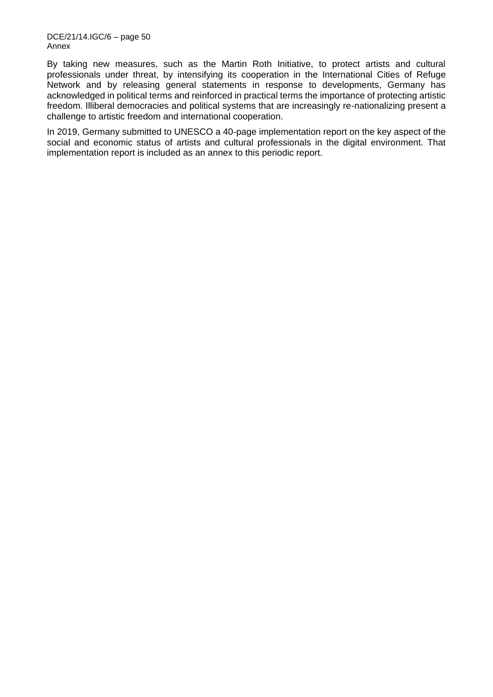By taking new measures, such as the Martin Roth Initiative, to protect artists and cultural professionals under threat, by intensifying its cooperation in the International Cities of Refuge Network and by releasing general statements in response to developments, Germany has acknowledged in political terms and reinforced in practical terms the importance of protecting artistic freedom. Illiberal democracies and political systems that are increasingly re-nationalizing present a challenge to artistic freedom and international cooperation.

In 2019, Germany submitted to UNESCO a 40-page implementation report on the key aspect of the social and economic status of artists and cultural professionals in the digital environment. That implementation report is included as an annex to this periodic report.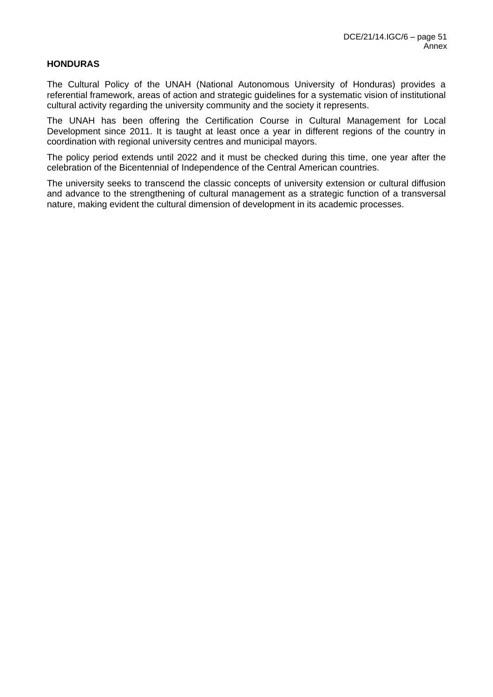## **HONDURAS**

The Cultural Policy of the UNAH (National Autonomous University of Honduras) provides a referential framework, areas of action and strategic guidelines for a systematic vision of institutional cultural activity regarding the university community and the society it represents.

The UNAH has been offering the Certification Course in Cultural Management for Local Development since 2011. It is taught at least once a year in different regions of the country in coordination with regional university centres and municipal mayors.

The policy period extends until 2022 and it must be checked during this time, one year after the celebration of the Bicentennial of Independence of the Central American countries.

The university seeks to transcend the classic concepts of university extension or cultural diffusion and advance to the strengthening of cultural management as a strategic function of a transversal nature, making evident the cultural dimension of development in its academic processes.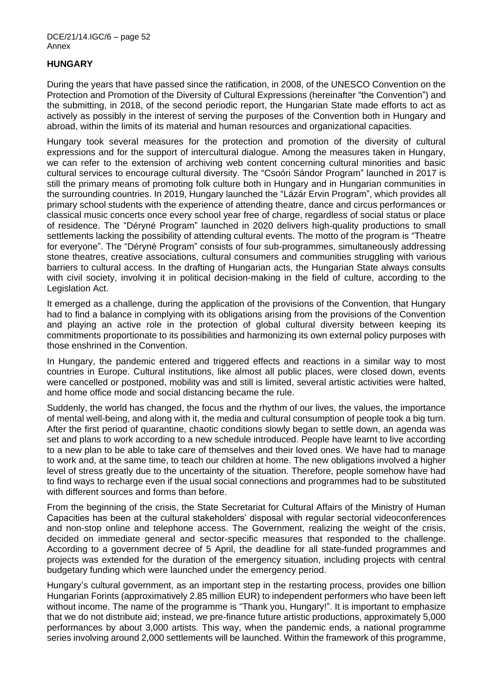## **HUNGARY**

During the years that have passed since the ratification, in 2008, of the UNESCO Convention on the Protection and Promotion of the Diversity of Cultural Expressions (hereinafter "the Convention") and the submitting, in 2018, of the second periodic report, the Hungarian State made efforts to act as actively as possibly in the interest of serving the purposes of the Convention both in Hungary and abroad, within the limits of its material and human resources and organizational capacities.

Hungary took several measures for the protection and promotion of the diversity of cultural expressions and for the support of intercultural dialogue. Among the measures taken in Hungary, we can refer to the extension of archiving web content concerning cultural minorities and basic cultural services to encourage cultural diversity. The "Csoóri Sándor Program" launched in 2017 is still the primary means of promoting folk culture both in Hungary and in Hungarian communities in the surrounding countries. In 2019, Hungary launched the "Lázár Ervin Program", which provides all primary school students with the experience of attending theatre, dance and circus performances or classical music concerts once every school year free of charge, regardless of social status or place of residence. The "Déryné Program" launched in 2020 delivers high-quality productions to small settlements lacking the possibility of attending cultural events. The motto of the program is "Theatre for everyone". The "Déryné Program" consists of four sub-programmes, simultaneously addressing stone theatres, creative associations, cultural consumers and communities struggling with various barriers to cultural access. In the drafting of Hungarian acts, the Hungarian State always consults with civil society, involving it in political decision-making in the field of culture, according to the Legislation Act.

It emerged as a challenge, during the application of the provisions of the Convention, that Hungary had to find a balance in complying with its obligations arising from the provisions of the Convention and playing an active role in the protection of global cultural diversity between keeping its commitments proportionate to its possibilities and harmonizing its own external policy purposes with those enshrined in the Convention.

In Hungary, the pandemic entered and triggered effects and reactions in a similar way to most countries in Europe. Cultural institutions, like almost all public places, were closed down, events were cancelled or postponed, mobility was and still is limited, several artistic activities were halted, and home office mode and social distancing became the rule.

Suddenly, the world has changed, the focus and the rhythm of our lives, the values, the importance of mental well-being, and along with it, the media and cultural consumption of people took a big turn. After the first period of quarantine, chaotic conditions slowly began to settle down, an agenda was set and plans to work according to a new schedule introduced. People have learnt to live according to a new plan to be able to take care of themselves and their loved ones. We have had to manage to work and, at the same time, to teach our children at home. The new obligations involved a higher level of stress greatly due to the uncertainty of the situation. Therefore, people somehow have had to find ways to recharge even if the usual social connections and programmes had to be substituted with different sources and forms than before.

From the beginning of the crisis, the State Secretariat for Cultural Affairs of the Ministry of Human Capacities has been at the cultural stakeholders' disposal with regular sectorial videoconferences and non-stop online and telephone access. The Government, realizing the weight of the crisis, decided on immediate general and sector-specific measures that responded to the challenge. According to a government decree of 5 April, the deadline for all state-funded programmes and projects was extended for the duration of the emergency situation, including projects with central budgetary funding which were launched under the emergency period.

Hungary's cultural government, as an important step in the restarting process, provides one billion Hungarian Forints (approximatively 2.85 million EUR) to independent performers who have been left without income. The name of the programme is "Thank you, Hungary!". It is important to emphasize that we do not distribute aid; instead, we pre-finance future artistic productions, approximately 5,000 performances by about 3,000 artists. This way, when the pandemic ends, a national programme series involving around 2,000 settlements will be launched. Within the framework of this programme,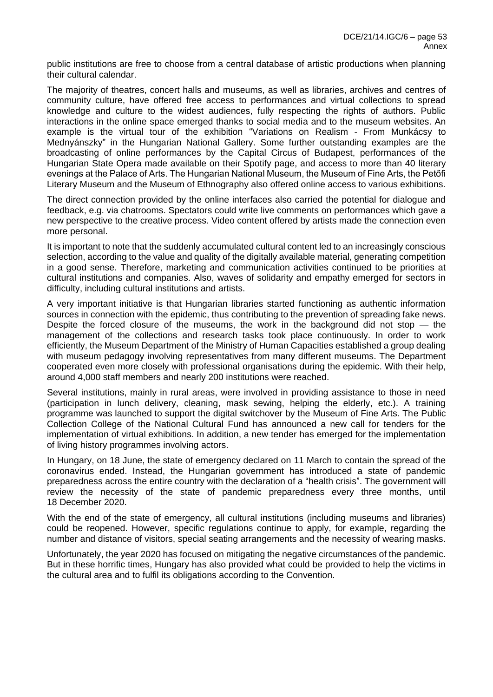public institutions are free to choose from a central database of artistic productions when planning their cultural calendar.

The majority of theatres, concert halls and museums, as well as libraries, archives and centres of community culture, have offered free access to performances and virtual collections to spread knowledge and culture to the widest audiences, fully respecting the rights of authors. Public interactions in the online space emerged thanks to social media and to the museum websites. An example is the virtual tour of the exhibition "Variations on Realism - From Munkácsy to Mednyánszky" in the Hungarian National Gallery. Some further outstanding examples are the broadcasting of online performances by the Capital Circus of Budapest, performances of the Hungarian State Opera made available on their Spotify page, and access to more than 40 literary evenings at the Palace of Arts. The Hungarian National Museum, the Museum of Fine Arts, the Petőfi Literary Museum and the Museum of Ethnography also offered online access to various exhibitions.

The direct connection provided by the online interfaces also carried the potential for dialogue and feedback, e.g. via chatrooms. Spectators could write live comments on performances which gave a new perspective to the creative process. Video content offered by artists made the connection even more personal.

It is important to note that the suddenly accumulated cultural content led to an increasingly conscious selection, according to the value and quality of the digitally available material, generating competition in a good sense. Therefore, marketing and communication activities continued to be priorities at cultural institutions and companies. Also, waves of solidarity and empathy emerged for sectors in difficulty, including cultural institutions and artists.

A very important initiative is that Hungarian libraries started functioning as authentic information sources in connection with the epidemic, thus contributing to the prevention of spreading fake news. Despite the forced closure of the museums, the work in the background did not stop  $-$  the management of the collections and research tasks took place continuously. In order to work efficiently, the Museum Department of the Ministry of Human Capacities established a group dealing with museum pedagogy involving representatives from many different museums. The Department cooperated even more closely with professional organisations during the epidemic. With their help, around 4,000 staff members and nearly 200 institutions were reached.

Several institutions, mainly in rural areas, were involved in providing assistance to those in need (participation in lunch delivery, cleaning, mask sewing, helping the elderly, etc.). A training programme was launched to support the digital switchover by the Museum of Fine Arts. The Public Collection College of the National Cultural Fund has announced a new call for tenders for the implementation of virtual exhibitions. In addition, a new tender has emerged for the implementation of living history programmes involving actors.

In Hungary, on 18 June, the state of emergency declared on 11 March to contain the spread of the coronavirus ended. Instead, the Hungarian government has introduced a state of pandemic preparedness across the entire country with the declaration of a "health crisis". The government will review the necessity of the state of pandemic preparedness every three months, until 18 December 2020.

With the end of the state of emergency, all cultural institutions (including museums and libraries) could be reopened. However, specific regulations continue to apply, for example, regarding the number and distance of visitors, special seating arrangements and the necessity of wearing masks.

Unfortunately, the year 2020 has focused on mitigating the negative circumstances of the pandemic. But in these horrific times, Hungary has also provided what could be provided to help the victims in the cultural area and to fulfil its obligations according to the Convention.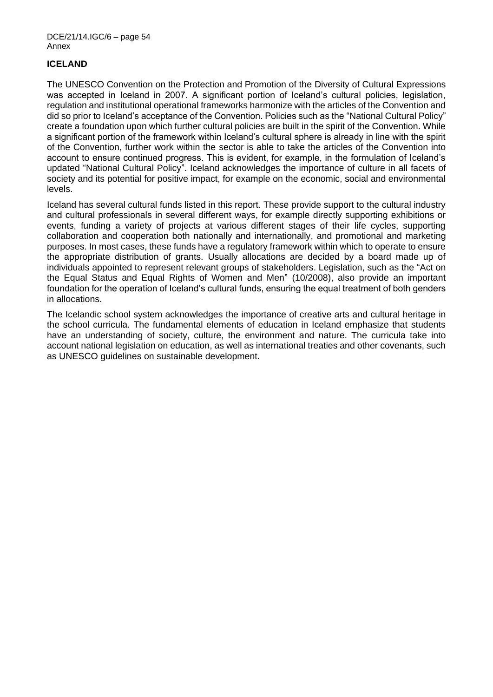## **ICELAND**

The UNESCO Convention on the Protection and Promotion of the Diversity of Cultural Expressions was accepted in Iceland in 2007. A significant portion of Iceland's cultural policies, legislation, regulation and institutional operational frameworks harmonize with the articles of the Convention and did so prior to Iceland's acceptance of the Convention. Policies such as the "National Cultural Policy" create a foundation upon which further cultural policies are built in the spirit of the Convention. While a significant portion of the framework within Iceland's cultural sphere is already in line with the spirit of the Convention, further work within the sector is able to take the articles of the Convention into account to ensure continued progress. This is evident, for example, in the formulation of Iceland's updated "National Cultural Policy". Iceland acknowledges the importance of culture in all facets of society and its potential for positive impact, for example on the economic, social and environmental levels.

Iceland has several cultural funds listed in this report. These provide support to the cultural industry and cultural professionals in several different ways, for example directly supporting exhibitions or events, funding a variety of projects at various different stages of their life cycles, supporting collaboration and cooperation both nationally and internationally, and promotional and marketing purposes. In most cases, these funds have a regulatory framework within which to operate to ensure the appropriate distribution of grants. Usually allocations are decided by a board made up of individuals appointed to represent relevant groups of stakeholders. Legislation, such as the "Act on the Equal Status and Equal Rights of Women and Men" (10/2008), also provide an important foundation for the operation of Iceland's cultural funds, ensuring the equal treatment of both genders in allocations.

The Icelandic school system acknowledges the importance of creative arts and cultural heritage in the school curricula. The fundamental elements of education in Iceland emphasize that students have an understanding of society, culture, the environment and nature. The curricula take into account national legislation on education, as well as international treaties and other covenants, such as UNESCO guidelines on sustainable development.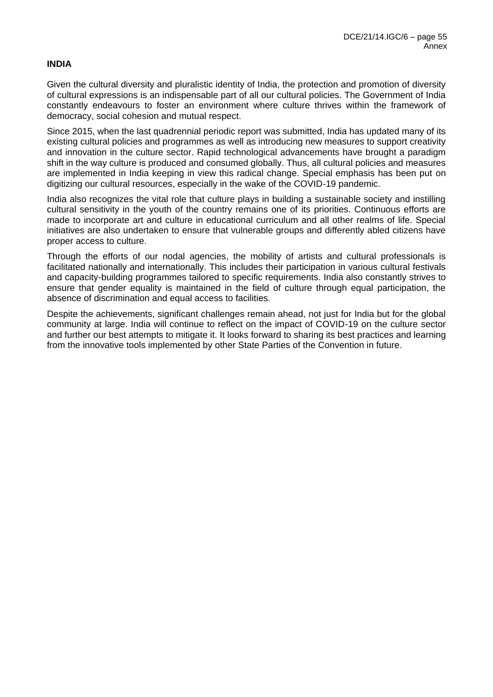### **INDIA**

Given the cultural diversity and pluralistic identity of India, the protection and promotion of diversity of cultural expressions is an indispensable part of all our cultural policies. The Government of India constantly endeavours to foster an environment where culture thrives within the framework of democracy, social cohesion and mutual respect.

Since 2015, when the last quadrennial periodic report was submitted, India has updated many of its existing cultural policies and programmes as well as introducing new measures to support creativity and innovation in the culture sector. Rapid technological advancements have brought a paradigm shift in the way culture is produced and consumed globally. Thus, all cultural policies and measures are implemented in India keeping in view this radical change. Special emphasis has been put on digitizing our cultural resources, especially in the wake of the COVID-19 pandemic.

India also recognizes the vital role that culture plays in building a sustainable society and instilling cultural sensitivity in the youth of the country remains one of its priorities. Continuous efforts are made to incorporate art and culture in educational curriculum and all other realms of life. Special initiatives are also undertaken to ensure that vulnerable groups and differently abled citizens have proper access to culture.

Through the efforts of our nodal agencies, the mobility of artists and cultural professionals is facilitated nationally and internationally. This includes their participation in various cultural festivals and capacity-building programmes tailored to specific requirements. India also constantly strives to ensure that gender equality is maintained in the field of culture through equal participation, the absence of discrimination and equal access to facilities.

Despite the achievements, significant challenges remain ahead, not just for India but for the global community at large. India will continue to reflect on the impact of COVID-19 on the culture sector and further our best attempts to mitigate it. It looks forward to sharing its best practices and learning from the innovative tools implemented by other State Parties of the Convention in future.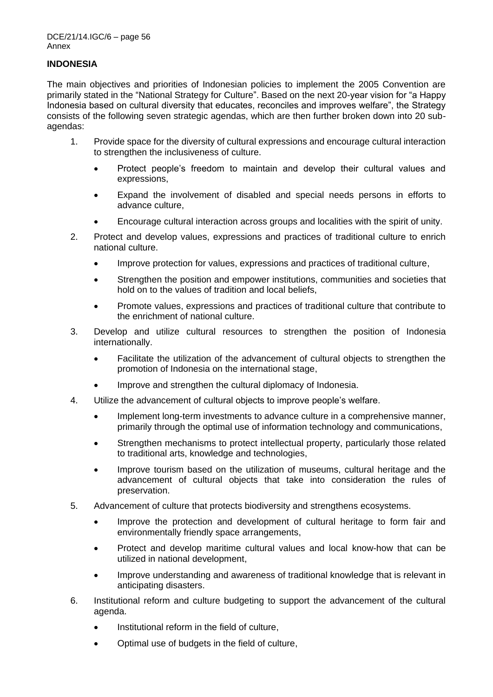## **INDONESIA**

The main objectives and priorities of Indonesian policies to implement the 2005 Convention are primarily stated in the "National Strategy for Culture". Based on the next 20-year vision for "a Happy Indonesia based on cultural diversity that educates, reconciles and improves welfare", the Strategy consists of the following seven strategic agendas, which are then further broken down into 20 subagendas:

- 1. Provide space for the diversity of cultural expressions and encourage cultural interaction to strengthen the inclusiveness of culture.
	- Protect people's freedom to maintain and develop their cultural values and expressions,
	- Expand the involvement of disabled and special needs persons in efforts to advance culture,
	- Encourage cultural interaction across groups and localities with the spirit of unity.
- 2. Protect and develop values, expressions and practices of traditional culture to enrich national culture.
	- Improve protection for values, expressions and practices of traditional culture,
	- Strengthen the position and empower institutions, communities and societies that hold on to the values of tradition and local beliefs,
	- Promote values, expressions and practices of traditional culture that contribute to the enrichment of national culture.
- 3. Develop and utilize cultural resources to strengthen the position of Indonesia internationally.
	- Facilitate the utilization of the advancement of cultural objects to strengthen the promotion of Indonesia on the international stage,
	- Improve and strengthen the cultural diplomacy of Indonesia.
- 4. Utilize the advancement of cultural objects to improve people's welfare.
	- Implement long-term investments to advance culture in a comprehensive manner, primarily through the optimal use of information technology and communications,
	- Strengthen mechanisms to protect intellectual property, particularly those related to traditional arts, knowledge and technologies,
	- Improve tourism based on the utilization of museums, cultural heritage and the advancement of cultural objects that take into consideration the rules of preservation.
- 5. Advancement of culture that protects biodiversity and strengthens ecosystems.
	- Improve the protection and development of cultural heritage to form fair and environmentally friendly space arrangements,
	- Protect and develop maritime cultural values and local know-how that can be utilized in national development,
	- Improve understanding and awareness of traditional knowledge that is relevant in anticipating disasters.
- 6. Institutional reform and culture budgeting to support the advancement of the cultural agenda.
	- Institutional reform in the field of culture,
	- Optimal use of budgets in the field of culture,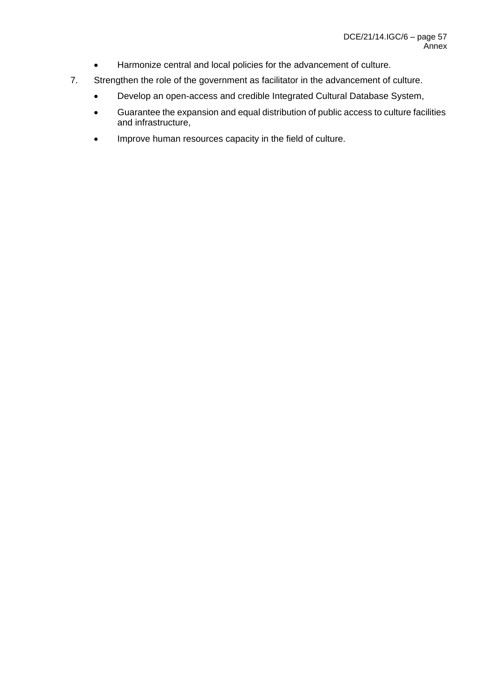- Harmonize central and local policies for the advancement of culture.
- 7. Strengthen the role of the government as facilitator in the advancement of culture.
	- Develop an open-access and credible Integrated Cultural Database System,
	- Guarantee the expansion and equal distribution of public access to culture facilities and infrastructure,
	- Improve human resources capacity in the field of culture.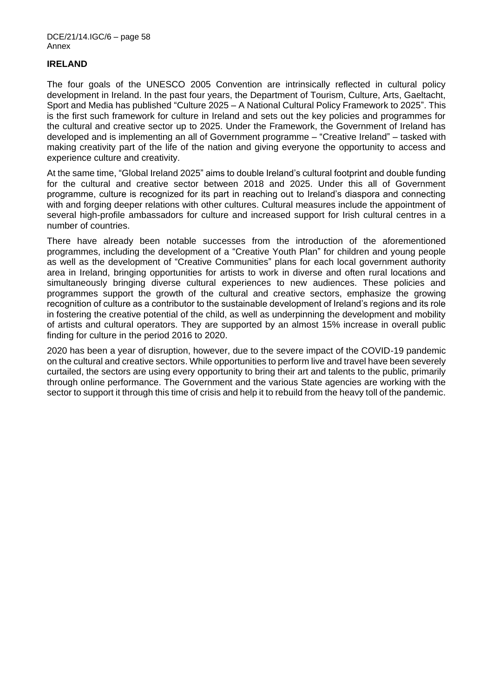#### **IRELAND**

The four goals of the UNESCO 2005 Convention are intrinsically reflected in cultural policy development in Ireland. In the past four years, the Department of Tourism, Culture, Arts, Gaeltacht, Sport and Media has published "Culture 2025 – A National Cultural Policy Framework to 2025". This is the first such framework for culture in Ireland and sets out the key policies and programmes for the cultural and creative sector up to 2025. Under the Framework, the Government of Ireland has developed and is implementing an all of Government programme – "Creative Ireland" – tasked with making creativity part of the life of the nation and giving everyone the opportunity to access and experience culture and creativity.

At the same time, "Global Ireland 2025" aims to double Ireland's cultural footprint and double funding for the cultural and creative sector between 2018 and 2025. Under this all of Government programme, culture is recognized for its part in reaching out to Ireland's diaspora and connecting with and forging deeper relations with other cultures. Cultural measures include the appointment of several high-profile ambassadors for culture and increased support for Irish cultural centres in a number of countries.

There have already been notable successes from the introduction of the aforementioned programmes, including the development of a "Creative Youth Plan" for children and young people as well as the development of "Creative Communities" plans for each local government authority area in Ireland, bringing opportunities for artists to work in diverse and often rural locations and simultaneously bringing diverse cultural experiences to new audiences. These policies and programmes support the growth of the cultural and creative sectors, emphasize the growing recognition of culture as a contributor to the sustainable development of Ireland's regions and its role in fostering the creative potential of the child, as well as underpinning the development and mobility of artists and cultural operators. They are supported by an almost 15% increase in overall public finding for culture in the period 2016 to 2020.

2020 has been a year of disruption, however, due to the severe impact of the COVID-19 pandemic on the cultural and creative sectors. While opportunities to perform live and travel have been severely curtailed, the sectors are using every opportunity to bring their art and talents to the public, primarily through online performance. The Government and the various State agencies are working with the sector to support it through this time of crisis and help it to rebuild from the heavy toll of the pandemic.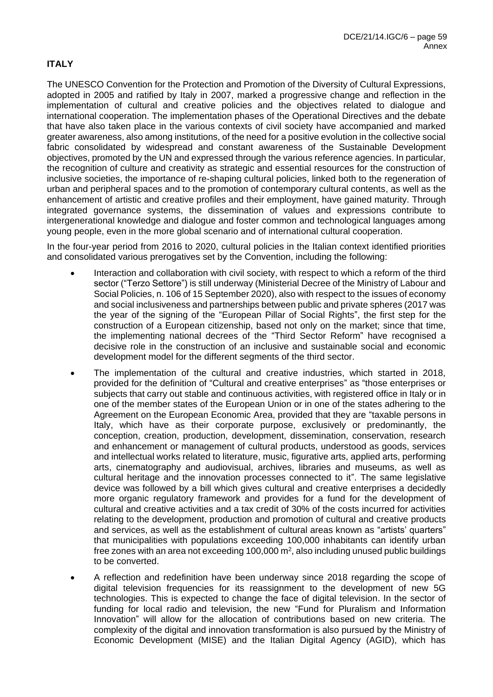# **ITALY**

The UNESCO Convention for the Protection and Promotion of the Diversity of Cultural Expressions, adopted in 2005 and ratified by Italy in 2007, marked a progressive change and reflection in the implementation of cultural and creative policies and the objectives related to dialogue and international cooperation. The implementation phases of the Operational Directives and the debate that have also taken place in the various contexts of civil society have accompanied and marked greater awareness, also among institutions, of the need for a positive evolution in the collective social fabric consolidated by widespread and constant awareness of the Sustainable Development objectives, promoted by the UN and expressed through the various reference agencies. In particular, the recognition of culture and creativity as strategic and essential resources for the construction of inclusive societies, the importance of re-shaping cultural policies, linked both to the regeneration of urban and peripheral spaces and to the promotion of contemporary cultural contents, as well as the enhancement of artistic and creative profiles and their employment, have gained maturity. Through integrated governance systems, the dissemination of values and expressions contribute to intergenerational knowledge and dialogue and foster common and technological languages among young people, even in the more global scenario and of international cultural cooperation.

In the four-year period from 2016 to 2020, cultural policies in the Italian context identified priorities and consolidated various prerogatives set by the Convention, including the following:

- Interaction and collaboration with civil society, with respect to which a reform of the third sector ("Terzo Settore") is still underway (Ministerial Decree of the Ministry of Labour and Social Policies, n. 106 of 15 September 2020), also with respect to the issues of economy and social inclusiveness and partnerships between public and private spheres (2017 was the year of the signing of the "European Pillar of Social Rights", the first step for the construction of a European citizenship, based not only on the market; since that time, the implementing national decrees of the "Third Sector Reform" have recognised a decisive role in the construction of an inclusive and sustainable social and economic development model for the different segments of the third sector.
- The implementation of the cultural and creative industries, which started in 2018, provided for the definition of "Cultural and creative enterprises" as "those enterprises or subjects that carry out stable and continuous activities, with registered office in Italy or in one of the member states of the European Union or in one of the states adhering to the Agreement on the European Economic Area, provided that they are "taxable persons in Italy, which have as their corporate purpose, exclusively or predominantly, the conception, creation, production, development, dissemination, conservation, research and enhancement or management of cultural products, understood as goods, services and intellectual works related to literature, music, figurative arts, applied arts, performing arts, cinematography and audiovisual, archives, libraries and museums, as well as cultural heritage and the innovation processes connected to it". The same legislative device was followed by a bill which gives cultural and creative enterprises a decidedly more organic regulatory framework and provides for a fund for the development of cultural and creative activities and a tax credit of 30% of the costs incurred for activities relating to the development, production and promotion of cultural and creative products and services, as well as the establishment of cultural areas known as "artists' quarters" that municipalities with populations exceeding 100,000 inhabitants can identify urban free zones with an area not exceeding 100,000  $\text{m}^2$ , also including unused public buildings to be converted.
- A reflection and redefinition have been underway since 2018 regarding the scope of digital television frequencies for its reassignment to the development of new 5G technologies. This is expected to change the face of digital television. In the sector of funding for local radio and television, the new "Fund for Pluralism and Information Innovation" will allow for the allocation of contributions based on new criteria. The complexity of the digital and innovation transformation is also pursued by the Ministry of Economic Development (MISE) and the Italian Digital Agency (AGID), which has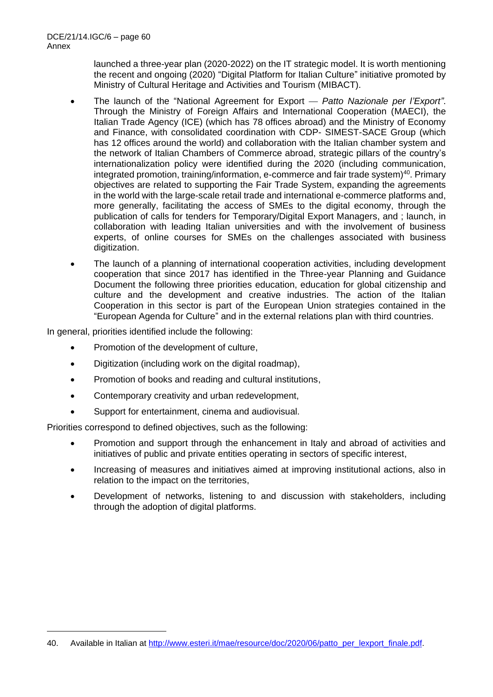launched a three-year plan (2020-2022) on the IT strategic model. It is worth mentioning the recent and ongoing (2020) "Digital Platform for Italian Culture" initiative promoted by Ministry of Cultural Heritage and Activities and Tourism (MIBACT).

- The launch of the "National Agreement for Export *Patto Nazionale per l'Export"*. Through the Ministry of Foreign Affairs and International Cooperation (MAECI), the Italian Trade Agency (ICE) (which has 78 offices abroad) and the Ministry of Economy and Finance, with consolidated coordination with CDP- SIMEST-SACE Group (which has 12 offices around the world) and collaboration with the Italian chamber system and the network of Italian Chambers of Commerce abroad, strategic pillars of the country's internationalization policy were identified during the 2020 (including communication, integrated promotion, training/information, e-commerce and fair trade system)<sup>40</sup>. Primary objectives are related to supporting the Fair Trade System, expanding the agreements in the world with the large-scale retail trade and international e-commerce platforms and, more generally, facilitating the access of SMEs to the digital economy, through the publication of calls for tenders for Temporary/Digital Export Managers, and ; launch, in collaboration with leading Italian universities and with the involvement of business experts, of online courses for SMEs on the challenges associated with business digitization.
- The launch of a planning of international cooperation activities, including development cooperation that since 2017 has identified in the Three-year Planning and Guidance Document the following three priorities education, education for global citizenship and culture and the development and creative industries. The action of the Italian Cooperation in this sector is part of the European Union strategies contained in the "European Agenda for Culture" and in the external relations plan with third countries.

In general, priorities identified include the following:

- Promotion of the development of culture,
- Digitization (including work on the digital roadmap),
- Promotion of books and reading and cultural institutions,
- Contemporary creativity and urban redevelopment,
- Support for entertainment, cinema and audiovisual.

Priorities correspond to defined objectives, such as the following:

- Promotion and support through the enhancement in Italy and abroad of activities and initiatives of public and private entities operating in sectors of specific interest,
- Increasing of measures and initiatives aimed at improving institutional actions, also in relation to the impact on the territories,
- Development of networks, listening to and discussion with stakeholders, including through the adoption of digital platforms.

<sup>40.</sup> Available in Italian at [http://www.esteri.it/mae/resource/doc/2020/06/patto\\_per\\_lexport\\_finale.pdf.](http://www.esteri.it/mae/resource/doc/2020/06/patto_per_lexport_finale.pdf)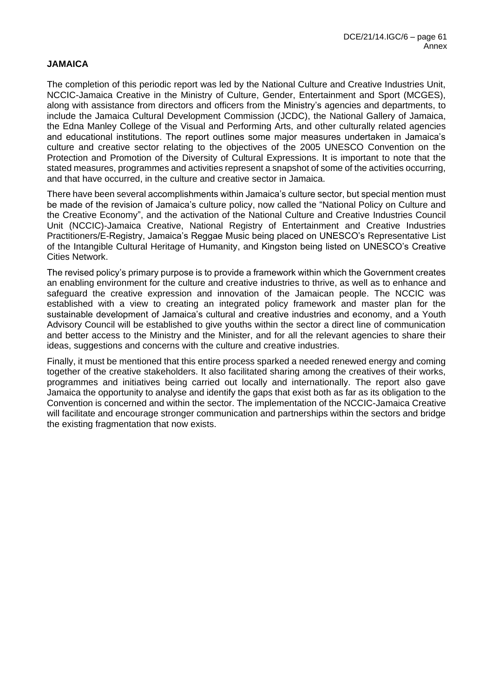## **JAMAICA**

The completion of this periodic report was led by the National Culture and Creative Industries Unit, NCCIC-Jamaica Creative in the Ministry of Culture, Gender, Entertainment and Sport (MCGES), along with assistance from directors and officers from the Ministry's agencies and departments, to include the Jamaica Cultural Development Commission (JCDC), the National Gallery of Jamaica, the Edna Manley College of the Visual and Performing Arts, and other culturally related agencies and educational institutions. The report outlines some major measures undertaken in Jamaica's culture and creative sector relating to the objectives of the 2005 UNESCO Convention on the Protection and Promotion of the Diversity of Cultural Expressions. It is important to note that the stated measures, programmes and activities represent a snapshot of some of the activities occurring, and that have occurred, in the culture and creative sector in Jamaica.

There have been several accomplishments within Jamaica's culture sector, but special mention must be made of the revision of Jamaica's culture policy, now called the "National Policy on Culture and the Creative Economy", and the activation of the National Culture and Creative Industries Council Unit (NCCIC)-Jamaica Creative, National Registry of Entertainment and Creative Industries Practitioners/E-Registry, Jamaica's Reggae Music being placed on UNESCO's Representative List of the Intangible Cultural Heritage of Humanity, and Kingston being listed on UNESCO's Creative Cities Network.

The revised policy's primary purpose is to provide a framework within which the Government creates an enabling environment for the culture and creative industries to thrive, as well as to enhance and safeguard the creative expression and innovation of the Jamaican people. The NCCIC was established with a view to creating an integrated policy framework and master plan for the sustainable development of Jamaica's cultural and creative industries and economy, and a Youth Advisory Council will be established to give youths within the sector a direct line of communication and better access to the Ministry and the Minister, and for all the relevant agencies to share their ideas, suggestions and concerns with the culture and creative industries.

Finally, it must be mentioned that this entire process sparked a needed renewed energy and coming together of the creative stakeholders. It also facilitated sharing among the creatives of their works, programmes and initiatives being carried out locally and internationally. The report also gave Jamaica the opportunity to analyse and identify the gaps that exist both as far as its obligation to the Convention is concerned and within the sector. The implementation of the NCCIC-Jamaica Creative will facilitate and encourage stronger communication and partnerships within the sectors and bridge the existing fragmentation that now exists.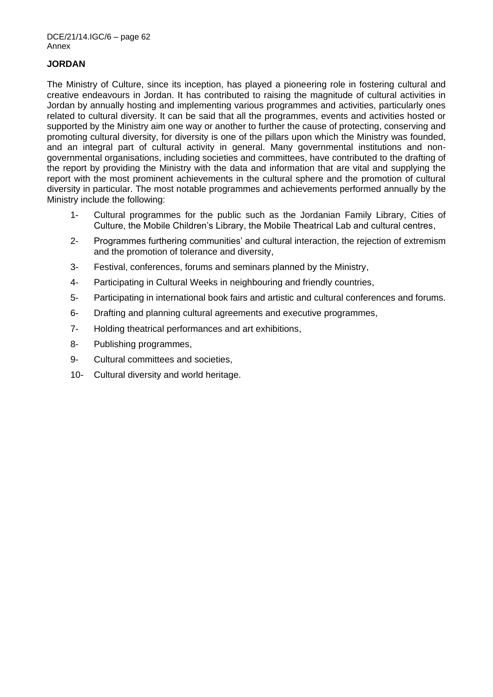# **JORDAN**

The Ministry of Culture, since its inception, has played a pioneering role in fostering cultural and creative endeavours in Jordan. It has contributed to raising the magnitude of cultural activities in Jordan by annually hosting and implementing various programmes and activities, particularly ones related to cultural diversity. It can be said that all the programmes, events and activities hosted or supported by the Ministry aim one way or another to further the cause of protecting, conserving and promoting cultural diversity, for diversity is one of the pillars upon which the Ministry was founded, and an integral part of cultural activity in general. Many governmental institutions and nongovernmental organisations, including societies and committees, have contributed to the drafting of the report by providing the Ministry with the data and information that are vital and supplying the report with the most prominent achievements in the cultural sphere and the promotion of cultural diversity in particular. The most notable programmes and achievements performed annually by the Ministry include the following:

- 1- Cultural programmes for the public such as the Jordanian Family Library, Cities of Culture, the Mobile Children's Library, the Mobile Theatrical Lab and cultural centres,
- 2- Programmes furthering communities' and cultural interaction, the rejection of extremism and the promotion of tolerance and diversity,
- 3- Festival, conferences, forums and seminars planned by the Ministry,
- 4- Participating in Cultural Weeks in neighbouring and friendly countries,
- 5- Participating in international book fairs and artistic and cultural conferences and forums.
- 6- Drafting and planning cultural agreements and executive programmes,
- 7- Holding theatrical performances and art exhibitions,
- 8- Publishing programmes,
- 9- Cultural committees and societies,
- 10- Cultural diversity and world heritage.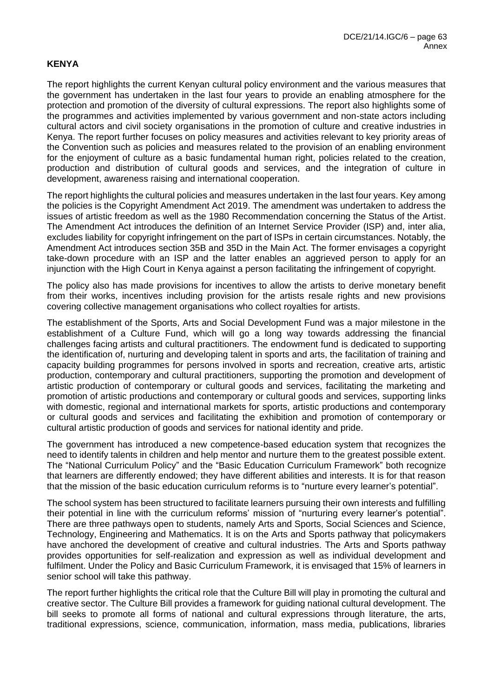## **KENYA**

The report highlights the current Kenyan cultural policy environment and the various measures that the government has undertaken in the last four years to provide an enabling atmosphere for the protection and promotion of the diversity of cultural expressions. The report also highlights some of the programmes and activities implemented by various government and non-state actors including cultural actors and civil society organisations in the promotion of culture and creative industries in Kenya. The report further focuses on policy measures and activities relevant to key priority areas of the Convention such as policies and measures related to the provision of an enabling environment for the enjoyment of culture as a basic fundamental human right, policies related to the creation, production and distribution of cultural goods and services, and the integration of culture in development, awareness raising and international cooperation.

The report highlights the cultural policies and measures undertaken in the last four years. Key among the policies is the Copyright Amendment Act 2019. The amendment was undertaken to address the issues of artistic freedom as well as the 1980 Recommendation concerning the Status of the Artist. The Amendment Act introduces the definition of an Internet Service Provider (ISP) and, inter alia, excludes liability for copyright infringement on the part of ISPs in certain circumstances. Notably, the Amendment Act introduces section 35B and 35D in the Main Act. The former envisages a copyright take-down procedure with an ISP and the latter enables an aggrieved person to apply for an injunction with the High Court in Kenya against a person facilitating the infringement of copyright.

The policy also has made provisions for incentives to allow the artists to derive monetary benefit from their works, incentives including provision for the artists resale rights and new provisions covering collective management organisations who collect royalties for artists.

The establishment of the Sports, Arts and Social Development Fund was a major milestone in the establishment of a Culture Fund, which will go a long way towards addressing the financial challenges facing artists and cultural practitioners. The endowment fund is dedicated to supporting the identification of, nurturing and developing talent in sports and arts, the facilitation of training and capacity building programmes for persons involved in sports and recreation, creative arts, artistic production, contemporary and cultural practitioners, supporting the promotion and development of artistic production of contemporary or cultural goods and services, facilitating the marketing and promotion of artistic productions and contemporary or cultural goods and services, supporting links with domestic, regional and international markets for sports, artistic productions and contemporary or cultural goods and services and facilitating the exhibition and promotion of contemporary or cultural artistic production of goods and services for national identity and pride.

The government has introduced a new competence-based education system that recognizes the need to identify talents in children and help mentor and nurture them to the greatest possible extent. The "National Curriculum Policy" and the "Basic Education Curriculum Framework" both recognize that learners are differently endowed; they have different abilities and interests. It is for that reason that the mission of the basic education curriculum reforms is to "nurture every learner's potential".

The school system has been structured to facilitate learners pursuing their own interests and fulfilling their potential in line with the curriculum reforms' mission of "nurturing every learner's potential". There are three pathways open to students, namely Arts and Sports, Social Sciences and Science, Technology, Engineering and Mathematics. It is on the Arts and Sports pathway that policymakers have anchored the development of creative and cultural industries. The Arts and Sports pathway provides opportunities for self-realization and expression as well as individual development and fulfilment. Under the Policy and Basic Curriculum Framework, it is envisaged that 15% of learners in senior school will take this pathway.

The report further highlights the critical role that the Culture Bill will play in promoting the cultural and creative sector. The Culture Bill provides a framework for guiding national cultural development. The bill seeks to promote all forms of national and cultural expressions through literature, the arts, traditional expressions, science, communication, information, mass media, publications, libraries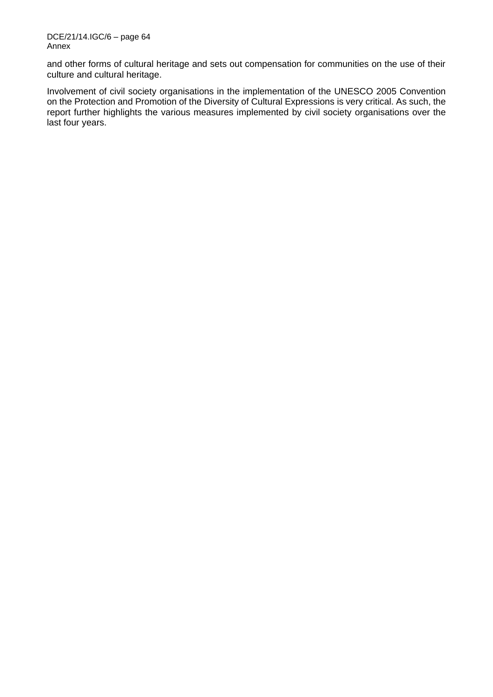and other forms of cultural heritage and sets out compensation for communities on the use of their culture and cultural heritage.

Involvement of civil society organisations in the implementation of the UNESCO 2005 Convention on the Protection and Promotion of the Diversity of Cultural Expressions is very critical. As such, the report further highlights the various measures implemented by civil society organisations over the last four years.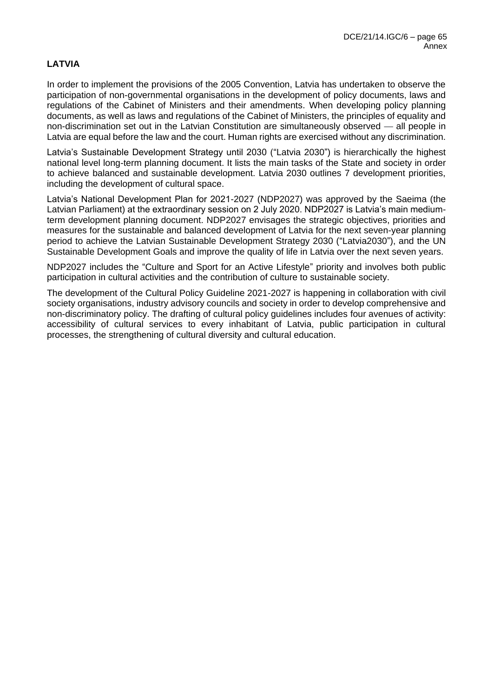# **LATVIA**

In order to implement the provisions of the 2005 Convention, Latvia has undertaken to observe the participation of non-governmental organisations in the development of policy documents, laws and regulations of the Cabinet of Ministers and their amendments. When developing policy planning documents, as well as laws and regulations of the Cabinet of Ministers, the principles of equality and non-discrimination set out in the Latvian Constitution are simultaneously observed — all people in Latvia are equal before the law and the court. Human rights are exercised without any discrimination.

Latvia's Sustainable Development Strategy until 2030 ("Latvia 2030") is hierarchically the highest national level long-term planning document. It lists the main tasks of the State and society in order to achieve balanced and sustainable development. Latvia 2030 outlines 7 development priorities, including the development of cultural space.

Latvia's National Development Plan for 2021-2027 (NDP2027) was approved by the Saeima (the Latvian Parliament) at the extraordinary session on 2 July 2020. NDP2027 is Latvia's main mediumterm development planning document. NDP2027 envisages the strategic objectives, priorities and measures for the sustainable and balanced development of Latvia for the next seven-year planning period to achieve the Latvian Sustainable Development Strategy 2030 ("Latvia2030"), and the UN Sustainable Development Goals and improve the quality of life in Latvia over the next seven years.

NDP2027 includes the "Culture and Sport for an Active Lifestyle" priority and involves both public participation in cultural activities and the contribution of culture to sustainable society.

The development of the Cultural Policy Guideline 2021-2027 is happening in collaboration with civil society organisations, industry advisory councils and society in order to develop comprehensive and non-discriminatory policy. The drafting of cultural policy guidelines includes four avenues of activity: accessibility of cultural services to every inhabitant of Latvia, public participation in cultural processes, the strengthening of cultural diversity and cultural education.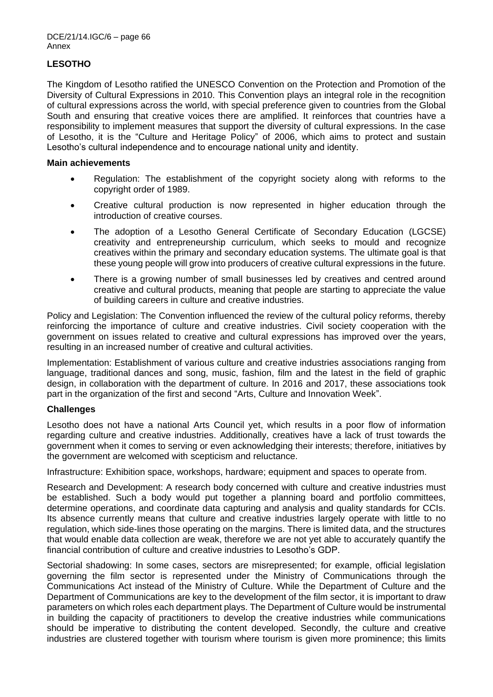# **LESOTHO**

The Kingdom of Lesotho ratified the UNESCO Convention on the Protection and Promotion of the Diversity of Cultural Expressions in 2010. This Convention plays an integral role in the recognition of cultural expressions across the world, with special preference given to countries from the Global South and ensuring that creative voices there are amplified. It reinforces that countries have a responsibility to implement measures that support the diversity of cultural expressions. In the case of Lesotho, it is the "Culture and Heritage Policy" of 2006, which aims to protect and sustain Lesotho's cultural independence and to encourage national unity and identity.

## **Main achievements**

- Regulation: The establishment of the copyright society along with reforms to the copyright order of 1989.
- Creative cultural production is now represented in higher education through the introduction of creative courses.
- The adoption of a Lesotho General Certificate of Secondary Education (LGCSE) creativity and entrepreneurship curriculum, which seeks to mould and recognize creatives within the primary and secondary education systems. The ultimate goal is that these young people will grow into producers of creative cultural expressions in the future.
- There is a growing number of small businesses led by creatives and centred around creative and cultural products, meaning that people are starting to appreciate the value of building careers in culture and creative industries.

Policy and Legislation: The Convention influenced the review of the cultural policy reforms, thereby reinforcing the importance of culture and creative industries. Civil society cooperation with the government on issues related to creative and cultural expressions has improved over the years, resulting in an increased number of creative and cultural activities.

Implementation: Establishment of various culture and creative industries associations ranging from language, traditional dances and song, music, fashion, film and the latest in the field of graphic design, in collaboration with the department of culture. In 2016 and 2017, these associations took part in the organization of the first and second "Arts, Culture and Innovation Week".

# **Challenges**

Lesotho does not have a national Arts Council yet, which results in a poor flow of information regarding culture and creative industries. Additionally, creatives have a lack of trust towards the government when it comes to serving or even acknowledging their interests; therefore, initiatives by the government are welcomed with scepticism and reluctance.

Infrastructure: Exhibition space, workshops, hardware; equipment and spaces to operate from.

Research and Development: A research body concerned with culture and creative industries must be established. Such a body would put together a planning board and portfolio committees, determine operations, and coordinate data capturing and analysis and quality standards for CCIs. Its absence currently means that culture and creative industries largely operate with little to no regulation, which side-lines those operating on the margins. There is limited data, and the structures that would enable data collection are weak, therefore we are not yet able to accurately quantify the financial contribution of culture and creative industries to Lesotho's GDP.

Sectorial shadowing: In some cases, sectors are misrepresented; for example, official legislation governing the film sector is represented under the Ministry of Communications through the Communications Act instead of the Ministry of Culture. While the Department of Culture and the Department of Communications are key to the development of the film sector, it is important to draw parameters on which roles each department plays. The Department of Culture would be instrumental in building the capacity of practitioners to develop the creative industries while communications should be imperative to distributing the content developed. Secondly, the culture and creative industries are clustered together with tourism where tourism is given more prominence; this limits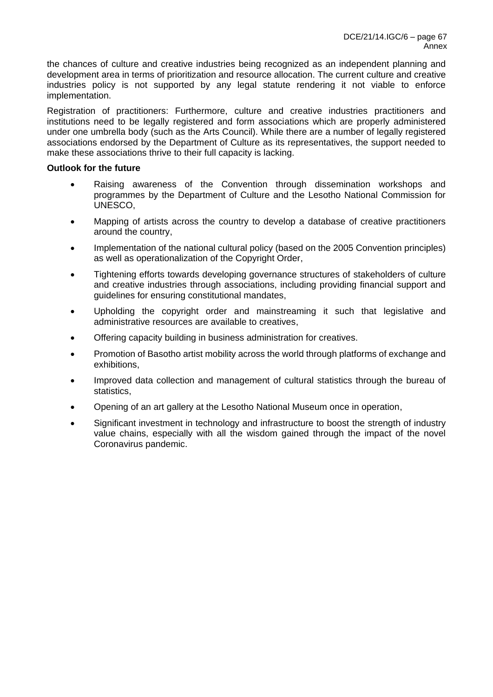the chances of culture and creative industries being recognized as an independent planning and development area in terms of prioritization and resource allocation. The current culture and creative industries policy is not supported by any legal statute rendering it not viable to enforce implementation.

Registration of practitioners: Furthermore, culture and creative industries practitioners and institutions need to be legally registered and form associations which are properly administered under one umbrella body (such as the Arts Council). While there are a number of legally registered associations endorsed by the Department of Culture as its representatives, the support needed to make these associations thrive to their full capacity is lacking.

## **Outlook for the future**

- Raising awareness of the Convention through dissemination workshops and programmes by the Department of Culture and the Lesotho National Commission for UNESCO,
- Mapping of artists across the country to develop a database of creative practitioners around the country,
- Implementation of the national cultural policy (based on the 2005 Convention principles) as well as operationalization of the Copyright Order,
- Tightening efforts towards developing governance structures of stakeholders of culture and creative industries through associations, including providing financial support and guidelines for ensuring constitutional mandates,
- Upholding the copyright order and mainstreaming it such that legislative and administrative resources are available to creatives,
- Offering capacity building in business administration for creatives.
- Promotion of Basotho artist mobility across the world through platforms of exchange and exhibitions,
- Improved data collection and management of cultural statistics through the bureau of statistics,
- Opening of an art gallery at the Lesotho National Museum once in operation,
- Significant investment in technology and infrastructure to boost the strength of industry value chains, especially with all the wisdom gained through the impact of the novel Coronavirus pandemic.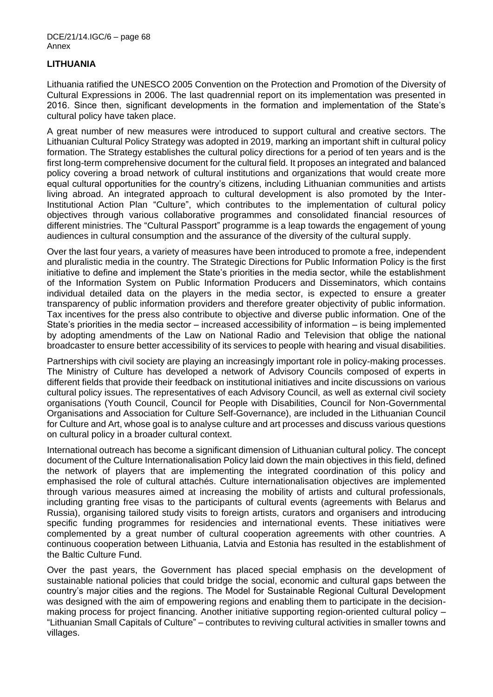## **LITHUANIA**

Lithuania ratified the UNESCO 2005 Convention on the Protection and Promotion of the Diversity of Cultural Expressions in 2006. The last quadrennial report on its implementation was presented in 2016. Since then, significant developments in the formation and implementation of the State's cultural policy have taken place.

A great number of new measures were introduced to support cultural and creative sectors. The Lithuanian Cultural Policy Strategy was adopted in 2019, marking an important shift in cultural policy formation. The Strategy establishes the cultural policy directions for a period of ten years and is the first long-term comprehensive document for the cultural field. It proposes an integrated and balanced policy covering a broad network of cultural institutions and organizations that would create more equal cultural opportunities for the country's citizens, including Lithuanian communities and artists living abroad. An integrated approach to cultural development is also promoted by the Inter-Institutional Action Plan "Culture", which contributes to the implementation of cultural policy objectives through various collaborative programmes and consolidated financial resources of different ministries. The "Cultural Passport" programme is a leap towards the engagement of young audiences in cultural consumption and the assurance of the diversity of the cultural supply.

Over the last four years, a variety of measures have been introduced to promote a free, independent and pluralistic media in the country. The Strategic Directions for Public Information Policy is the first initiative to define and implement the State's priorities in the media sector, while the establishment of the Information System on Public Information Producers and Disseminators, which contains individual detailed data on the players in the media sector, is expected to ensure a greater transparency of public information providers and therefore greater objectivity of public information. Tax incentives for the press also contribute to objective and diverse public information. One of the State's priorities in the media sector – increased accessibility of information – is being implemented by adopting amendments of the Law on National Radio and Television that oblige the national broadcaster to ensure better accessibility of its services to people with hearing and visual disabilities.

Partnerships with civil society are playing an increasingly important role in policy-making processes. The Ministry of Culture has developed a network of Advisory Councils composed of experts in different fields that provide their feedback on institutional initiatives and incite discussions on various cultural policy issues. The representatives of each Advisory Council, as well as external civil society organisations (Youth Council, Council for People with Disabilities, Council for Non-Governmental Organisations and Association for Culture Self-Governance), are included in the Lithuanian Council for Culture and Art, whose goal is to analyse culture and art processes and discuss various questions on cultural policy in a broader cultural context.

International outreach has become a significant dimension of Lithuanian cultural policy. The concept document of the Culture Internationalisation Policy laid down the main objectives in this field, defined the network of players that are implementing the integrated coordination of this policy and emphasised the role of cultural attachés. Culture internationalisation objectives are implemented through various measures aimed at increasing the mobility of artists and cultural professionals, including granting free visas to the participants of cultural events (agreements with Belarus and Russia), organising tailored study visits to foreign artists, curators and organisers and introducing specific funding programmes for residencies and international events. These initiatives were complemented by a great number of cultural cooperation agreements with other countries. A continuous cooperation between Lithuania, Latvia and Estonia has resulted in the establishment of the Baltic Culture Fund.

Over the past years, the Government has placed special emphasis on the development of sustainable national policies that could bridge the social, economic and cultural gaps between the country's major cities and the regions. The Model for Sustainable Regional Cultural Development was designed with the aim of empowering regions and enabling them to participate in the decisionmaking process for project financing. Another initiative supporting region-oriented cultural policy – "Lithuanian Small Capitals of Culture" – contributes to reviving cultural activities in smaller towns and villages.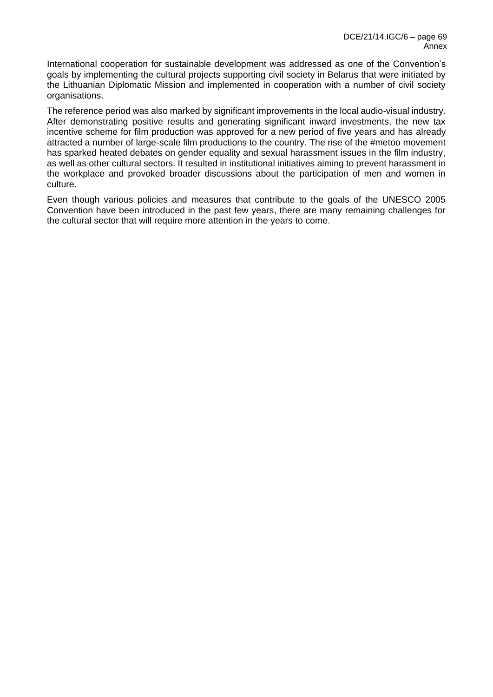International cooperation for sustainable development was addressed as one of the Convention's goals by implementing the cultural projects supporting civil society in Belarus that were initiated by the Lithuanian Diplomatic Mission and implemented in cooperation with a number of civil society organisations.

The reference period was also marked by significant improvements in the local audio-visual industry. After demonstrating positive results and generating significant inward investments, the new tax incentive scheme for film production was approved for a new period of five years and has already attracted a number of large-scale film productions to the country. The rise of the #metoo movement has sparked heated debates on gender equality and sexual harassment issues in the film industry, as well as other cultural sectors. It resulted in institutional initiatives aiming to prevent harassment in the workplace and provoked broader discussions about the participation of men and women in culture.

Even though various policies and measures that contribute to the goals of the UNESCO 2005 Convention have been introduced in the past few years, there are many remaining challenges for the cultural sector that will require more attention in the years to come.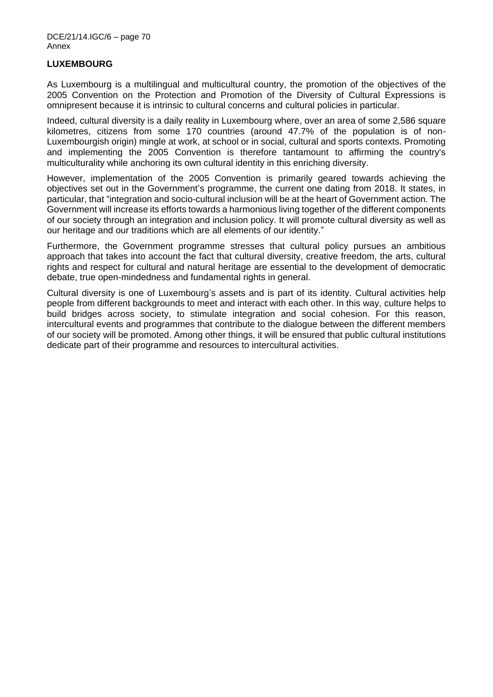## **LUXEMBOURG**

As Luxembourg is a multilingual and multicultural country, the promotion of the objectives of the 2005 Convention on the Protection and Promotion of the Diversity of Cultural Expressions is omnipresent because it is intrinsic to cultural concerns and cultural policies in particular.

Indeed, cultural diversity is a daily reality in Luxembourg where, over an area of some 2,586 square kilometres, citizens from some 170 countries (around 47.7% of the population is of non-Luxembourgish origin) mingle at work, at school or in social, cultural and sports contexts. Promoting and implementing the 2005 Convention is therefore tantamount to affirming the country's multiculturality while anchoring its own cultural identity in this enriching diversity.

However, implementation of the 2005 Convention is primarily geared towards achieving the objectives set out in the Government's programme, the current one dating from 2018. It states, in particular, that "integration and socio-cultural inclusion will be at the heart of Government action. The Government will increase its efforts towards a harmonious living together of the different components of our society through an integration and inclusion policy. It will promote cultural diversity as well as our heritage and our traditions which are all elements of our identity."

Furthermore, the Government programme stresses that cultural policy pursues an ambitious approach that takes into account the fact that cultural diversity, creative freedom, the arts, cultural rights and respect for cultural and natural heritage are essential to the development of democratic debate, true open-mindedness and fundamental rights in general.

Cultural diversity is one of Luxembourg's assets and is part of its identity. Cultural activities help people from different backgrounds to meet and interact with each other. In this way, culture helps to build bridges across society, to stimulate integration and social cohesion. For this reason, intercultural events and programmes that contribute to the dialogue between the different members of our society will be promoted. Among other things, it will be ensured that public cultural institutions dedicate part of their programme and resources to intercultural activities.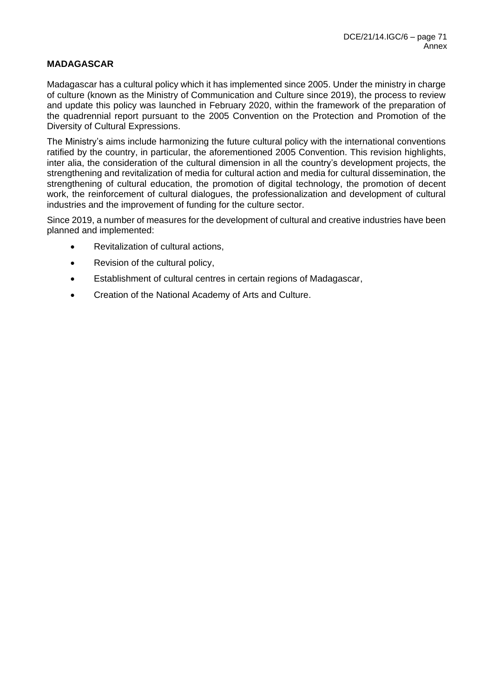## **MADAGASCAR**

Madagascar has a cultural policy which it has implemented since 2005. Under the ministry in charge of culture (known as the Ministry of Communication and Culture since 2019), the process to review and update this policy was launched in February 2020, within the framework of the preparation of the quadrennial report pursuant to the 2005 Convention on the Protection and Promotion of the Diversity of Cultural Expressions.

The Ministry's aims include harmonizing the future cultural policy with the international conventions ratified by the country, in particular, the aforementioned 2005 Convention. This revision highlights, inter alia, the consideration of the cultural dimension in all the country's development projects, the strengthening and revitalization of media for cultural action and media for cultural dissemination, the strengthening of cultural education, the promotion of digital technology, the promotion of decent work, the reinforcement of cultural dialogues, the professionalization and development of cultural industries and the improvement of funding for the culture sector.

Since 2019, a number of measures for the development of cultural and creative industries have been planned and implemented:

- Revitalization of cultural actions,
- Revision of the cultural policy,
- Establishment of cultural centres in certain regions of Madagascar,
- Creation of the National Academy of Arts and Culture.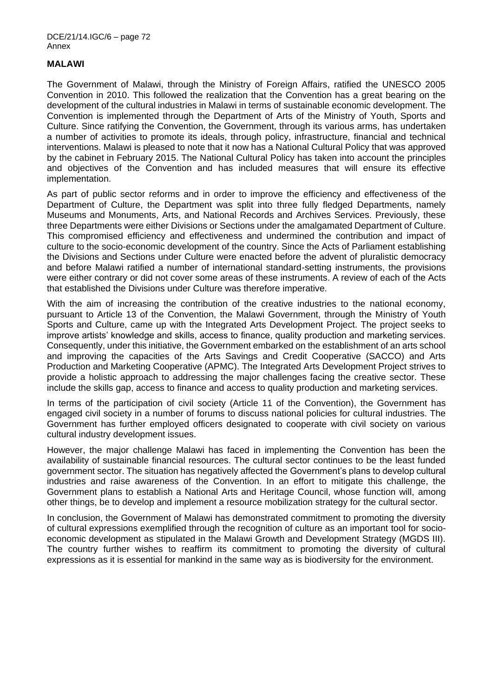### **MALAWI**

The Government of Malawi, through the Ministry of Foreign Affairs, ratified the UNESCO 2005 Convention in 2010. This followed the realization that the Convention has a great bearing on the development of the cultural industries in Malawi in terms of sustainable economic development. The Convention is implemented through the Department of Arts of the Ministry of Youth, Sports and Culture. Since ratifying the Convention, the Government, through its various arms, has undertaken a number of activities to promote its ideals, through policy, infrastructure, financial and technical interventions. Malawi is pleased to note that it now has a National Cultural Policy that was approved by the cabinet in February 2015. The National Cultural Policy has taken into account the principles and objectives of the Convention and has included measures that will ensure its effective implementation.

As part of public sector reforms and in order to improve the efficiency and effectiveness of the Department of Culture, the Department was split into three fully fledged Departments, namely Museums and Monuments, Arts, and National Records and Archives Services. Previously, these three Departments were either Divisions or Sections under the amalgamated Department of Culture. This compromised efficiency and effectiveness and undermined the contribution and impact of culture to the socio-economic development of the country. Since the Acts of Parliament establishing the Divisions and Sections under Culture were enacted before the advent of pluralistic democracy and before Malawi ratified a number of international standard-setting instruments, the provisions were either contrary or did not cover some areas of these instruments. A review of each of the Acts that established the Divisions under Culture was therefore imperative.

With the aim of increasing the contribution of the creative industries to the national economy, pursuant to Article 13 of the Convention, the Malawi Government, through the Ministry of Youth Sports and Culture, came up with the Integrated Arts Development Project. The project seeks to improve artists' knowledge and skills, access to finance, quality production and marketing services. Consequently, under this initiative, the Government embarked on the establishment of an arts school and improving the capacities of the Arts Savings and Credit Cooperative (SACCO) and Arts Production and Marketing Cooperative (APMC). The Integrated Arts Development Project strives to provide a holistic approach to addressing the major challenges facing the creative sector. These include the skills gap, access to finance and access to quality production and marketing services.

In terms of the participation of civil society (Article 11 of the Convention), the Government has engaged civil society in a number of forums to discuss national policies for cultural industries. The Government has further employed officers designated to cooperate with civil society on various cultural industry development issues.

However, the major challenge Malawi has faced in implementing the Convention has been the availability of sustainable financial resources. The cultural sector continues to be the least funded government sector. The situation has negatively affected the Government's plans to develop cultural industries and raise awareness of the Convention. In an effort to mitigate this challenge, the Government plans to establish a National Arts and Heritage Council, whose function will, among other things, be to develop and implement a resource mobilization strategy for the cultural sector.

In conclusion, the Government of Malawi has demonstrated commitment to promoting the diversity of cultural expressions exemplified through the recognition of culture as an important tool for socioeconomic development as stipulated in the Malawi Growth and Development Strategy (MGDS III). The country further wishes to reaffirm its commitment to promoting the diversity of cultural expressions as it is essential for mankind in the same way as is biodiversity for the environment.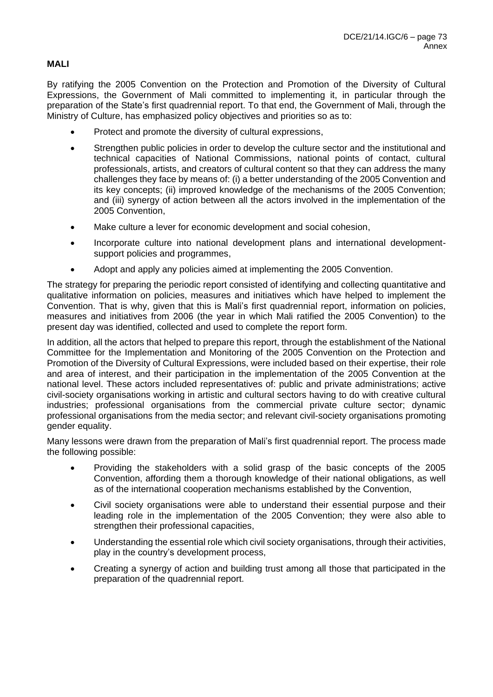# **MALI**

By ratifying the 2005 Convention on the Protection and Promotion of the Diversity of Cultural Expressions, the Government of Mali committed to implementing it, in particular through the preparation of the State's first quadrennial report. To that end, the Government of Mali, through the Ministry of Culture, has emphasized policy objectives and priorities so as to:

- Protect and promote the diversity of cultural expressions,
- Strengthen public policies in order to develop the culture sector and the institutional and technical capacities of National Commissions, national points of contact, cultural professionals, artists, and creators of cultural content so that they can address the many challenges they face by means of: (i) a better understanding of the 2005 Convention and its key concepts; (ii) improved knowledge of the mechanisms of the 2005 Convention; and (iii) synergy of action between all the actors involved in the implementation of the 2005 Convention,
- Make culture a lever for economic development and social cohesion,
- Incorporate culture into national development plans and international developmentsupport policies and programmes,
- Adopt and apply any policies aimed at implementing the 2005 Convention.

The strategy for preparing the periodic report consisted of identifying and collecting quantitative and qualitative information on policies, measures and initiatives which have helped to implement the Convention. That is why, given that this is Mali's first quadrennial report, information on policies, measures and initiatives from 2006 (the year in which Mali ratified the 2005 Convention) to the present day was identified, collected and used to complete the report form.

In addition, all the actors that helped to prepare this report, through the establishment of the National Committee for the Implementation and Monitoring of the 2005 Convention on the Protection and Promotion of the Diversity of Cultural Expressions, were included based on their expertise, their role and area of interest, and their participation in the implementation of the 2005 Convention at the national level. These actors included representatives of: public and private administrations; active civil-society organisations working in artistic and cultural sectors having to do with creative cultural industries; professional organisations from the commercial private culture sector; dynamic professional organisations from the media sector; and relevant civil-society organisations promoting gender equality.

Many lessons were drawn from the preparation of Mali's first quadrennial report. The process made the following possible:

- Providing the stakeholders with a solid grasp of the basic concepts of the 2005 Convention, affording them a thorough knowledge of their national obligations, as well as of the international cooperation mechanisms established by the Convention,
- Civil society organisations were able to understand their essential purpose and their leading role in the implementation of the 2005 Convention; they were also able to strengthen their professional capacities,
- Understanding the essential role which civil society organisations, through their activities, play in the country's development process,
- Creating a synergy of action and building trust among all those that participated in the preparation of the quadrennial report.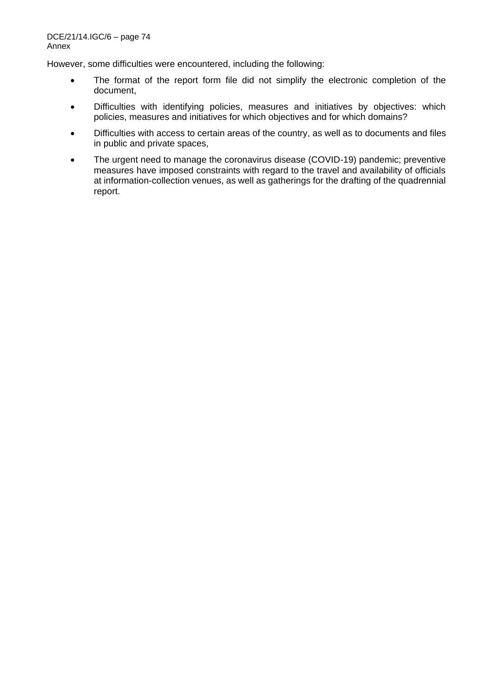However, some difficulties were encountered, including the following:

- The format of the report form file did not simplify the electronic completion of the document,
- Difficulties with identifying policies, measures and initiatives by objectives: which policies, measures and initiatives for which objectives and for which domains?
- Difficulties with access to certain areas of the country, as well as to documents and files in public and private spaces,
- The urgent need to manage the coronavirus disease (COVID-19) pandemic; preventive measures have imposed constraints with regard to the travel and availability of officials at information-collection venues, as well as gatherings for the drafting of the quadrennial report.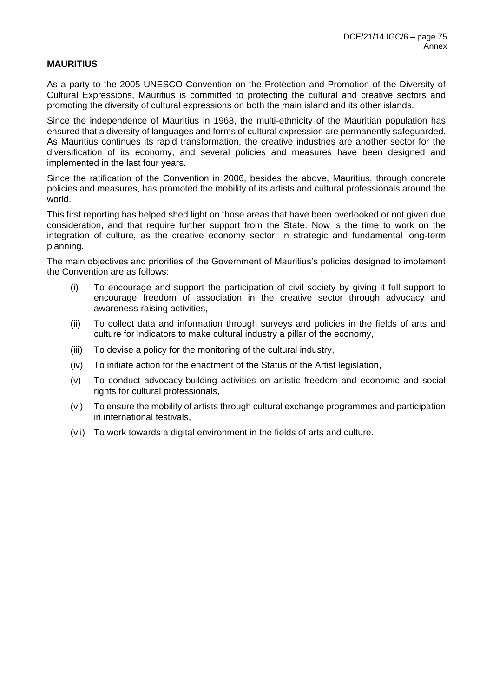# **MAURITIUS**

As a party to the 2005 UNESCO Convention on the Protection and Promotion of the Diversity of Cultural Expressions, Mauritius is committed to protecting the cultural and creative sectors and promoting the diversity of cultural expressions on both the main island and its other islands.

Since the independence of Mauritius in 1968, the multi-ethnicity of the Mauritian population has ensured that a diversity of languages and forms of cultural expression are permanently safeguarded. As Mauritius continues its rapid transformation, the creative industries are another sector for the diversification of its economy, and several policies and measures have been designed and implemented in the last four years.

Since the ratification of the Convention in 2006, besides the above, Mauritius, through concrete policies and measures, has promoted the mobility of its artists and cultural professionals around the world.

This first reporting has helped shed light on those areas that have been overlooked or not given due consideration, and that require further support from the State. Now is the time to work on the integration of culture, as the creative economy sector, in strategic and fundamental long-term planning.

The main objectives and priorities of the Government of Mauritius's policies designed to implement the Convention are as follows:

- (i) To encourage and support the participation of civil society by giving it full support to encourage freedom of association in the creative sector through advocacy and awareness-raising activities,
- (ii) To collect data and information through surveys and policies in the fields of arts and culture for indicators to make cultural industry a pillar of the economy,
- (iii) To devise a policy for the monitoring of the cultural industry,
- (iv) To initiate action for the enactment of the Status of the Artist legislation,
- (v) To conduct advocacy-building activities on artistic freedom and economic and social rights for cultural professionals,
- (vi) To ensure the mobility of artists through cultural exchange programmes and participation in international festivals,
- (vii) To work towards a digital environment in the fields of arts and culture.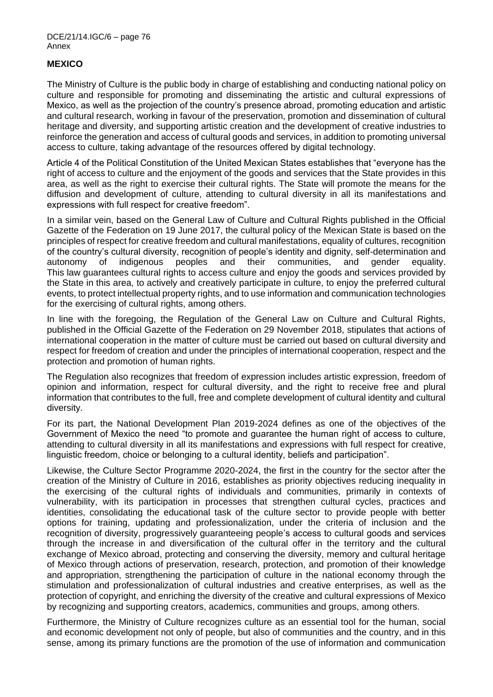# **MEXICO**

The Ministry of Culture is the public body in charge of establishing and conducting national policy on culture and responsible for promoting and disseminating the artistic and cultural expressions of Mexico, as well as the projection of the country's presence abroad, promoting education and artistic and cultural research, working in favour of the preservation, promotion and dissemination of cultural heritage and diversity, and supporting artistic creation and the development of creative industries to reinforce the generation and access of cultural goods and services, in addition to promoting universal access to culture, taking advantage of the resources offered by digital technology.

Article 4 of the Political Constitution of the United Mexican States establishes that "everyone has the right of access to culture and the enjoyment of the goods and services that the State provides in this area, as well as the right to exercise their cultural rights. The State will promote the means for the diffusion and development of culture, attending to cultural diversity in all its manifestations and expressions with full respect for creative freedom".

In a similar vein, based on the General Law of Culture and Cultural Rights published in the Official Gazette of the Federation on 19 June 2017, the cultural policy of the Mexican State is based on the principles of respect for creative freedom and cultural manifestations, equality of cultures, recognition of the country's cultural diversity, recognition of people's identity and dignity, self-determination and autonomy of indigenous peoples and their communities, and gender equality. This law guarantees cultural rights to access culture and enjoy the goods and services provided by the State in this area, to actively and creatively participate in culture, to enjoy the preferred cultural events, to protect intellectual property rights, and to use information and communication technologies for the exercising of cultural rights, among others.

In line with the foregoing, the Regulation of the General Law on Culture and Cultural Rights, published in the Official Gazette of the Federation on 29 November 2018, stipulates that actions of international cooperation in the matter of culture must be carried out based on cultural diversity and respect for freedom of creation and under the principles of international cooperation, respect and the protection and promotion of human rights.

The Regulation also recognizes that freedom of expression includes artistic expression, freedom of opinion and information, respect for cultural diversity, and the right to receive free and plural information that contributes to the full, free and complete development of cultural identity and cultural diversity.

For its part, the National Development Plan 2019-2024 defines as one of the objectives of the Government of Mexico the need "to promote and guarantee the human right of access to culture, attending to cultural diversity in all its manifestations and expressions with full respect for creative, linguistic freedom, choice or belonging to a cultural identity, beliefs and participation".

Likewise, the Culture Sector Programme 2020-2024, the first in the country for the sector after the creation of the Ministry of Culture in 2016, establishes as priority objectives reducing inequality in the exercising of the cultural rights of individuals and communities, primarily in contexts of vulnerability, with its participation in processes that strengthen cultural cycles, practices and identities, consolidating the educational task of the culture sector to provide people with better options for training, updating and professionalization, under the criteria of inclusion and the recognition of diversity, progressively guaranteeing people's access to cultural goods and services through the increase in and diversification of the cultural offer in the territory and the cultural exchange of Mexico abroad, protecting and conserving the diversity, memory and cultural heritage of Mexico through actions of preservation, research, protection, and promotion of their knowledge and appropriation, strengthening the participation of culture in the national economy through the stimulation and professionalization of cultural industries and creative enterprises, as well as the protection of copyright, and enriching the diversity of the creative and cultural expressions of Mexico by recognizing and supporting creators, academics, communities and groups, among others.

Furthermore, the Ministry of Culture recognizes culture as an essential tool for the human, social and economic development not only of people, but also of communities and the country, and in this sense, among its primary functions are the promotion of the use of information and communication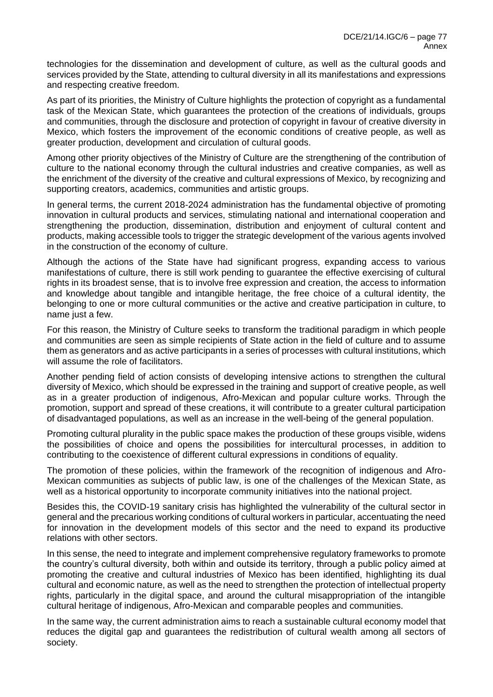technologies for the dissemination and development of culture, as well as the cultural goods and services provided by the State, attending to cultural diversity in all its manifestations and expressions and respecting creative freedom.

As part of its priorities, the Ministry of Culture highlights the protection of copyright as a fundamental task of the Mexican State, which guarantees the protection of the creations of individuals, groups and communities, through the disclosure and protection of copyright in favour of creative diversity in Mexico, which fosters the improvement of the economic conditions of creative people, as well as greater production, development and circulation of cultural goods.

Among other priority objectives of the Ministry of Culture are the strengthening of the contribution of culture to the national economy through the cultural industries and creative companies, as well as the enrichment of the diversity of the creative and cultural expressions of Mexico, by recognizing and supporting creators, academics, communities and artistic groups.

In general terms, the current 2018-2024 administration has the fundamental objective of promoting innovation in cultural products and services, stimulating national and international cooperation and strengthening the production, dissemination, distribution and enjoyment of cultural content and products, making accessible tools to trigger the strategic development of the various agents involved in the construction of the economy of culture.

Although the actions of the State have had significant progress, expanding access to various manifestations of culture, there is still work pending to guarantee the effective exercising of cultural rights in its broadest sense, that is to involve free expression and creation, the access to information and knowledge about tangible and intangible heritage, the free choice of a cultural identity, the belonging to one or more cultural communities or the active and creative participation in culture, to name just a few.

For this reason, the Ministry of Culture seeks to transform the traditional paradigm in which people and communities are seen as simple recipients of State action in the field of culture and to assume them as generators and as active participants in a series of processes with cultural institutions, which will assume the role of facilitators.

Another pending field of action consists of developing intensive actions to strengthen the cultural diversity of Mexico, which should be expressed in the training and support of creative people, as well as in a greater production of indigenous, Afro-Mexican and popular culture works. Through the promotion, support and spread of these creations, it will contribute to a greater cultural participation of disadvantaged populations, as well as an increase in the well-being of the general population.

Promoting cultural plurality in the public space makes the production of these groups visible, widens the possibilities of choice and opens the possibilities for intercultural processes, in addition to contributing to the coexistence of different cultural expressions in conditions of equality.

The promotion of these policies, within the framework of the recognition of indigenous and Afro-Mexican communities as subjects of public law, is one of the challenges of the Mexican State, as well as a historical opportunity to incorporate community initiatives into the national project.

Besides this, the COVID-19 sanitary crisis has highlighted the vulnerability of the cultural sector in general and the precarious working conditions of cultural workers in particular, accentuating the need for innovation in the development models of this sector and the need to expand its productive relations with other sectors.

In this sense, the need to integrate and implement comprehensive regulatory frameworks to promote the country's cultural diversity, both within and outside its territory, through a public policy aimed at promoting the creative and cultural industries of Mexico has been identified, highlighting its dual cultural and economic nature, as well as the need to strengthen the protection of intellectual property rights, particularly in the digital space, and around the cultural misappropriation of the intangible cultural heritage of indigenous, Afro-Mexican and comparable peoples and communities.

In the same way, the current administration aims to reach a sustainable cultural economy model that reduces the digital gap and guarantees the redistribution of cultural wealth among all sectors of society.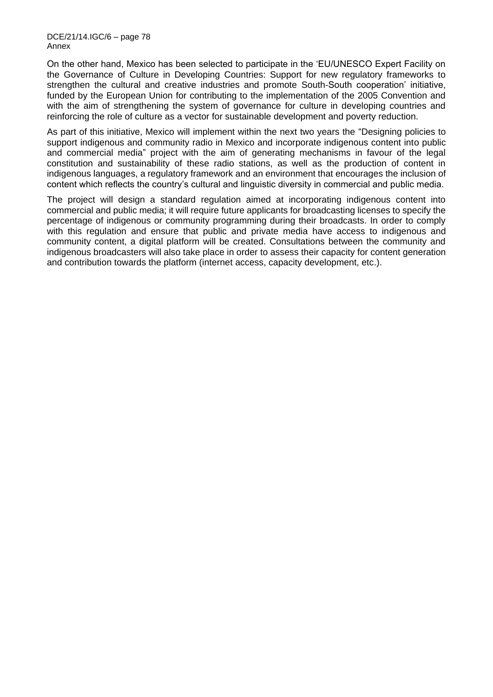DCE/21/14.IGC/6 – page 78 Annex

On the other hand, Mexico has been selected to participate in the 'EU/UNESCO Expert Facility on the Governance of Culture in Developing Countries: Support for new regulatory frameworks to strengthen the cultural and creative industries and promote South-South cooperation' initiative, funded by the European Union for contributing to the implementation of the 2005 Convention and with the aim of strengthening the system of governance for culture in developing countries and reinforcing the role of culture as a vector for sustainable development and poverty reduction.

As part of this initiative, Mexico will implement within the next two years the "Designing policies to support indigenous and community radio in Mexico and incorporate indigenous content into public and commercial media" project with the aim of generating mechanisms in favour of the legal constitution and sustainability of these radio stations, as well as the production of content in indigenous languages, a regulatory framework and an environment that encourages the inclusion of content which reflects the country's cultural and linguistic diversity in commercial and public media.

The project will design a standard regulation aimed at incorporating indigenous content into commercial and public media; it will require future applicants for broadcasting licenses to specify the percentage of indigenous or community programming during their broadcasts. In order to comply with this regulation and ensure that public and private media have access to indigenous and community content, a digital platform will be created. Consultations between the community and indigenous broadcasters will also take place in order to assess their capacity for content generation and contribution towards the platform (internet access, capacity development, etc.).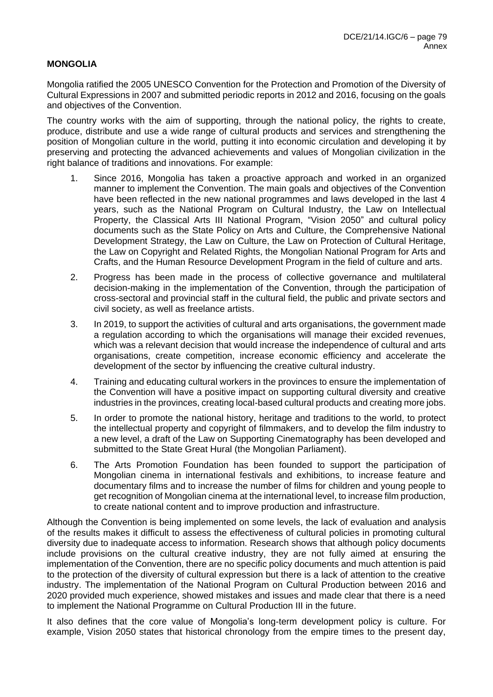# **MONGOLIA**

Mongolia ratified the 2005 UNESCO Convention for the Protection and Promotion of the Diversity of Cultural Expressions in 2007 and submitted periodic reports in 2012 and 2016, focusing on the goals and objectives of the Convention.

The country works with the aim of supporting, through the national policy, the rights to create, produce, distribute and use a wide range of cultural products and services and strengthening the position of Mongolian culture in the world, putting it into economic circulation and developing it by preserving and protecting the advanced achievements and values of Mongolian civilization in the right balance of traditions and innovations. For example:

- 1. Since 2016, Mongolia has taken a proactive approach and worked in an organized manner to implement the Convention. The main goals and objectives of the Convention have been reflected in the new national programmes and laws developed in the last 4 years, such as the National Program on Cultural Industry, the Law on Intellectual Property, the Classical Arts III National Program, "Vision 2050" and cultural policy documents such as the State Policy on Arts and Culture, the Comprehensive National Development Strategy, the Law on Culture, the Law on Protection of Cultural Heritage, the Law on Copyright and Related Rights, the Mongolian National Program for Arts and Crafts, and the Human Resource Development Program in the field of culture and arts.
- 2. Progress has been made in the process of collective governance and multilateral decision-making in the implementation of the Convention, through the participation of cross-sectoral and provincial staff in the cultural field, the public and private sectors and civil society, as well as freelance artists.
- 3. In 2019, to support the activities of cultural and arts organisations, the government made a regulation according to which the organisations will manage their excided revenues, which was a relevant decision that would increase the independence of cultural and arts organisations, create competition, increase economic efficiency and accelerate the development of the sector by influencing the creative cultural industry.
- 4. Training and educating cultural workers in the provinces to ensure the implementation of the Convention will have a positive impact on supporting cultural diversity and creative industries in the provinces, creating local-based cultural products and creating more jobs.
- 5. In order to promote the national history, heritage and traditions to the world, to protect the intellectual property and copyright of filmmakers, and to develop the film industry to a new level, a draft of the Law on Supporting Cinematography has been developed and submitted to the State Great Hural (the Mongolian Parliament).
- 6. The Arts Promotion Foundation has been founded to support the participation of Mongolian cinema in international festivals and exhibitions, to increase feature and documentary films and to increase the number of films for children and young people to get recognition of Mongolian cinema at the international level, to increase film production, to create national content and to improve production and infrastructure.

Although the Convention is being implemented on some levels, the lack of evaluation and analysis of the results makes it difficult to assess the effectiveness of cultural policies in promoting cultural diversity due to inadequate access to information. Research shows that although policy documents include provisions on the cultural creative industry, they are not fully aimed at ensuring the implementation of the Convention, there are no specific policy documents and much attention is paid to the protection of the diversity of cultural expression but there is a lack of attention to the creative industry. The implementation of the National Program on Cultural Production between 2016 and 2020 provided much experience, showed mistakes and issues and made clear that there is a need to implement the National Programme on Cultural Production III in the future.

It also defines that the core value of Mongolia's long-term development policy is culture. For example, Vision 2050 states that historical chronology from the empire times to the present day,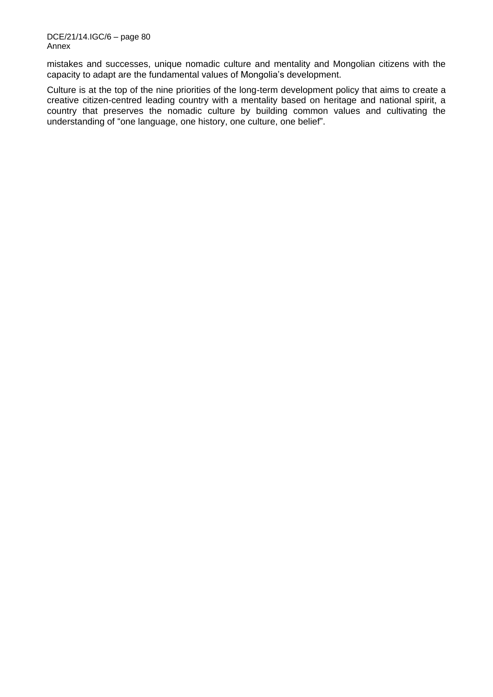mistakes and successes, unique nomadic culture and mentality and Mongolian citizens with the capacity to adapt are the fundamental values of Mongolia's development.

Culture is at the top of the nine priorities of the long-term development policy that aims to create a creative citizen-centred leading country with a mentality based on heritage and national spirit, a country that preserves the nomadic culture by building common values and cultivating the understanding of "one language, one history, one culture, one belief".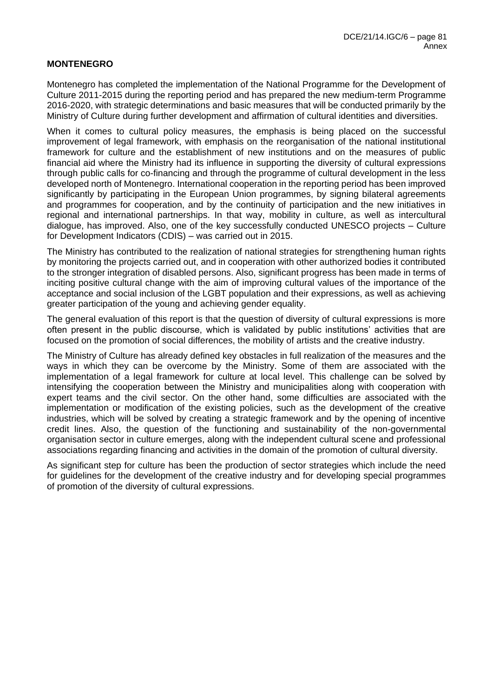# **MONTENEGRO**

Montenegro has completed the implementation of the National Programme for the Development of Culture 2011-2015 during the reporting period and has prepared the new medium-term Programme 2016-2020, with strategic determinations and basic measures that will be conducted primarily by the Ministry of Culture during further development and affirmation of cultural identities and diversities.

When it comes to cultural policy measures, the emphasis is being placed on the successful improvement of legal framework, with emphasis on the reorganisation of the national institutional framework for culture and the establishment of new institutions and on the measures of public financial aid where the Ministry had its influence in supporting the diversity of cultural expressions through public calls for co-financing and through the programme of cultural development in the less developed north of Montenegro. International cooperation in the reporting period has been improved significantly by participating in the European Union programmes, by signing bilateral agreements and programmes for cooperation, and by the continuity of participation and the new initiatives in regional and international partnerships. In that way, mobility in culture, as well as intercultural dialogue, has improved. Also, one of the key successfully conducted UNESCO projects – Culture for Development Indicators (CDIS) – was carried out in 2015.

The Ministry has contributed to the realization of national strategies for strengthening human rights by monitoring the projects carried out, and in cooperation with other authorized bodies it contributed to the stronger integration of disabled persons. Also, significant progress has been made in terms of inciting positive cultural change with the aim of improving cultural values of the importance of the acceptance and social inclusion of the LGBT population and their expressions, as well as achieving greater participation of the young and achieving gender equality.

The general evaluation of this report is that the question of diversity of cultural expressions is more often present in the public discourse, which is validated by public institutions' activities that are focused on the promotion of social differences, the mobility of artists and the creative industry.

The Ministry of Culture has already defined key obstacles in full realization of the measures and the ways in which they can be overcome by the Ministry. Some of them are associated with the implementation of a legal framework for culture at local level. This challenge can be solved by intensifying the cooperation between the Ministry and municipalities along with cooperation with expert teams and the civil sector. On the other hand, some difficulties are associated with the implementation or modification of the existing policies, such as the development of the creative industries, which will be solved by creating a strategic framework and by the opening of incentive credit lines. Also, the question of the functioning and sustainability of the non-governmental organisation sector in culture emerges, along with the independent cultural scene and professional associations regarding financing and activities in the domain of the promotion of cultural diversity.

As significant step for culture has been the production of sector strategies which include the need for guidelines for the development of the creative industry and for developing special programmes of promotion of the diversity of cultural expressions.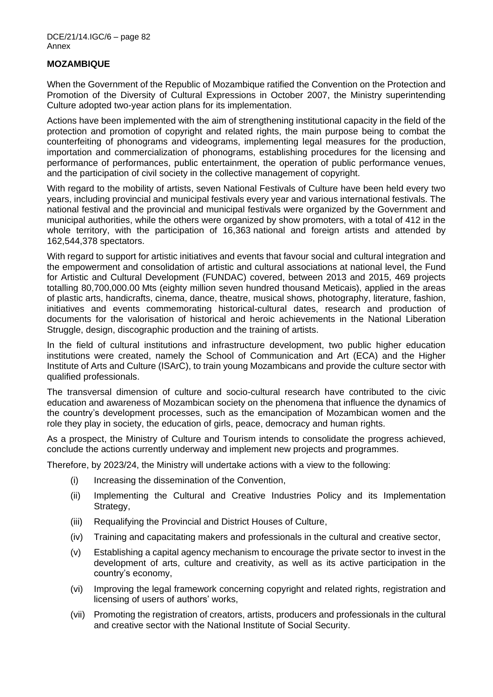DCE/21/14.IGC/6 – page 82 Annex

### **MOZAMBIQUE**

When the Government of the Republic of Mozambique ratified the Convention on the Protection and Promotion of the Diversity of Cultural Expressions in October 2007, the Ministry superintending Culture adopted two-year action plans for its implementation.

Actions have been implemented with the aim of strengthening institutional capacity in the field of the protection and promotion of copyright and related rights, the main purpose being to combat the counterfeiting of phonograms and videograms, implementing legal measures for the production, importation and commercialization of phonograms, establishing procedures for the licensing and performance of performances, public entertainment, the operation of public performance venues, and the participation of civil society in the collective management of copyright.

With regard to the mobility of artists, seven National Festivals of Culture have been held every two years, including provincial and municipal festivals every year and various international festivals. The national festival and the provincial and municipal festivals were organized by the Government and municipal authorities, while the others were organized by show promoters, with a total of 412 in the whole territory, with the participation of 16,363 national and foreign artists and attended by 162,544,378 spectators.

With regard to support for artistic initiatives and events that favour social and cultural integration and the empowerment and consolidation of artistic and cultural associations at national level, the Fund for Artistic and Cultural Development (FUNDAC) covered, between 2013 and 2015, 469 projects totalling 80,700,000.00 Mts (eighty million seven hundred thousand Meticais), applied in the areas of plastic arts, handicrafts, cinema, dance, theatre, musical shows, photography, literature, fashion, initiatives and events commemorating historical-cultural dates, research and production of documents for the valorisation of historical and heroic achievements in the National Liberation Struggle, design, discographic production and the training of artists.

In the field of cultural institutions and infrastructure development, two public higher education institutions were created, namely the School of Communication and Art (ECA) and the Higher Institute of Arts and Culture (ISArC), to train young Mozambicans and provide the culture sector with qualified professionals.

The transversal dimension of culture and socio-cultural research have contributed to the civic education and awareness of Mozambican society on the phenomena that influence the dynamics of the country's development processes, such as the emancipation of Mozambican women and the role they play in society, the education of girls, peace, democracy and human rights.

As a prospect, the Ministry of Culture and Tourism intends to consolidate the progress achieved, conclude the actions currently underway and implement new projects and programmes.

Therefore, by 2023/24, the Ministry will undertake actions with a view to the following:

- (i) Increasing the dissemination of the Convention,
- (ii) Implementing the Cultural and Creative Industries Policy and its Implementation Strategy,
- (iii) Requalifying the Provincial and District Houses of Culture,
- (iv) Training and capacitating makers and professionals in the cultural and creative sector,
- (v) Establishing a capital agency mechanism to encourage the private sector to invest in the development of arts, culture and creativity, as well as its active participation in the country's economy,
- (vi) Improving the legal framework concerning copyright and related rights, registration and licensing of users of authors' works,
- (vii) Promoting the registration of creators, artists, producers and professionals in the cultural and creative sector with the National Institute of Social Security.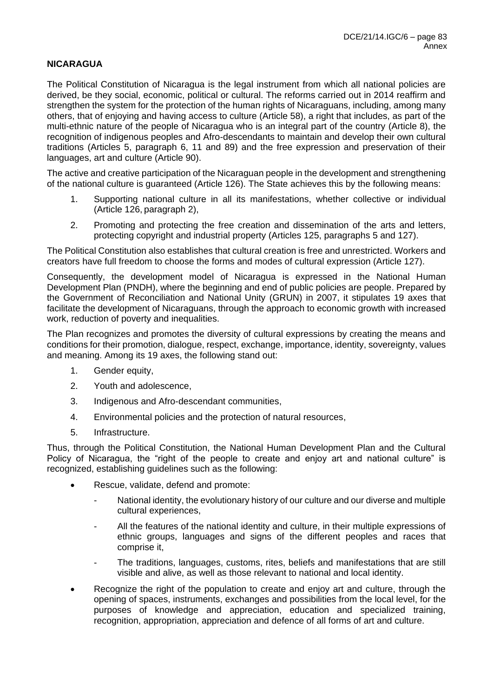# **NICARAGUA**

The Political Constitution of Nicaragua is the legal instrument from which all national policies are derived, be they social, economic, political or cultural. The reforms carried out in 2014 reaffirm and strengthen the system for the protection of the human rights of Nicaraguans, including, among many others, that of enjoying and having access to culture (Article 58), a right that includes, as part of the multi-ethnic nature of the people of Nicaragua who is an integral part of the country (Article 8), the recognition of indigenous peoples and Afro-descendants to maintain and develop their own cultural traditions (Articles 5, paragraph 6, 11 and 89) and the free expression and preservation of their languages, art and culture (Article 90).

The active and creative participation of the Nicaraguan people in the development and strengthening of the national culture is guaranteed (Article 126). The State achieves this by the following means:

- 1. Supporting national culture in all its manifestations, whether collective or individual (Article 126, paragraph 2),
- 2. Promoting and protecting the free creation and dissemination of the arts and letters, protecting copyright and industrial property (Articles 125, paragraphs 5 and 127).

The Political Constitution also establishes that cultural creation is free and unrestricted. Workers and creators have full freedom to choose the forms and modes of cultural expression (Article 127).

Consequently, the development model of Nicaragua is expressed in the National Human Development Plan (PNDH), where the beginning and end of public policies are people. Prepared by the Government of Reconciliation and National Unity (GRUN) in 2007, it stipulates 19 axes that facilitate the development of Nicaraguans, through the approach to economic growth with increased work, reduction of poverty and inequalities.

The Plan recognizes and promotes the diversity of cultural expressions by creating the means and conditions for their promotion, dialogue, respect, exchange, importance, identity, sovereignty, values and meaning. Among its 19 axes, the following stand out:

- 1. Gender equity,
- 2. Youth and adolescence,
- 3. Indigenous and Afro-descendant communities,
- 4. Environmental policies and the protection of natural resources,
- 5. Infrastructure.

Thus, through the Political Constitution, the National Human Development Plan and the Cultural Policy of Nicaragua, the "right of the people to create and enjoy art and national culture" is recognized, establishing guidelines such as the following:

- Rescue, validate, defend and promote:
	- National identity, the evolutionary history of our culture and our diverse and multiple cultural experiences,
	- All the features of the national identity and culture, in their multiple expressions of ethnic groups, languages and signs of the different peoples and races that comprise it,
	- The traditions, languages, customs, rites, beliefs and manifestations that are still visible and alive, as well as those relevant to national and local identity.
- Recognize the right of the population to create and enjoy art and culture, through the opening of spaces, instruments, exchanges and possibilities from the local level, for the purposes of knowledge and appreciation, education and specialized training, recognition, appropriation, appreciation and defence of all forms of art and culture.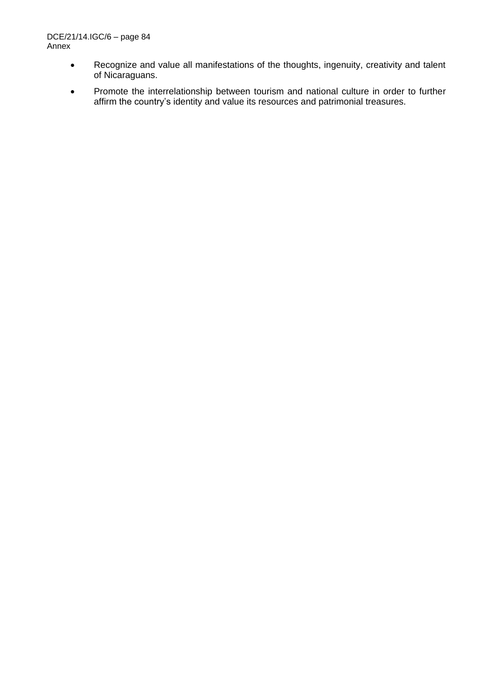- Recognize and value all manifestations of the thoughts, ingenuity, creativity and talent of Nicaraguans.
- Promote the interrelationship between tourism and national culture in order to further affirm the country's identity and value its resources and patrimonial treasures.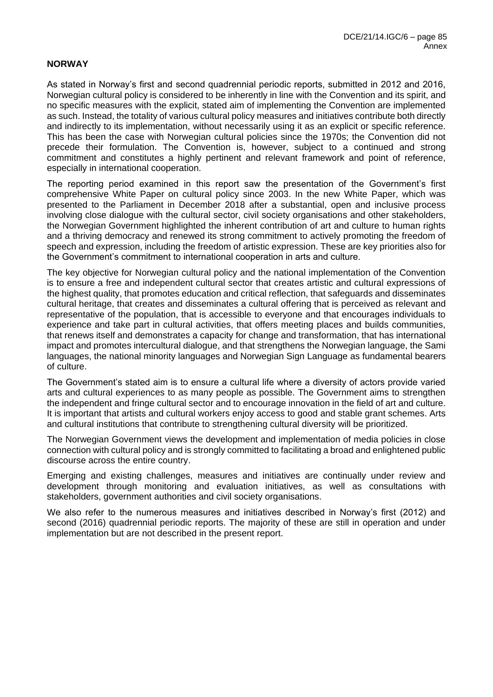### **NORWAY**

As stated in Norway's first and second quadrennial periodic reports, submitted in 2012 and 2016, Norwegian cultural policy is considered to be inherently in line with the Convention and its spirit, and no specific measures with the explicit, stated aim of implementing the Convention are implemented as such. Instead, the totality of various cultural policy measures and initiatives contribute both directly and indirectly to its implementation, without necessarily using it as an explicit or specific reference. This has been the case with Norwegian cultural policies since the 1970s; the Convention did not precede their formulation. The Convention is, however, subject to a continued and strong commitment and constitutes a highly pertinent and relevant framework and point of reference, especially in international cooperation.

The reporting period examined in this report saw the presentation of the Government's first comprehensive White Paper on cultural policy since 2003. In the new White Paper, which was presented to the Parliament in December 2018 after a substantial, open and inclusive process involving close dialogue with the cultural sector, civil society organisations and other stakeholders, the Norwegian Government highlighted the inherent contribution of art and culture to human rights and a thriving democracy and renewed its strong commitment to actively promoting the freedom of speech and expression, including the freedom of artistic expression. These are key priorities also for the Government's commitment to international cooperation in arts and culture.

The key objective for Norwegian cultural policy and the national implementation of the Convention is to ensure a free and independent cultural sector that creates artistic and cultural expressions of the highest quality, that promotes education and critical reflection, that safeguards and disseminates cultural heritage, that creates and disseminates a cultural offering that is perceived as relevant and representative of the population, that is accessible to everyone and that encourages individuals to experience and take part in cultural activities, that offers meeting places and builds communities, that renews itself and demonstrates a capacity for change and transformation, that has international impact and promotes intercultural dialogue, and that strengthens the Norwegian language, the Sami languages, the national minority languages and Norwegian Sign Language as fundamental bearers of culture.

The Government's stated aim is to ensure a cultural life where a diversity of actors provide varied arts and cultural experiences to as many people as possible. The Government aims to strengthen the independent and fringe cultural sector and to encourage innovation in the field of art and culture. It is important that artists and cultural workers enjoy access to good and stable grant schemes. Arts and cultural institutions that contribute to strengthening cultural diversity will be prioritized.

The Norwegian Government views the development and implementation of media policies in close connection with cultural policy and is strongly committed to facilitating a broad and enlightened public discourse across the entire country.

Emerging and existing challenges, measures and initiatives are continually under review and development through monitoring and evaluation initiatives, as well as consultations with stakeholders, government authorities and civil society organisations.

We also refer to the numerous measures and initiatives described in Norway's first (2012) and second (2016) quadrennial periodic reports. The majority of these are still in operation and under implementation but are not described in the present report.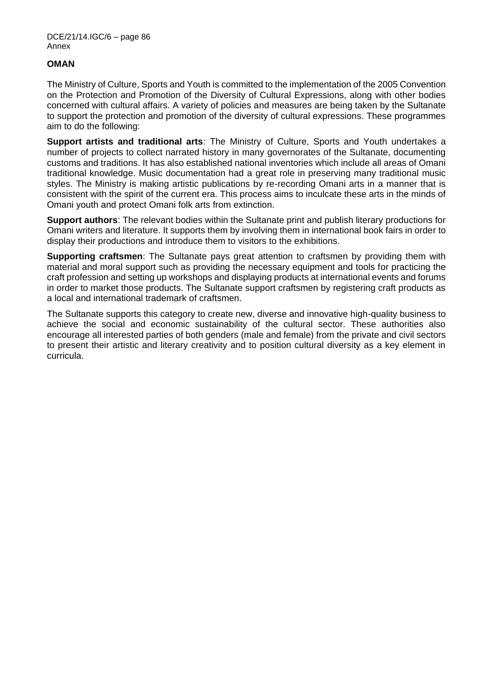# **OMAN**

The Ministry of Culture, Sports and Youth is committed to the implementation of the 2005 Convention on the Protection and Promotion of the Diversity of Cultural Expressions, along with other bodies concerned with cultural affairs. A variety of policies and measures are being taken by the Sultanate to support the protection and promotion of the diversity of cultural expressions. These programmes aim to do the following:

**Support artists and traditional arts**: The Ministry of Culture, Sports and Youth undertakes a number of projects to collect narrated history in many governorates of the Sultanate, documenting customs and traditions. It has also established national inventories which include all areas of Omani traditional knowledge. Music documentation had a great role in preserving many traditional music styles. The Ministry is making artistic publications by re-recording Omani arts in a manner that is consistent with the spirit of the current era. This process aims to inculcate these arts in the minds of Omani youth and protect Omani folk arts from extinction.

**Support authors**: The relevant bodies within the Sultanate print and publish literary productions for Omani writers and literature. It supports them by involving them in international book fairs in order to display their productions and introduce them to visitors to the exhibitions.

**Supporting craftsmen**: The Sultanate pays great attention to craftsmen by providing them with material and moral support such as providing the necessary equipment and tools for practicing the craft profession and setting up workshops and displaying products at international events and forums in order to market those products. The Sultanate support craftsmen by registering craft products as a local and international trademark of craftsmen.

The Sultanate supports this category to create new, diverse and innovative high-quality business to achieve the social and economic sustainability of the cultural sector. These authorities also encourage all interested parties of both genders (male and female) from the private and civil sectors to present their artistic and literary creativity and to position cultural diversity as a key element in curricula.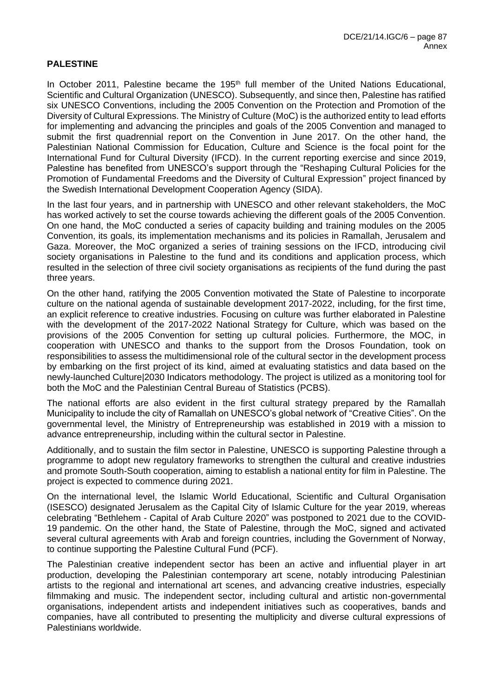# **PALESTINE**

In October 2011, Palestine became the 195<sup>th</sup> full member of the United Nations Educational, Scientific and Cultural Organization (UNESCO). Subsequently, and since then, Palestine has ratified six UNESCO Conventions, including the 2005 Convention on the Protection and Promotion of the Diversity of Cultural Expressions. The Ministry of Culture (MoC) is the authorized entity to lead efforts for implementing and advancing the principles and goals of the 2005 Convention and managed to submit the first quadrennial report on the Convention in June 2017. On the other hand, the Palestinian National Commission for Education, Culture and Science is the focal point for the International Fund for Cultural Diversity (IFCD). In the current reporting exercise and since 2019, Palestine has benefited from UNESCO's support through the "Reshaping Cultural Policies for the Promotion of Fundamental Freedoms and the Diversity of Cultural Expression" project financed by the Swedish International Development Cooperation Agency (SIDA).

In the last four years, and in partnership with UNESCO and other relevant stakeholders, the MoC has worked actively to set the course towards achieving the different goals of the 2005 Convention. On one hand, the MoC conducted a series of capacity building and training modules on the 2005 Convention, its goals, its implementation mechanisms and its policies in Ramallah, Jerusalem and Gaza. Moreover, the MoC organized a series of training sessions on the IFCD, introducing civil society organisations in Palestine to the fund and its conditions and application process, which resulted in the selection of three civil society organisations as recipients of the fund during the past three years.

On the other hand, ratifying the 2005 Convention motivated the State of Palestine to incorporate culture on the national agenda of sustainable development 2017-2022, including, for the first time, an explicit reference to creative industries. Focusing on culture was further elaborated in Palestine with the development of the 2017-2022 National Strategy for Culture, which was based on the provisions of the 2005 Convention for setting up cultural policies. Furthermore, the MOC, in cooperation with UNESCO and thanks to the support from the Drosos Foundation, took on responsibilities to assess the multidimensional role of the cultural sector in the development process by embarking on the first project of its kind, aimed at evaluating statistics and data based on the newly-launched Culture|2030 Indicators methodology. The project is utilized as a monitoring tool for both the MoC and the Palestinian Central Bureau of Statistics (PCBS).

The national efforts are also evident in the first cultural strategy prepared by the Ramallah Municipality to include the city of Ramallah on UNESCO's global network of "Creative Cities". On the governmental level, the Ministry of Entrepreneurship was established in 2019 with a mission to advance entrepreneurship, including within the cultural sector in Palestine.

Additionally, and to sustain the film sector in Palestine, UNESCO is supporting Palestine through a programme to adopt new regulatory frameworks to strengthen the cultural and creative industries and promote South-South cooperation, aiming to establish a national entity for film in Palestine. The project is expected to commence during 2021.

On the international level, the Islamic World Educational, Scientific and Cultural Organisation (ISESCO) designated Jerusalem as the Capital City of Islamic Culture for the year 2019, whereas celebrating "Bethlehem - Capital of Arab Culture 2020" was postponed to 2021 due to the COVID-19 pandemic. On the other hand, the State of Palestine, through the MoC, signed and activated several cultural agreements with Arab and foreign countries, including the Government of Norway, to continue supporting the Palestine Cultural Fund (PCF).

The Palestinian creative independent sector has been an active and influential player in art production, developing the Palestinian contemporary art scene, notably introducing Palestinian artists to the regional and international art scenes, and advancing creative industries, especially filmmaking and music. The independent sector, including cultural and artistic non-governmental organisations, independent artists and independent initiatives such as cooperatives, bands and companies, have all contributed to presenting the multiplicity and diverse cultural expressions of Palestinians worldwide.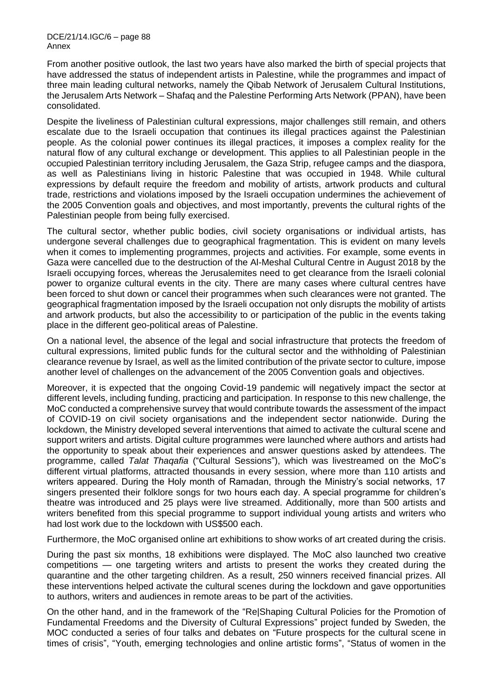From another positive outlook, the last two years have also marked the birth of special projects that have addressed the status of independent artists in Palestine, while the programmes and impact of three main leading cultural networks, namely the Qibab Network of Jerusalem Cultural Institutions, the Jerusalem Arts Network – Shafaq and the Palestine Performing Arts Network (PPAN), have been consolidated.

Despite the liveliness of Palestinian cultural expressions, major challenges still remain, and others escalate due to the Israeli occupation that continues its illegal practices against the Palestinian people. As the colonial power continues its illegal practices, it imposes a complex reality for the natural flow of any cultural exchange or development. This applies to all Palestinian people in the occupied Palestinian territory including Jerusalem, the Gaza Strip, refugee camps and the diaspora, as well as Palestinians living in historic Palestine that was occupied in 1948. While cultural expressions by default require the freedom and mobility of artists, artwork products and cultural trade, restrictions and violations imposed by the Israeli occupation undermines the achievement of the 2005 Convention goals and objectives, and most importantly, prevents the cultural rights of the Palestinian people from being fully exercised.

The cultural sector, whether public bodies, civil society organisations or individual artists, has undergone several challenges due to geographical fragmentation. This is evident on many levels when it comes to implementing programmes, projects and activities. For example, some events in Gaza were cancelled due to the destruction of the Al-Meshal Cultural Centre in August 2018 by the Israeli occupying forces, whereas the Jerusalemites need to get clearance from the Israeli colonial power to organize cultural events in the city. There are many cases where cultural centres have been forced to shut down or cancel their programmes when such clearances were not granted. The geographical fragmentation imposed by the Israeli occupation not only disrupts the mobility of artists and artwork products, but also the accessibility to or participation of the public in the events taking place in the different geo-political areas of Palestine.

On a national level, the absence of the legal and social infrastructure that protects the freedom of cultural expressions, limited public funds for the cultural sector and the withholding of Palestinian clearance revenue by Israel, as well as the limited contribution of the private sector to culture, impose another level of challenges on the advancement of the 2005 Convention goals and objectives.

Moreover, it is expected that the ongoing Covid-19 pandemic will negatively impact the sector at different levels, including funding, practicing and participation. In response to this new challenge, the MoC conducted a comprehensive survey that would contribute towards the assessment of the impact of COVID-19 on civil society organisations and the independent sector nationwide. During the lockdown, the Ministry developed several interventions that aimed to activate the cultural scene and support writers and artists. Digital culture programmes were launched where authors and artists had the opportunity to speak about their experiences and answer questions asked by attendees. The programme, called *Talat Thaqafia* ("Cultural Sessions"), which was livestreamed on the MoC's different virtual platforms, attracted thousands in every session, where more than 110 artists and writers appeared. During the Holy month of Ramadan, through the Ministry's social networks, 17 singers presented their folklore songs for two hours each day. A special programme for children's theatre was introduced and 25 plays were live streamed. Additionally, more than 500 artists and writers benefited from this special programme to support individual young artists and writers who had lost work due to the lockdown with US\$500 each.

Furthermore, the MoC organised online art exhibitions to show works of art created during the crisis.

During the past six months, 18 exhibitions were displayed. The MoC also launched two creative competitions — one targeting writers and artists to present the works they created during the quarantine and the other targeting children. As a result, 250 winners received financial prizes. All these interventions helped activate the cultural scenes during the lockdown and gave opportunities to authors, writers and audiences in remote areas to be part of the activities.

On the other hand, and in the framework of the "Re|Shaping Cultural Policies for the Promotion of Fundamental Freedoms and the Diversity of Cultural Expressions" project funded by Sweden, the MOC conducted a series of four talks and debates on "Future prospects for the cultural scene in times of crisis", "Youth, emerging technologies and online artistic forms", "Status of women in the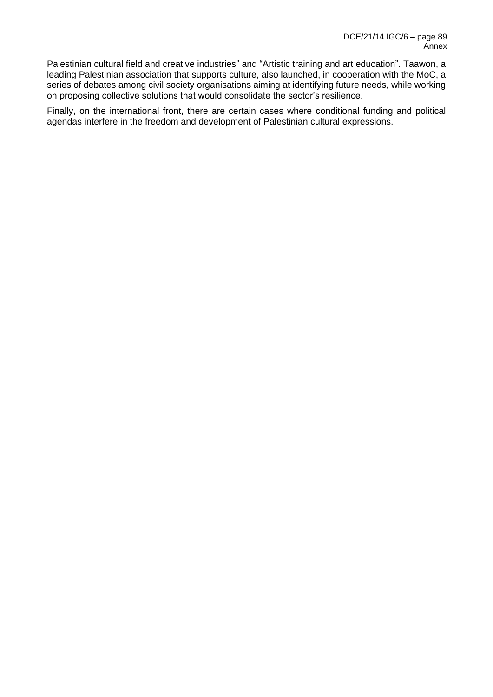Palestinian cultural field and creative industries" and "Artistic training and art education". Taawon, a leading Palestinian association that supports culture, also launched, in cooperation with the MoC, a series of debates among civil society organisations aiming at identifying future needs, while working on proposing collective solutions that would consolidate the sector's resilience.

Finally, on the international front, there are certain cases where conditional funding and political agendas interfere in the freedom and development of Palestinian cultural expressions.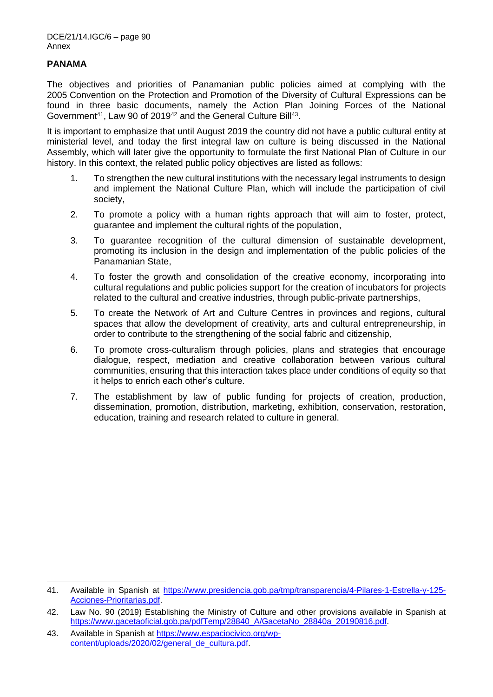### **PANAMA**

The objectives and priorities of Panamanian public policies aimed at complying with the 2005 Convention on the Protection and Promotion of the Diversity of Cultural Expressions can be found in three basic documents, namely the Action Plan Joining Forces of the National Government<sup>41</sup>, Law 90 of 2019<sup>42</sup> and the General Culture Bill<sup>43</sup>.

It is important to emphasize that until August 2019 the country did not have a public cultural entity at ministerial level, and today the first integral law on culture is being discussed in the National Assembly, which will later give the opportunity to formulate the first National Plan of Culture in our history. In this context, the related public policy objectives are listed as follows:

- 1. To strengthen the new cultural institutions with the necessary legal instruments to design and implement the National Culture Plan, which will include the participation of civil society,
- 2. To promote a policy with a human rights approach that will aim to foster, protect, guarantee and implement the cultural rights of the population,
- 3. To guarantee recognition of the cultural dimension of sustainable development, promoting its inclusion in the design and implementation of the public policies of the Panamanian State,
- 4. To foster the growth and consolidation of the creative economy, incorporating into cultural regulations and public policies support for the creation of incubators for projects related to the cultural and creative industries, through public-private partnerships,
- 5. To create the Network of Art and Culture Centres in provinces and regions, cultural spaces that allow the development of creativity, arts and cultural entrepreneurship, in order to contribute to the strengthening of the social fabric and citizenship,
- 6. To promote cross-culturalism through policies, plans and strategies that encourage dialogue, respect, mediation and creative collaboration between various cultural communities, ensuring that this interaction takes place under conditions of equity so that it helps to enrich each other's culture.
- 7. The establishment by law of public funding for projects of creation, production, dissemination, promotion, distribution, marketing, exhibition, conservation, restoration, education, training and research related to culture in general.

<sup>41.</sup> Available in Spanish at [https://www.presidencia.gob.pa/tmp/transparencia/4-Pilares-1-Estrella-y-125-](https://www.presidencia.gob.pa/tmp/transparencia/4-Pilares-1-Estrella-y-125-Acciones-Prioritarias.pdf) [Acciones-Prioritarias.pdf.](https://www.presidencia.gob.pa/tmp/transparencia/4-Pilares-1-Estrella-y-125-Acciones-Prioritarias.pdf)

<sup>42.</sup> Law No. 90 (2019) Establishing the Ministry of Culture and other provisions available in Spanish at [https://www.gacetaoficial.gob.pa/pdfTemp/28840\\_A/GacetaNo\\_28840a\\_20190816.pdf.](https://www.gacetaoficial.gob.pa/pdfTemp/28840_A/GacetaNo_28840a_20190816.pdf)

<sup>43.</sup> Available in Spanish at [https://www.espaciocivico.org/wp](https://www.espaciocivico.org/wp-content/uploads/2020/02/general_de_cultura.pdf)[content/uploads/2020/02/general\\_de\\_cultura.pdf.](https://www.espaciocivico.org/wp-content/uploads/2020/02/general_de_cultura.pdf)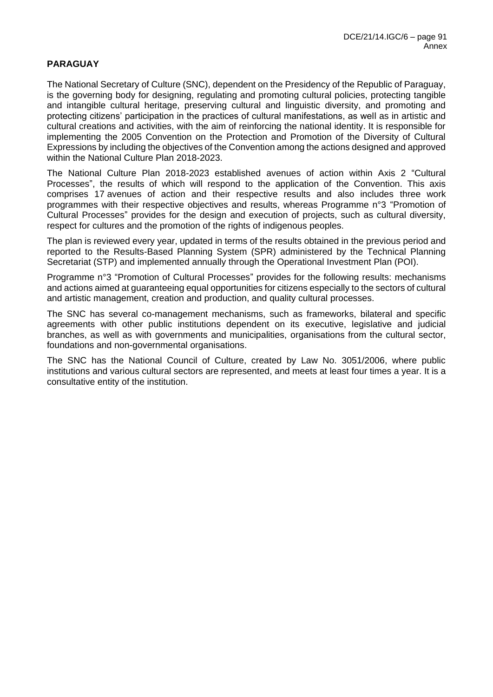### **PARAGUAY**

The National Secretary of Culture (SNC), dependent on the Presidency of the Republic of Paraguay, is the governing body for designing, regulating and promoting cultural policies, protecting tangible and intangible cultural heritage, preserving cultural and linguistic diversity, and promoting and protecting citizens' participation in the practices of cultural manifestations, as well as in artistic and cultural creations and activities, with the aim of reinforcing the national identity. It is responsible for implementing the 2005 Convention on the Protection and Promotion of the Diversity of Cultural Expressions by including the objectives of the Convention among the actions designed and approved within the National Culture Plan 2018-2023.

The National Culture Plan 2018-2023 established avenues of action within Axis 2 "Cultural Processes", the results of which will respond to the application of the Convention. This axis comprises 17 avenues of action and their respective results and also includes three work programmes with their respective objectives and results, whereas Programme n°3 "Promotion of Cultural Processes" provides for the design and execution of projects, such as cultural diversity, respect for cultures and the promotion of the rights of indigenous peoples.

The plan is reviewed every year, updated in terms of the results obtained in the previous period and reported to the Results-Based Planning System (SPR) administered by the Technical Planning Secretariat (STP) and implemented annually through the Operational Investment Plan (POI).

Programme n°3 "Promotion of Cultural Processes" provides for the following results: mechanisms and actions aimed at guaranteeing equal opportunities for citizens especially to the sectors of cultural and artistic management, creation and production, and quality cultural processes.

The SNC has several co-management mechanisms, such as frameworks, bilateral and specific agreements with other public institutions dependent on its executive, legislative and judicial branches, as well as with governments and municipalities, organisations from the cultural sector, foundations and non-governmental organisations.

The SNC has the National Council of Culture, created by Law No. 3051/2006, where public institutions and various cultural sectors are represented, and meets at least four times a year. It is a consultative entity of the institution.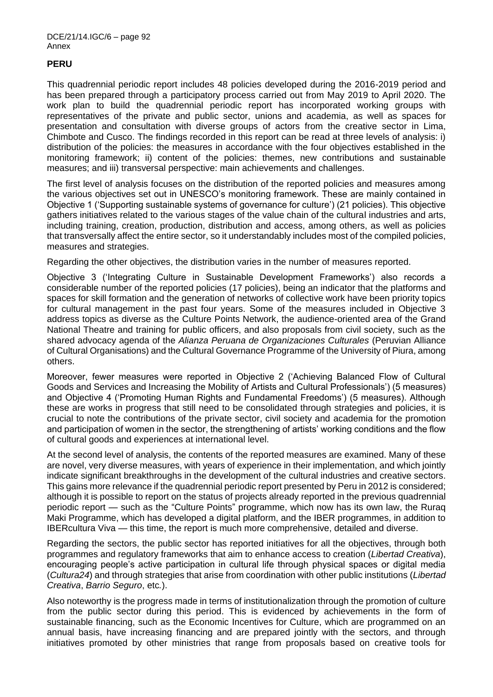## **PERU**

This quadrennial periodic report includes 48 policies developed during the 2016-2019 period and has been prepared through a participatory process carried out from May 2019 to April 2020. The work plan to build the quadrennial periodic report has incorporated working groups with representatives of the private and public sector, unions and academia, as well as spaces for presentation and consultation with diverse groups of actors from the creative sector in Lima, Chimbote and Cusco. The findings recorded in this report can be read at three levels of analysis: i) distribution of the policies: the measures in accordance with the four objectives established in the monitoring framework; ii) content of the policies: themes, new contributions and sustainable measures; and iii) transversal perspective: main achievements and challenges.

The first level of analysis focuses on the distribution of the reported policies and measures among the various objectives set out in UNESCO's monitoring framework. These are mainly contained in Objective 1 ('Supporting sustainable systems of governance for culture') (21 policies). This objective gathers initiatives related to the various stages of the value chain of the cultural industries and arts, including training, creation, production, distribution and access, among others, as well as policies that transversally affect the entire sector, so it understandably includes most of the compiled policies, measures and strategies.

Regarding the other objectives, the distribution varies in the number of measures reported.

Objective 3 ('Integrating Culture in Sustainable Development Frameworks') also records a considerable number of the reported policies (17 policies), being an indicator that the platforms and spaces for skill formation and the generation of networks of collective work have been priority topics for cultural management in the past four years. Some of the measures included in Objective 3 address topics as diverse as the Culture Points Network, the audience-oriented area of the Grand National Theatre and training for public officers, and also proposals from civil society, such as the shared advocacy agenda of the *Alianza Peruana de Organizaciones Culturales* (Peruvian Alliance of Cultural Organisations) and the Cultural Governance Programme of the University of Piura, among others.

Moreover, fewer measures were reported in Objective 2 ('Achieving Balanced Flow of Cultural Goods and Services and Increasing the Mobility of Artists and Cultural Professionals') (5 measures) and Objective 4 ('Promoting Human Rights and Fundamental Freedoms') (5 measures). Although these are works in progress that still need to be consolidated through strategies and policies, it is crucial to note the contributions of the private sector, civil society and academia for the promotion and participation of women in the sector, the strengthening of artists' working conditions and the flow of cultural goods and experiences at international level.

At the second level of analysis, the contents of the reported measures are examined. Many of these are novel, very diverse measures, with years of experience in their implementation, and which jointly indicate significant breakthroughs in the development of the cultural industries and creative sectors. This gains more relevance if the quadrennial periodic report presented by Peru in 2012 is considered; although it is possible to report on the status of projects already reported in the previous quadrennial periodic report — such as the "Culture Points" programme, which now has its own law, the Ruraq Maki Programme, which has developed a digital platform, and the IBER programmes, in addition to IBERcultura Viva — this time, the report is much more comprehensive, detailed and diverse.

Regarding the sectors, the public sector has reported initiatives for all the objectives, through both programmes and regulatory frameworks that aim to enhance access to creation (*Libertad Creativa*), encouraging people's active participation in cultural life through physical spaces or digital media (*Cultura24*) and through strategies that arise from coordination with other public institutions (*Libertad Creativa*, *Barrio Seguro*, etc*.*).

Also noteworthy is the progress made in terms of institutionalization through the promotion of culture from the public sector during this period. This is evidenced by achievements in the form of sustainable financing, such as the Economic Incentives for Culture, which are programmed on an annual basis, have increasing financing and are prepared jointly with the sectors, and through initiatives promoted by other ministries that range from proposals based on creative tools for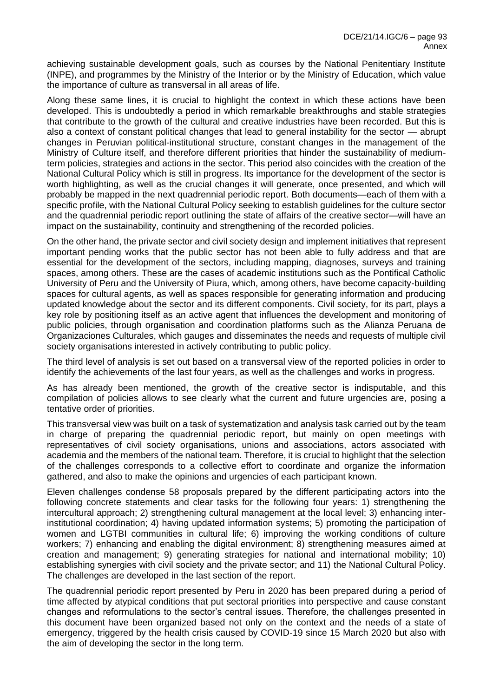achieving sustainable development goals, such as courses by the National Penitentiary Institute (INPE), and programmes by the Ministry of the Interior or by the Ministry of Education, which value the importance of culture as transversal in all areas of life.

Along these same lines, it is crucial to highlight the context in which these actions have been developed. This is undoubtedly a period in which remarkable breakthroughs and stable strategies that contribute to the growth of the cultural and creative industries have been recorded. But this is also a context of constant political changes that lead to general instability for the sector — abrupt changes in Peruvian political-institutional structure, constant changes in the management of the Ministry of Culture itself, and therefore different priorities that hinder the sustainability of mediumterm policies, strategies and actions in the sector. This period also coincides with the creation of the National Cultural Policy which is still in progress. Its importance for the development of the sector is worth highlighting, as well as the crucial changes it will generate, once presented, and which will probably be mapped in the next quadrennial periodic report. Both documents—each of them with a specific profile, with the National Cultural Policy seeking to establish guidelines for the culture sector and the quadrennial periodic report outlining the state of affairs of the creative sector—will have an impact on the sustainability, continuity and strengthening of the recorded policies.

On the other hand, the private sector and civil society design and implement initiatives that represent important pending works that the public sector has not been able to fully address and that are essential for the development of the sectors, including mapping, diagnoses, surveys and training spaces, among others. These are the cases of academic institutions such as the Pontifical Catholic University of Peru and the University of Piura, which, among others, have become capacity-building spaces for cultural agents, as well as spaces responsible for generating information and producing updated knowledge about the sector and its different components. Civil society, for its part, plays a key role by positioning itself as an active agent that influences the development and monitoring of public policies, through organisation and coordination platforms such as the Alianza Peruana de Organizaciones Culturales, which gauges and disseminates the needs and requests of multiple civil society organisations interested in actively contributing to public policy.

The third level of analysis is set out based on a transversal view of the reported policies in order to identify the achievements of the last four years, as well as the challenges and works in progress.

As has already been mentioned, the growth of the creative sector is indisputable, and this compilation of policies allows to see clearly what the current and future urgencies are, posing a tentative order of priorities.

This transversal view was built on a task of systematization and analysis task carried out by the team in charge of preparing the quadrennial periodic report, but mainly on open meetings with representatives of civil society organisations, unions and associations, actors associated with academia and the members of the national team. Therefore, it is crucial to highlight that the selection of the challenges corresponds to a collective effort to coordinate and organize the information gathered, and also to make the opinions and urgencies of each participant known.

Eleven challenges condense 58 proposals prepared by the different participating actors into the following concrete statements and clear tasks for the following four years: 1) strengthening the intercultural approach; 2) strengthening cultural management at the local level; 3) enhancing interinstitutional coordination; 4) having updated information systems; 5) promoting the participation of women and LGTBI communities in cultural life; 6) improving the working conditions of culture workers; 7) enhancing and enabling the digital environment; 8) strengthening measures aimed at creation and management; 9) generating strategies for national and international mobility; 10) establishing synergies with civil society and the private sector; and 11) the National Cultural Policy. The challenges are developed in the last section of the report.

The quadrennial periodic report presented by Peru in 2020 has been prepared during a period of time affected by atypical conditions that put sectoral priorities into perspective and cause constant changes and reformulations to the sector's central issues. Therefore, the challenges presented in this document have been organized based not only on the context and the needs of a state of emergency, triggered by the health crisis caused by COVID-19 since 15 March 2020 but also with the aim of developing the sector in the long term.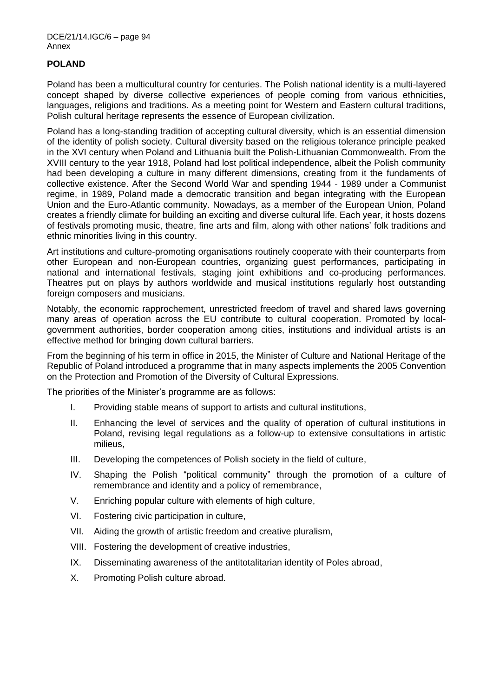## **POLAND**

Poland has been a multicultural country for centuries. The Polish national identity is a multi-layered concept shaped by diverse collective experiences of people coming from various ethnicities, languages, religions and traditions. As a meeting point for Western and Eastern cultural traditions, Polish cultural heritage represents the essence of European civilization.

Poland has a long-standing tradition of accepting cultural diversity, which is an essential dimension of the identity of polish society. Cultural diversity based on the religious tolerance principle peaked in the XVI century when Poland and Lithuania built the Polish-Lithuanian Commonwealth. From the XVIII century to the year 1918, Poland had lost political independence, albeit the Polish community had been developing a culture in many different dimensions, creating from it the fundaments of collective existence. After the Second World War and spending 1944 - 1989 under a Communist regime, in 1989, Poland made a democratic transition and began integrating with the European Union and the Euro-Atlantic community. Nowadays, as a member of the European Union, Poland creates a friendly climate for building an exciting and diverse cultural life. Each year, it hosts dozens of festivals promoting music, theatre, fine arts and film, along with other nations' folk traditions and ethnic minorities living in this country.

Art institutions and culture-promoting organisations routinely cooperate with their counterparts from other European and non-European countries, organizing guest performances, participating in national and international festivals, staging joint exhibitions and co-producing performances. Theatres put on plays by authors worldwide and musical institutions regularly host outstanding foreign composers and musicians.

Notably, the economic rapprochement, unrestricted freedom of travel and shared laws governing many areas of operation across the EU contribute to cultural cooperation. Promoted by localgovernment authorities, border cooperation among cities, institutions and individual artists is an effective method for bringing down cultural barriers.

From the beginning of his term in office in 2015, the Minister of Culture and National Heritage of the Republic of Poland introduced a programme that in many aspects implements the 2005 Convention on the Protection and Promotion of the Diversity of Cultural Expressions.

The priorities of the Minister's programme are as follows:

- I. Providing stable means of support to artists and cultural institutions,
- II. Enhancing the level of services and the quality of operation of cultural institutions in Poland, revising legal regulations as a follow-up to extensive consultations in artistic milieus,
- III. Developing the competences of Polish society in the field of culture,
- IV. Shaping the Polish "political community" through the promotion of a culture of remembrance and identity and a policy of remembrance,
- V. Enriching popular culture with elements of high culture,
- VI. Fostering civic participation in culture,
- VII. Aiding the growth of artistic freedom and creative pluralism,
- VIII. Fostering the development of creative industries,
- IX. Disseminating awareness of the antitotalitarian identity of Poles abroad,
- X. Promoting Polish culture abroad.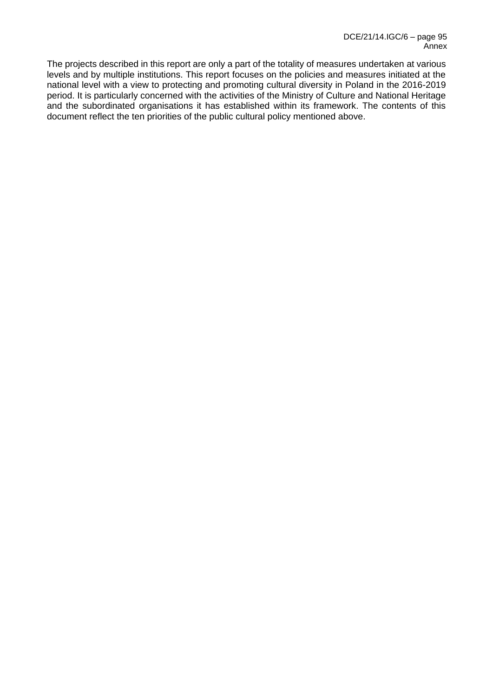The projects described in this report are only a part of the totality of measures undertaken at various levels and by multiple institutions. This report focuses on the policies and measures initiated at the national level with a view to protecting and promoting cultural diversity in Poland in the 2016-2019 period. It is particularly concerned with the activities of the Ministry of Culture and National Heritage and the subordinated organisations it has established within its framework. The contents of this document reflect the ten priorities of the public cultural policy mentioned above.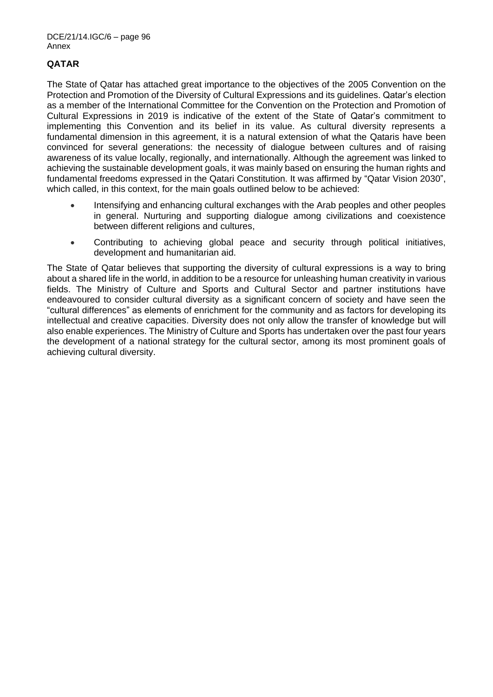# **QATAR**

The State of Qatar has attached great importance to the objectives of the 2005 Convention on the Protection and Promotion of the Diversity of Cultural Expressions and its guidelines. Qatar's election as a member of the International Committee for the Convention on the Protection and Promotion of Cultural Expressions in 2019 is indicative of the extent of the State of Qatar's commitment to implementing this Convention and its belief in its value. As cultural diversity represents a fundamental dimension in this agreement, it is a natural extension of what the Qataris have been convinced for several generations: the necessity of dialogue between cultures and of raising awareness of its value locally, regionally, and internationally. Although the agreement was linked to achieving the sustainable development goals, it was mainly based on ensuring the human rights and fundamental freedoms expressed in the Qatari Constitution. It was affirmed by "Qatar Vision 2030", which called, in this context, for the main goals outlined below to be achieved:

- Intensifying and enhancing cultural exchanges with the Arab peoples and other peoples in general. Nurturing and supporting dialogue among civilizations and coexistence between different religions and cultures,
- Contributing to achieving global peace and security through political initiatives, development and humanitarian aid.

The State of Qatar believes that supporting the diversity of cultural expressions is a way to bring about a shared life in the world, in addition to be a resource for unleashing human creativity in various fields. The Ministry of Culture and Sports and Cultural Sector and partner institutions have endeavoured to consider cultural diversity as a significant concern of society and have seen the "cultural differences" as elements of enrichment for the community and as factors for developing its intellectual and creative capacities. Diversity does not only allow the transfer of knowledge but will also enable experiences. The Ministry of Culture and Sports has undertaken over the past four years the development of a national strategy for the cultural sector, among its most prominent goals of achieving cultural diversity.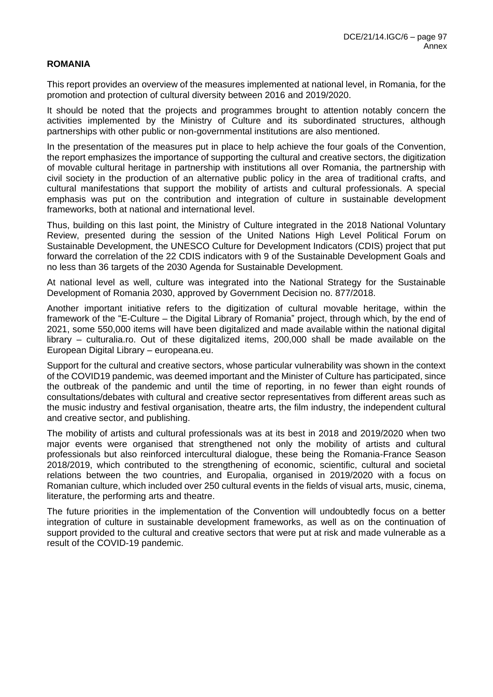#### **ROMANIA**

This report provides an overview of the measures implemented at national level, in Romania, for the promotion and protection of cultural diversity between 2016 and 2019/2020.

It should be noted that the projects and programmes brought to attention notably concern the activities implemented by the Ministry of Culture and its subordinated structures, although partnerships with other public or non-governmental institutions are also mentioned.

In the presentation of the measures put in place to help achieve the four goals of the Convention, the report emphasizes the importance of supporting the cultural and creative sectors, the digitization of movable cultural heritage in partnership with institutions all over Romania, the partnership with civil society in the production of an alternative public policy in the area of traditional crafts, and cultural manifestations that support the mobility of artists and cultural professionals. A special emphasis was put on the contribution and integration of culture in sustainable development frameworks, both at national and international level.

Thus, building on this last point, the Ministry of Culture integrated in the 2018 National Voluntary Review, presented during the session of the United Nations High Level Political Forum on Sustainable Development, the UNESCO Culture for Development Indicators (CDIS) project that put forward the correlation of the 22 CDIS indicators with 9 of the Sustainable Development Goals and no less than 36 targets of the 2030 Agenda for Sustainable Development.

At national level as well, culture was integrated into the National Strategy for the Sustainable Development of Romania 2030, approved by Government Decision no. 877/2018.

Another important initiative refers to the digitization of cultural movable heritage, within the framework of the "E-Culture – the Digital Library of Romania" project, through which, by the end of 2021, some 550,000 items will have been digitalized and made available within the national digital library – culturalia.ro. Out of these digitalized items, 200,000 shall be made available on the European Digital Library – europeana.eu.

Support for the cultural and creative sectors, whose particular vulnerability was shown in the context of the COVID19 pandemic, was deemed important and the Minister of Culture has participated, since the outbreak of the pandemic and until the time of reporting, in no fewer than eight rounds of consultations/debates with cultural and creative sector representatives from different areas such as the music industry and festival organisation, theatre arts, the film industry, the independent cultural and creative sector, and publishing.

The mobility of artists and cultural professionals was at its best in 2018 and 2019/2020 when two major events were organised that strengthened not only the mobility of artists and cultural professionals but also reinforced intercultural dialogue, these being the Romania-France Season 2018/2019, which contributed to the strengthening of economic, scientific, cultural and societal relations between the two countries, and Europalia, organised in 2019/2020 with a focus on Romanian culture, which included over 250 cultural events in the fields of visual arts, music, cinema, literature, the performing arts and theatre.

The future priorities in the implementation of the Convention will undoubtedly focus on a better integration of culture in sustainable development frameworks, as well as on the continuation of support provided to the cultural and creative sectors that were put at risk and made vulnerable as a result of the COVID-19 pandemic.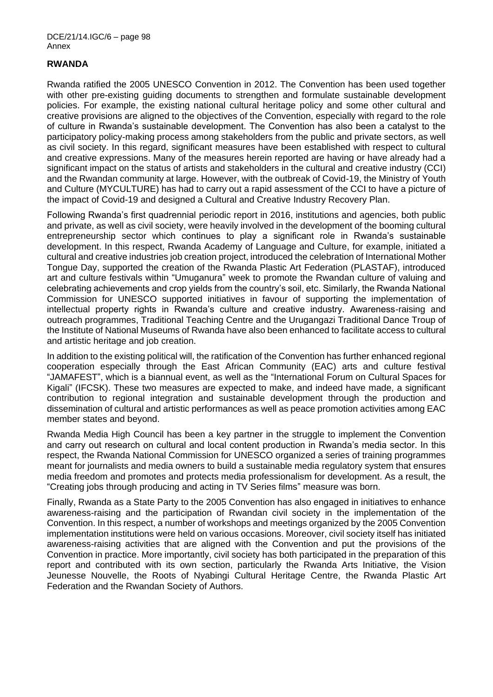### **RWANDA**

Rwanda ratified the 2005 UNESCO Convention in 2012. The Convention has been used together with other pre-existing guiding documents to strengthen and formulate sustainable development policies. For example, the existing national cultural heritage policy and some other cultural and creative provisions are aligned to the objectives of the Convention, especially with regard to the role of culture in Rwanda's sustainable development. The Convention has also been a catalyst to the participatory policy-making process among stakeholders from the public and private sectors, as well as civil society. In this regard, significant measures have been established with respect to cultural and creative expressions. Many of the measures herein reported are having or have already had a significant impact on the status of artists and stakeholders in the cultural and creative industry (CCI) and the Rwandan community at large. However, with the outbreak of Covid-19, the Ministry of Youth and Culture (MYCULTURE) has had to carry out a rapid assessment of the CCI to have a picture of the impact of Covid-19 and designed a Cultural and Creative Industry Recovery Plan.

Following Rwanda's first quadrennial periodic report in 2016, institutions and agencies, both public and private, as well as civil society, were heavily involved in the development of the booming cultural entrepreneurship sector which continues to play a significant role in Rwanda's sustainable development. In this respect, Rwanda Academy of Language and Culture, for example, initiated a cultural and creative industries job creation project, introduced the celebration of International Mother Tongue Day, supported the creation of the Rwanda Plastic Art Federation (PLASTAF), introduced art and culture festivals within "Umuganura" week to promote the Rwandan culture of valuing and celebrating achievements and crop yields from the country's soil, etc. Similarly, the Rwanda National Commission for UNESCO supported initiatives in favour of supporting the implementation of intellectual property rights in Rwanda's culture and creative industry. Awareness-raising and outreach programmes, Traditional Teaching Centre and the Urugangazi Traditional Dance Troup of the Institute of National Museums of Rwanda have also been enhanced to facilitate access to cultural and artistic heritage and job creation.

In addition to the existing political will, the ratification of the Convention has further enhanced regional cooperation especially through the East African Community (EAC) arts and culture festival "JAMAFEST", which is a biannual event, as well as the "International Forum on Cultural Spaces for Kigali" (IFCSK). These two measures are expected to make, and indeed have made, a significant contribution to regional integration and sustainable development through the production and dissemination of cultural and artistic performances as well as peace promotion activities among EAC member states and beyond.

Rwanda Media High Council has been a key partner in the struggle to implement the Convention and carry out research on cultural and local content production in Rwanda's media sector. In this respect, the Rwanda National Commission for UNESCO organized a series of training programmes meant for journalists and media owners to build a sustainable media regulatory system that ensures media freedom and promotes and protects media professionalism for development. As a result, the "Creating jobs through producing and acting in TV Series films" measure was born.

Finally, Rwanda as a State Party to the 2005 Convention has also engaged in initiatives to enhance awareness-raising and the participation of Rwandan civil society in the implementation of the Convention. In this respect, a number of workshops and meetings organized by the 2005 Convention implementation institutions were held on various occasions. Moreover, civil society itself has initiated awareness-raising activities that are aligned with the Convention and put the provisions of the Convention in practice. More importantly, civil society has both participated in the preparation of this report and contributed with its own section, particularly the Rwanda Arts Initiative, the Vision Jeunesse Nouvelle, the Roots of Nyabingi Cultural Heritage Centre, the Rwanda Plastic Art Federation and the Rwandan Society of Authors.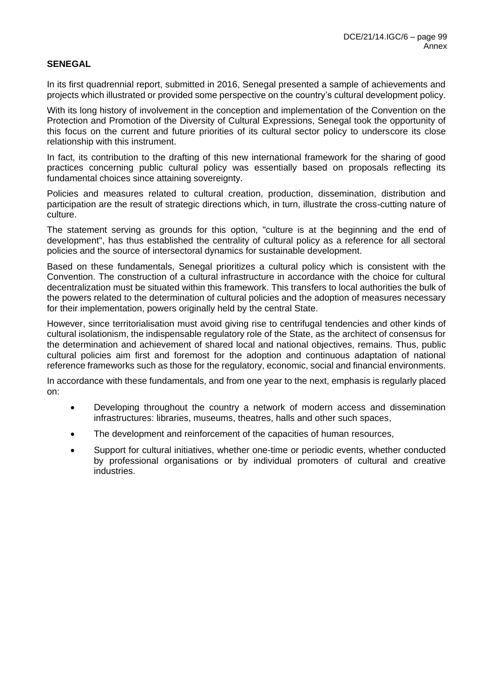# **SENEGAL**

In its first quadrennial report, submitted in 2016, Senegal presented a sample of achievements and projects which illustrated or provided some perspective on the country's cultural development policy.

With its long history of involvement in the conception and implementation of the Convention on the Protection and Promotion of the Diversity of Cultural Expressions, Senegal took the opportunity of this focus on the current and future priorities of its cultural sector policy to underscore its close relationship with this instrument.

In fact, its contribution to the drafting of this new international framework for the sharing of good practices concerning public cultural policy was essentially based on proposals reflecting its fundamental choices since attaining sovereignty.

Policies and measures related to cultural creation, production, dissemination, distribution and participation are the result of strategic directions which, in turn, illustrate the cross-cutting nature of culture.

The statement serving as grounds for this option, "culture is at the beginning and the end of development", has thus established the centrality of cultural policy as a reference for all sectoral policies and the source of intersectoral dynamics for sustainable development.

Based on these fundamentals, Senegal prioritizes a cultural policy which is consistent with the Convention. The construction of a cultural infrastructure in accordance with the choice for cultural decentralization must be situated within this framework. This transfers to local authorities the bulk of the powers related to the determination of cultural policies and the adoption of measures necessary for their implementation, powers originally held by the central State.

However, since territorialisation must avoid giving rise to centrifugal tendencies and other kinds of cultural isolationism, the indispensable regulatory role of the State, as the architect of consensus for the determination and achievement of shared local and national objectives, remains. Thus, public cultural policies aim first and foremost for the adoption and continuous adaptation of national reference frameworks such as those for the regulatory, economic, social and financial environments.

In accordance with these fundamentals, and from one year to the next, emphasis is regularly placed on:

- Developing throughout the country a network of modern access and dissemination infrastructures: libraries, museums, theatres, halls and other such spaces,
- The development and reinforcement of the capacities of human resources,
- Support for cultural initiatives, whether one-time or periodic events, whether conducted by professional organisations or by individual promoters of cultural and creative industries.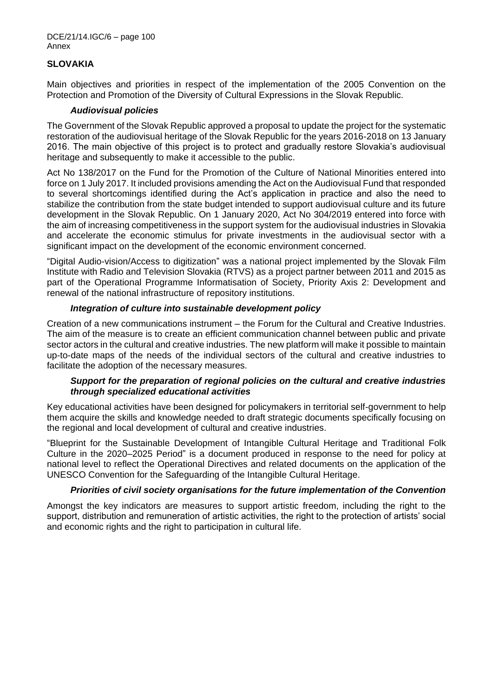DCE/21/14.IGC/6 – page 100 Annex

### **SLOVAKIA**

Main objectives and priorities in respect of the implementation of the 2005 Convention on the Protection and Promotion of the Diversity of Cultural Expressions in the Slovak Republic.

#### *Audiovisual policies*

The Government of the Slovak Republic approved a proposal to update the project for the systematic restoration of the audiovisual heritage of the Slovak Republic for the years 2016-2018 on 13 January 2016. The main objective of this project is to protect and gradually restore Slovakia's audiovisual heritage and subsequently to make it accessible to the public.

Act No 138/2017 on the Fund for the Promotion of the Culture of National Minorities entered into force on 1 July 2017. It included provisions amending the Act on the Audiovisual Fund that responded to several shortcomings identified during the Act's application in practice and also the need to stabilize the contribution from the state budget intended to support audiovisual culture and its future development in the Slovak Republic. On 1 January 2020, Act No 304/2019 entered into force with the aim of increasing competitiveness in the support system for the audiovisual industries in Slovakia and accelerate the economic stimulus for private investments in the audiovisual sector with a significant impact on the development of the economic environment concerned.

"Digital Audio-vision/Access to digitization" was a national project implemented by the Slovak Film Institute with Radio and Television Slovakia (RTVS) as a project partner between 2011 and 2015 as part of the Operational Programme Informatisation of Society, Priority Axis 2: Development and renewal of the national infrastructure of repository institutions.

### *Integration of culture into sustainable development policy*

Creation of a new communications instrument – the Forum for the Cultural and Creative Industries. The aim of the measure is to create an efficient communication channel between public and private sector actors in the cultural and creative industries. The new platform will make it possible to maintain up-to-date maps of the needs of the individual sectors of the cultural and creative industries to facilitate the adoption of the necessary measures.

### *Support for the preparation of regional policies on the cultural and creative industries through specialized educational activities*

Key educational activities have been designed for policymakers in territorial self-government to help them acquire the skills and knowledge needed to draft strategic documents specifically focusing on the regional and local development of cultural and creative industries.

"Blueprint for the Sustainable Development of Intangible Cultural Heritage and Traditional Folk Culture in the 2020–2025 Period" is a document produced in response to the need for policy at national level to reflect the Operational Directives and related documents on the application of the UNESCO Convention for the Safeguarding of the Intangible Cultural Heritage.

# *Priorities of civil society organisations for the future implementation of the Convention*

Amongst the key indicators are measures to support artistic freedom, including the right to the support, distribution and remuneration of artistic activities, the right to the protection of artists' social and economic rights and the right to participation in cultural life.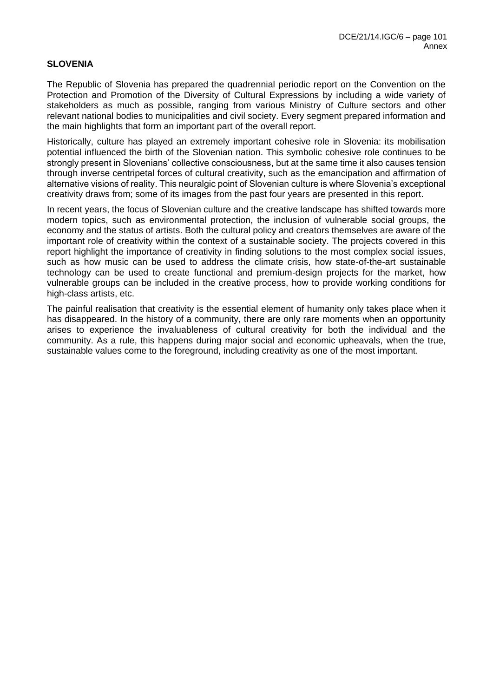### **SLOVENIA**

The Republic of Slovenia has prepared the quadrennial periodic report on the Convention on the Protection and Promotion of the Diversity of Cultural Expressions by including a wide variety of stakeholders as much as possible, ranging from various Ministry of Culture sectors and other relevant national bodies to municipalities and civil society. Every segment prepared information and the main highlights that form an important part of the overall report.

Historically, culture has played an extremely important cohesive role in Slovenia: its mobilisation potential influenced the birth of the Slovenian nation. This symbolic cohesive role continues to be strongly present in Slovenians' collective consciousness, but at the same time it also causes tension through inverse centripetal forces of cultural creativity, such as the emancipation and affirmation of alternative visions of reality. This neuralgic point of Slovenian culture is where Slovenia's exceptional creativity draws from; some of its images from the past four years are presented in this report.

In recent years, the focus of Slovenian culture and the creative landscape has shifted towards more modern topics, such as environmental protection, the inclusion of vulnerable social groups, the economy and the status of artists. Both the cultural policy and creators themselves are aware of the important role of creativity within the context of a sustainable society. The projects covered in this report highlight the importance of creativity in finding solutions to the most complex social issues, such as how music can be used to address the climate crisis, how state-of-the-art sustainable technology can be used to create functional and premium-design projects for the market, how vulnerable groups can be included in the creative process, how to provide working conditions for high-class artists, etc.

The painful realisation that creativity is the essential element of humanity only takes place when it has disappeared. In the history of a community, there are only rare moments when an opportunity arises to experience the invaluableness of cultural creativity for both the individual and the community. As a rule, this happens during major social and economic upheavals, when the true, sustainable values come to the foreground, including creativity as one of the most important.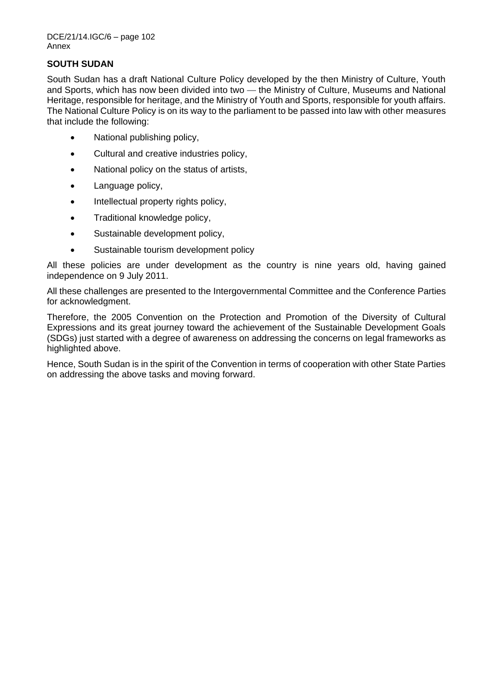# **SOUTH SUDAN**

South Sudan has a draft National Culture Policy developed by the then Ministry of Culture, Youth and Sports, which has now been divided into two — the Ministry of Culture, Museums and National Heritage, responsible for heritage, and the Ministry of Youth and Sports, responsible for youth affairs. The National Culture Policy is on its way to the parliament to be passed into law with other measures that include the following:

- National publishing policy,
- Cultural and creative industries policy,
- National policy on the status of artists.
- Language policy,
- Intellectual property rights policy,
- Traditional knowledge policy,
- Sustainable development policy,
- Sustainable tourism development policy

All these policies are under development as the country is nine years old, having gained independence on 9 July 2011.

All these challenges are presented to the Intergovernmental Committee and the Conference Parties for acknowledgment.

Therefore, the 2005 Convention on the Protection and Promotion of the Diversity of Cultural Expressions and its great journey toward the achievement of the Sustainable Development Goals (SDGs) just started with a degree of awareness on addressing the concerns on legal frameworks as highlighted above.

Hence, South Sudan is in the spirit of the Convention in terms of cooperation with other State Parties on addressing the above tasks and moving forward.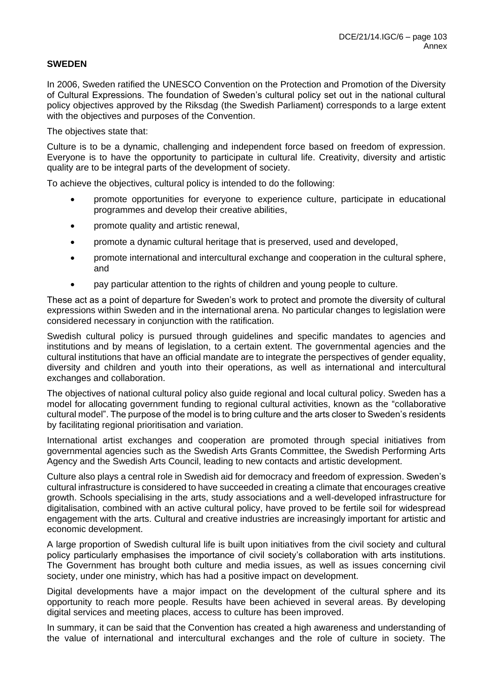# **SWEDEN**

In 2006, Sweden ratified the UNESCO Convention on the Protection and Promotion of the Diversity of Cultural Expressions. The foundation of Sweden's cultural policy set out in the national cultural policy objectives approved by the Riksdag (the Swedish Parliament) corresponds to a large extent with the objectives and purposes of the Convention.

The objectives state that:

Culture is to be a dynamic, challenging and independent force based on freedom of expression. Everyone is to have the opportunity to participate in cultural life. Creativity, diversity and artistic quality are to be integral parts of the development of society.

To achieve the objectives, cultural policy is intended to do the following:

- promote opportunities for everyone to experience culture, participate in educational programmes and develop their creative abilities,
- promote quality and artistic renewal,
- promote a dynamic cultural heritage that is preserved, used and developed,
- promote international and intercultural exchange and cooperation in the cultural sphere, and
- pay particular attention to the rights of children and young people to culture.

These act as a point of departure for Sweden's work to protect and promote the diversity of cultural expressions within Sweden and in the international arena. No particular changes to legislation were considered necessary in conjunction with the ratification.

Swedish cultural policy is pursued through guidelines and specific mandates to agencies and institutions and by means of legislation, to a certain extent. The governmental agencies and the cultural institutions that have an official mandate are to integrate the perspectives of gender equality, diversity and children and youth into their operations, as well as international and intercultural exchanges and collaboration.

The objectives of national cultural policy also guide regional and local cultural policy. Sweden has a model for allocating government funding to regional cultural activities, known as the "collaborative cultural model". The purpose of the model is to bring culture and the arts closer to Sweden's residents by facilitating regional prioritisation and variation.

International artist exchanges and cooperation are promoted through special initiatives from governmental agencies such as the Swedish Arts Grants Committee, the Swedish Performing Arts Agency and the Swedish Arts Council, leading to new contacts and artistic development.

Culture also plays a central role in Swedish aid for democracy and freedom of expression. Sweden's cultural infrastructure is considered to have succeeded in creating a climate that encourages creative growth. Schools specialising in the arts, study associations and a well-developed infrastructure for digitalisation, combined with an active cultural policy, have proved to be fertile soil for widespread engagement with the arts. Cultural and creative industries are increasingly important for artistic and economic development.

A large proportion of Swedish cultural life is built upon initiatives from the civil society and cultural policy particularly emphasises the importance of civil society's collaboration with arts institutions. The Government has brought both culture and media issues, as well as issues concerning civil society, under one ministry, which has had a positive impact on development.

Digital developments have a major impact on the development of the cultural sphere and its opportunity to reach more people. Results have been achieved in several areas. By developing digital services and meeting places, access to culture has been improved.

In summary, it can be said that the Convention has created a high awareness and understanding of the value of international and intercultural exchanges and the role of culture in society. The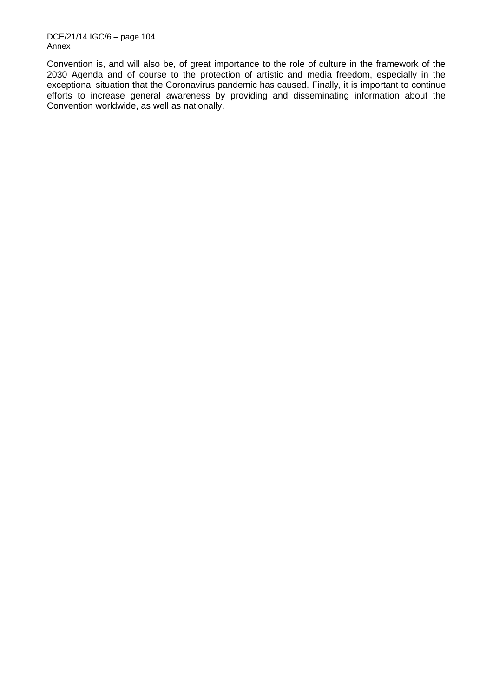DCE/21/14.IGC/6 – page 104 Annex

Convention is, and will also be, of great importance to the role of culture in the framework of the 2030 Agenda and of course to the protection of artistic and media freedom, especially in the exceptional situation that the Coronavirus pandemic has caused. Finally, it is important to continue efforts to increase general awareness by providing and disseminating information about the Convention worldwide, as well as nationally.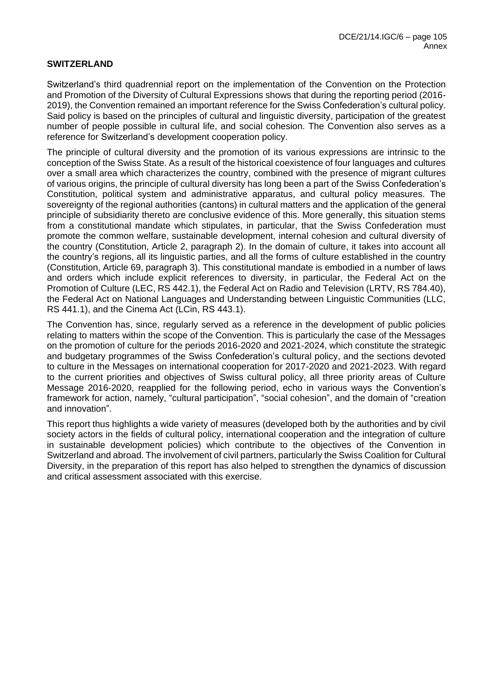# **SWITZERLAND**

Switzerland's third quadrennial report on the implementation of the Convention on the Protection and Promotion of the Diversity of Cultural Expressions shows that during the reporting period (2016- 2019), the Convention remained an important reference for the Swiss Confederation's cultural policy. Said policy is based on the principles of cultural and linguistic diversity, participation of the greatest number of people possible in cultural life, and social cohesion. The Convention also serves as a reference for Switzerland's development cooperation policy.

The principle of cultural diversity and the promotion of its various expressions are intrinsic to the conception of the Swiss State. As a result of the historical coexistence of four languages and cultures over a small area which characterizes the country, combined with the presence of migrant cultures of various origins, the principle of cultural diversity has long been a part of the Swiss Confederation's Constitution, political system and administrative apparatus, and cultural policy measures. The sovereignty of the regional authorities (cantons) in cultural matters and the application of the general principle of subsidiarity thereto are conclusive evidence of this. More generally, this situation stems from a constitutional mandate which stipulates, in particular, that the Swiss Confederation must promote the common welfare, sustainable development, internal cohesion and cultural diversity of the country (Constitution, Article 2, paragraph 2). In the domain of culture, it takes into account all the country's regions, all its linguistic parties, and all the forms of culture established in the country (Constitution, Article 69, paragraph 3). This constitutional mandate is embodied in a number of laws and orders which include explicit references to diversity, in particular, the Federal Act on the Promotion of Culture (LEC, RS 442.1), the Federal Act on Radio and Television (LRTV, RS 784.40), the Federal Act on National Languages and Understanding between Linguistic Communities (LLC, RS 441.1), and the Cinema Act (LCin, RS 443.1).

The Convention has, since, regularly served as a reference in the development of public policies relating to matters within the scope of the Convention. This is particularly the case of the Messages on the promotion of culture for the periods 2016-2020 and 2021-2024, which constitute the strategic and budgetary programmes of the Swiss Confederation's cultural policy, and the sections devoted to culture in the Messages on international cooperation for 2017-2020 and 2021-2023. With regard to the current priorities and objectives of Swiss cultural policy, all three priority areas of Culture Message 2016-2020, reapplied for the following period, echo in various ways the Convention's framework for action, namely, "cultural participation", "social cohesion", and the domain of "creation and innovation".

This report thus highlights a wide variety of measures (developed both by the authorities and by civil society actors in the fields of cultural policy, international cooperation and the integration of culture in sustainable development policies) which contribute to the objectives of the Convention in Switzerland and abroad. The involvement of civil partners, particularly the Swiss Coalition for Cultural Diversity, in the preparation of this report has also helped to strengthen the dynamics of discussion and critical assessment associated with this exercise.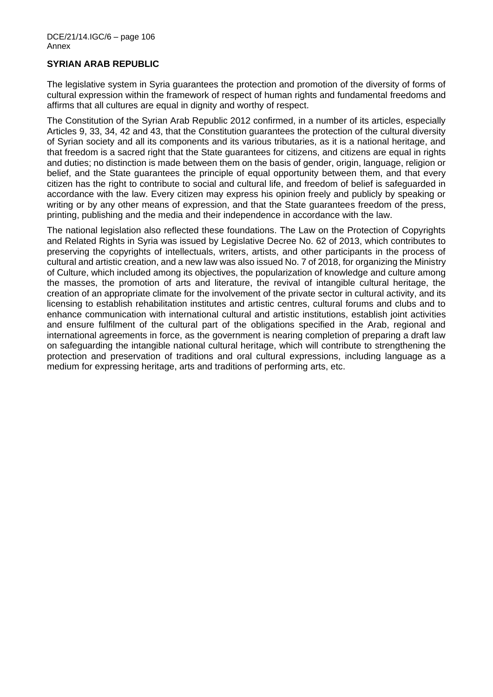### **SYRIAN ARAB REPUBLIC**

The legislative system in Syria guarantees the protection and promotion of the diversity of forms of cultural expression within the framework of respect of human rights and fundamental freedoms and affirms that all cultures are equal in dignity and worthy of respect.

The Constitution of the Syrian Arab Republic 2012 confirmed, in a number of its articles, especially Articles 9, 33, 34, 42 and 43, that the Constitution guarantees the protection of the cultural diversity of Syrian society and all its components and its various tributaries, as it is a national heritage, and that freedom is a sacred right that the State guarantees for citizens, and citizens are equal in rights and duties; no distinction is made between them on the basis of gender, origin, language, religion or belief, and the State guarantees the principle of equal opportunity between them, and that every citizen has the right to contribute to social and cultural life, and freedom of belief is safeguarded in accordance with the law. Every citizen may express his opinion freely and publicly by speaking or writing or by any other means of expression, and that the State guarantees freedom of the press, printing, publishing and the media and their independence in accordance with the law.

The national legislation also reflected these foundations. The Law on the Protection of Copyrights and Related Rights in Syria was issued by Legislative Decree No. 62 of 2013, which contributes to preserving the copyrights of intellectuals, writers, artists, and other participants in the process of cultural and artistic creation, and a new law was also issued No. 7 of 2018, for organizing the Ministry of Culture, which included among its objectives, the popularization of knowledge and culture among the masses, the promotion of arts and literature, the revival of intangible cultural heritage, the creation of an appropriate climate for the involvement of the private sector in cultural activity, and its licensing to establish rehabilitation institutes and artistic centres, cultural forums and clubs and to enhance communication with international cultural and artistic institutions, establish joint activities and ensure fulfilment of the cultural part of the obligations specified in the Arab, regional and international agreements in force, as the government is nearing completion of preparing a draft law on safeguarding the intangible national cultural heritage, which will contribute to strengthening the protection and preservation of traditions and oral cultural expressions, including language as a medium for expressing heritage, arts and traditions of performing arts, etc.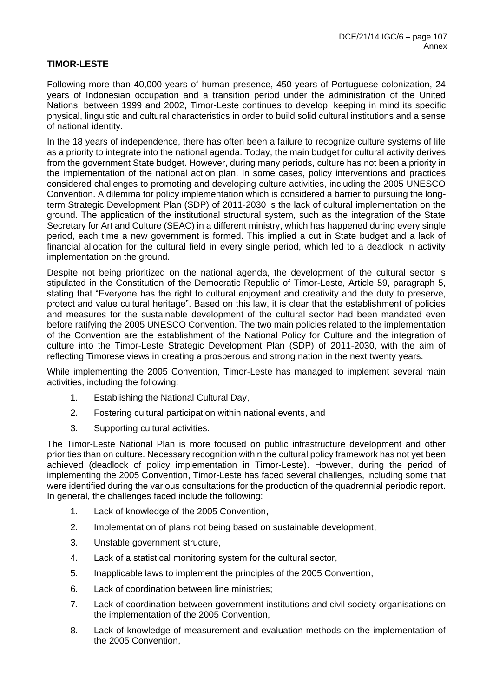# **TIMOR-LESTE**

Following more than 40,000 years of human presence, 450 years of Portuguese colonization, 24 years of Indonesian occupation and a transition period under the administration of the United Nations, between 1999 and 2002, Timor-Leste continues to develop, keeping in mind its specific physical, linguistic and cultural characteristics in order to build solid cultural institutions and a sense of national identity.

In the 18 years of independence, there has often been a failure to recognize culture systems of life as a priority to integrate into the national agenda. Today, the main budget for cultural activity derives from the government State budget. However, during many periods, culture has not been a priority in the implementation of the national action plan. In some cases, policy interventions and practices considered challenges to promoting and developing culture activities, including the 2005 UNESCO Convention. A dilemma for policy implementation which is considered a barrier to pursuing the longterm Strategic Development Plan (SDP) of 2011-2030 is the lack of cultural implementation on the ground. The application of the institutional structural system, such as the integration of the State Secretary for Art and Culture (SEAC) in a different ministry, which has happened during every single period, each time a new government is formed. This implied a cut in State budget and a lack of financial allocation for the cultural field in every single period, which led to a deadlock in activity implementation on the ground.

Despite not being prioritized on the national agenda, the development of the cultural sector is stipulated in the Constitution of the Democratic Republic of Timor-Leste, Article 59, paragraph 5, stating that "Everyone has the right to cultural enjoyment and creativity and the duty to preserve, protect and value cultural heritage". Based on this law, it is clear that the establishment of policies and measures for the sustainable development of the cultural sector had been mandated even before ratifying the 2005 UNESCO Convention. The two main policies related to the implementation of the Convention are the establishment of the National Policy for Culture and the integration of culture into the Timor-Leste Strategic Development Plan (SDP) of 2011-2030, with the aim of reflecting Timorese views in creating a prosperous and strong nation in the next twenty years.

While implementing the 2005 Convention, Timor-Leste has managed to implement several main activities, including the following:

- 1. Establishing the National Cultural Day,
- 2. Fostering cultural participation within national events, and
- 3. Supporting cultural activities.

The Timor-Leste National Plan is more focused on public infrastructure development and other priorities than on culture. Necessary recognition within the cultural policy framework has not yet been achieved (deadlock of policy implementation in Timor-Leste). However, during the period of implementing the 2005 Convention, Timor-Leste has faced several challenges, including some that were identified during the various consultations for the production of the quadrennial periodic report. In general, the challenges faced include the following:

- 1. Lack of knowledge of the 2005 Convention,
- 2. Implementation of plans not being based on sustainable development,
- 3. Unstable government structure,
- 4. Lack of a statistical monitoring system for the cultural sector,
- 5. Inapplicable laws to implement the principles of the 2005 Convention,
- 6. Lack of coordination between line ministries;
- 7. Lack of coordination between government institutions and civil society organisations on the implementation of the 2005 Convention,
- 8. Lack of knowledge of measurement and evaluation methods on the implementation of the 2005 Convention,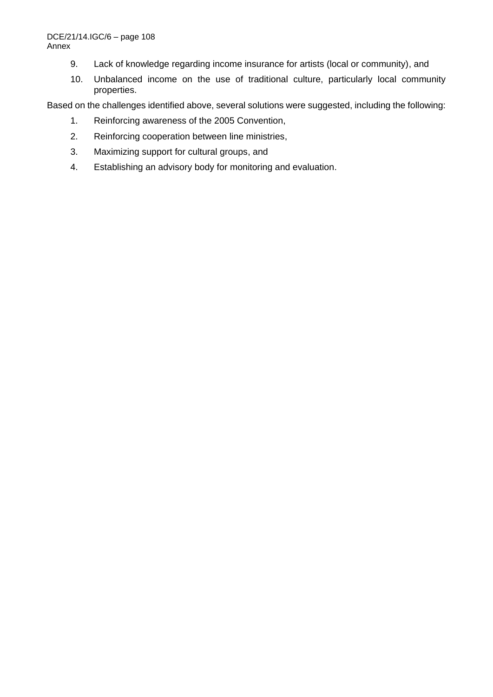- 9. Lack of knowledge regarding income insurance for artists (local or community), and
- 10. Unbalanced income on the use of traditional culture, particularly local community properties.

Based on the challenges identified above, several solutions were suggested, including the following:

- 1. Reinforcing awareness of the 2005 Convention,
- 2. Reinforcing cooperation between line ministries,
- 3. Maximizing support for cultural groups, and
- 4. Establishing an advisory body for monitoring and evaluation.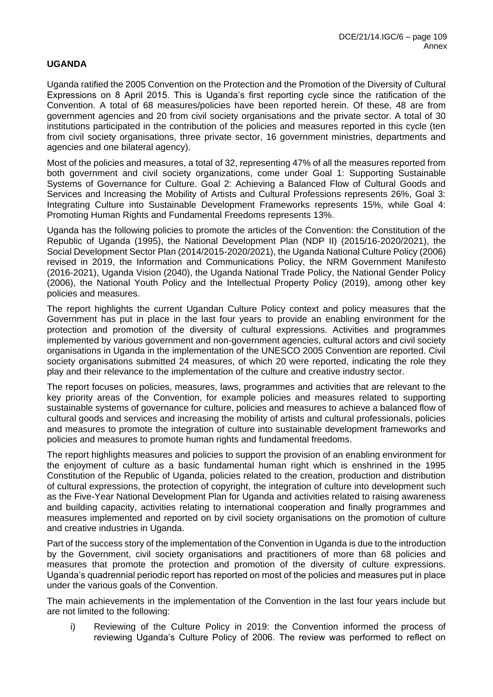## **UGANDA**

Uganda ratified the 2005 Convention on the Protection and the Promotion of the Diversity of Cultural Expressions on 8 April 2015. This is Uganda's first reporting cycle since the ratification of the Convention. A total of 68 measures/policies have been reported herein. Of these, 48 are from government agencies and 20 from civil society organisations and the private sector. A total of 30 institutions participated in the contribution of the policies and measures reported in this cycle (ten from civil society organisations, three private sector, 16 government ministries, departments and agencies and one bilateral agency).

Most of the policies and measures, a total of 32, representing 47% of all the measures reported from both government and civil society organizations, come under Goal 1: Supporting Sustainable Systems of Governance for Culture. Goal 2: Achieving a Balanced Flow of Cultural Goods and Services and Increasing the Mobility of Artists and Cultural Professions represents 26%, Goal 3: Integrating Culture into Sustainable Development Frameworks represents 15%, while Goal 4: Promoting Human Rights and Fundamental Freedoms represents 13%.

Uganda has the following policies to promote the articles of the Convention: the Constitution of the Republic of Uganda (1995), the National Development Plan (NDP II) (2015/16-2020/2021), the Social Development Sector Plan (2014/2015-2020/2021), the Uganda National Culture Policy (2006) revised in 2019, the Information and Communications Policy, the NRM Government Manifesto (2016-2021), Uganda Vision (2040), the Uganda National Trade Policy, the National Gender Policy (2006), the National Youth Policy and the Intellectual Property Policy (2019), among other key policies and measures.

The report highlights the current Ugandan Culture Policy context and policy measures that the Government has put in place in the last four years to provide an enabling environment for the protection and promotion of the diversity of cultural expressions. Activities and programmes implemented by various government and non-government agencies, cultural actors and civil society organisations in Uganda in the implementation of the UNESCO 2005 Convention are reported. Civil society organisations submitted 24 measures, of which 20 were reported, indicating the role they play and their relevance to the implementation of the culture and creative industry sector.

The report focuses on policies, measures, laws, programmes and activities that are relevant to the key priority areas of the Convention, for example policies and measures related to supporting sustainable systems of governance for culture, policies and measures to achieve a balanced flow of cultural goods and services and increasing the mobility of artists and cultural professionals, policies and measures to promote the integration of culture into sustainable development frameworks and policies and measures to promote human rights and fundamental freedoms.

The report highlights measures and policies to support the provision of an enabling environment for the enjoyment of culture as a basic fundamental human right which is enshrined in the 1995 Constitution of the Republic of Uganda, policies related to the creation, production and distribution of cultural expressions, the protection of copyright, the integration of culture into development such as the Five-Year National Development Plan for Uganda and activities related to raising awareness and building capacity, activities relating to international cooperation and finally programmes and measures implemented and reported on by civil society organisations on the promotion of culture and creative industries in Uganda.

Part of the success story of the implementation of the Convention in Uganda is due to the introduction by the Government, civil society organisations and practitioners of more than 68 policies and measures that promote the protection and promotion of the diversity of culture expressions. Uganda's quadrennial periodic report has reported on most of the policies and measures put in place under the various goals of the Convention.

The main achievements in the implementation of the Convention in the last four years include but are not limited to the following:

i) Reviewing of the Culture Policy in 2019: the Convention informed the process of reviewing Uganda's Culture Policy of 2006. The review was performed to reflect on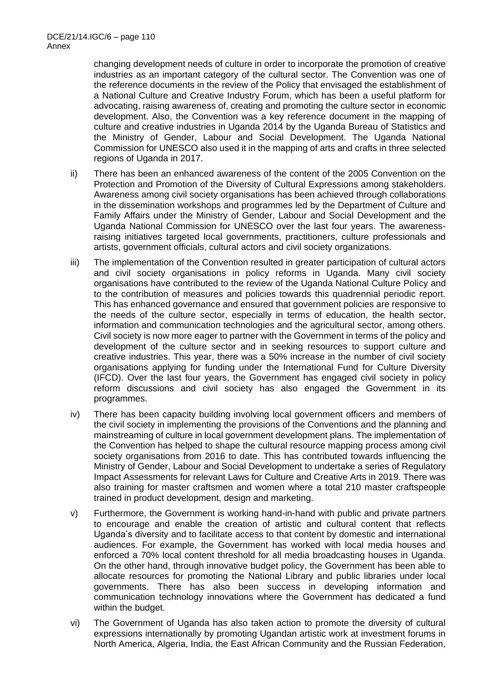changing development needs of culture in order to incorporate the promotion of creative industries as an important category of the cultural sector. The Convention was one of the reference documents in the review of the Policy that envisaged the establishment of a National Culture and Creative Industry Forum, which has been a useful platform for advocating, raising awareness of, creating and promoting the culture sector in economic development. Also, the Convention was a key reference document in the mapping of culture and creative industries in Uganda 2014 by the Uganda Bureau of Statistics and the Ministry of Gender, Labour and Social Development. The Uganda National Commission for UNESCO also used it in the mapping of arts and crafts in three selected regions of Uganda in 2017.

- ii) There has been an enhanced awareness of the content of the 2005 Convention on the Protection and Promotion of the Diversity of Cultural Expressions among stakeholders. Awareness among civil society organisations has been achieved through collaborations in the dissemination workshops and programmes led by the Department of Culture and Family Affairs under the Ministry of Gender, Labour and Social Development and the Uganda National Commission for UNESCO over the last four years. The awarenessraising initiatives targeted local governments, practitioners, culture professionals and artists, government officials, cultural actors and civil society organizations.
- iii) The implementation of the Convention resulted in greater participation of cultural actors and civil society organisations in policy reforms in Uganda. Many civil society organisations have contributed to the review of the Uganda National Culture Policy and to the contribution of measures and policies towards this quadrennial periodic report. This has enhanced governance and ensured that government policies are responsive to the needs of the culture sector, especially in terms of education, the health sector, information and communication technologies and the agricultural sector, among others. Civil society is now more eager to partner with the Government in terms of the policy and development of the culture sector and in seeking resources to support culture and creative industries. This year, there was a 50% increase in the number of civil society organisations applying for funding under the International Fund for Culture Diversity (IFCD). Over the last four years, the Government has engaged civil society in policy reform discussions and civil society has also engaged the Government in its programmes.
- iv) There has been capacity building involving local government officers and members of the civil society in implementing the provisions of the Conventions and the planning and mainstreaming of culture in local government development plans. The implementation of the Convention has helped to shape the cultural resource mapping process among civil society organisations from 2016 to date. This has contributed towards influencing the Ministry of Gender, Labour and Social Development to undertake a series of Regulatory Impact Assessments for relevant Laws for Culture and Creative Arts in 2019. There was also training for master craftsmen and women where a total 210 master craftspeople trained in product development, design and marketing.
- v) Furthermore, the Government is working hand-in-hand with public and private partners to encourage and enable the creation of artistic and cultural content that reflects Uganda's diversity and to facilitate access to that content by domestic and international audiences. For example, the Government has worked with local media houses and enforced a 70% local content threshold for all media broadcasting houses in Uganda. On the other hand, through innovative budget policy, the Government has been able to allocate resources for promoting the National Library and public libraries under local governments. There has also been success in developing information and communication technology innovations where the Government has dedicated a fund within the budget.
- vi) The Government of Uganda has also taken action to promote the diversity of cultural expressions internationally by promoting Ugandan artistic work at investment forums in North America, Algeria, India, the East African Community and the Russian Federation,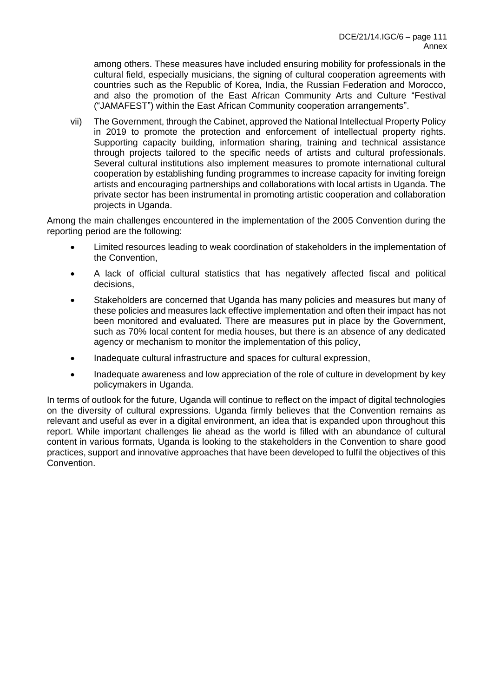among others. These measures have included ensuring mobility for professionals in the cultural field, especially musicians, the signing of cultural cooperation agreements with countries such as the Republic of Korea, India, the Russian Federation and Morocco, and also the promotion of the East African Community Arts and Culture "Festival ("JAMAFEST") within the East African Community cooperation arrangements".

vii) The Government, through the Cabinet, approved the National Intellectual Property Policy in 2019 to promote the protection and enforcement of intellectual property rights. Supporting capacity building, information sharing, training and technical assistance through projects tailored to the specific needs of artists and cultural professionals. Several cultural institutions also implement measures to promote international cultural cooperation by establishing funding programmes to increase capacity for inviting foreign artists and encouraging partnerships and collaborations with local artists in Uganda. The private sector has been instrumental in promoting artistic cooperation and collaboration projects in Uganda.

Among the main challenges encountered in the implementation of the 2005 Convention during the reporting period are the following:

- Limited resources leading to weak coordination of stakeholders in the implementation of the Convention,
- A lack of official cultural statistics that has negatively affected fiscal and political decisions,
- Stakeholders are concerned that Uganda has many policies and measures but many of these policies and measures lack effective implementation and often their impact has not been monitored and evaluated. There are measures put in place by the Government, such as 70% local content for media houses, but there is an absence of any dedicated agency or mechanism to monitor the implementation of this policy,
- Inadequate cultural infrastructure and spaces for cultural expression,
- Inadequate awareness and low appreciation of the role of culture in development by key policymakers in Uganda.

In terms of outlook for the future, Uganda will continue to reflect on the impact of digital technologies on the diversity of cultural expressions. Uganda firmly believes that the Convention remains as relevant and useful as ever in a digital environment, an idea that is expanded upon throughout this report. While important challenges lie ahead as the world is filled with an abundance of cultural content in various formats, Uganda is looking to the stakeholders in the Convention to share good practices, support and innovative approaches that have been developed to fulfil the objectives of this Convention.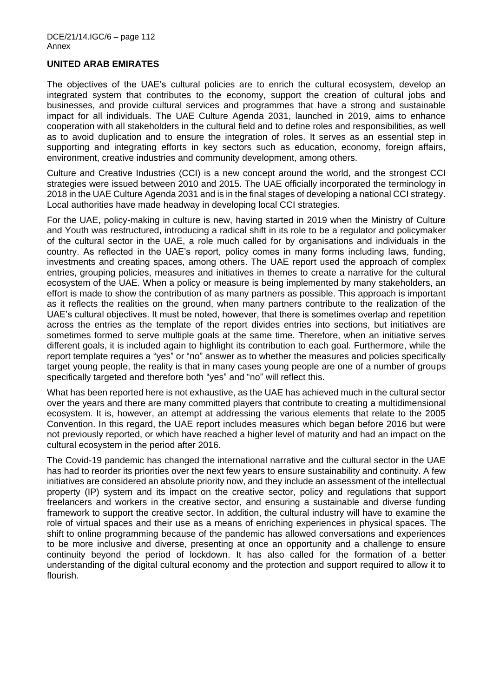## **UNITED ARAB EMIRATES**

The objectives of the UAE's cultural policies are to enrich the cultural ecosystem, develop an integrated system that contributes to the economy, support the creation of cultural jobs and businesses, and provide cultural services and programmes that have a strong and sustainable impact for all individuals. The UAE Culture Agenda 2031, launched in 2019, aims to enhance cooperation with all stakeholders in the cultural field and to define roles and responsibilities, as well as to avoid duplication and to ensure the integration of roles. It serves as an essential step in supporting and integrating efforts in key sectors such as education, economy, foreign affairs, environment, creative industries and community development, among others.

Culture and Creative Industries (CCI) is a new concept around the world, and the strongest CCI strategies were issued between 2010 and 2015. The UAE officially incorporated the terminology in 2018 in the UAE Culture Agenda 2031 and is in the final stages of developing a national CCI strategy. Local authorities have made headway in developing local CCI strategies.

For the UAE, policy-making in culture is new, having started in 2019 when the Ministry of Culture and Youth was restructured, introducing a radical shift in its role to be a regulator and policymaker of the cultural sector in the UAE, a role much called for by organisations and individuals in the country. As reflected in the UAE's report, policy comes in many forms including laws, funding, investments and creating spaces, among others. The UAE report used the approach of complex entries, grouping policies, measures and initiatives in themes to create a narrative for the cultural ecosystem of the UAE. When a policy or measure is being implemented by many stakeholders, an effort is made to show the contribution of as many partners as possible. This approach is important as it reflects the realities on the ground, when many partners contribute to the realization of the UAE's cultural objectives. It must be noted, however, that there is sometimes overlap and repetition across the entries as the template of the report divides entries into sections, but initiatives are sometimes formed to serve multiple goals at the same time. Therefore, when an initiative serves different goals, it is included again to highlight its contribution to each goal. Furthermore, while the report template requires a "yes" or "no" answer as to whether the measures and policies specifically target young people, the reality is that in many cases young people are one of a number of groups specifically targeted and therefore both "yes" and "no" will reflect this.

What has been reported here is not exhaustive, as the UAE has achieved much in the cultural sector over the years and there are many committed players that contribute to creating a multidimensional ecosystem. It is, however, an attempt at addressing the various elements that relate to the 2005 Convention. In this regard, the UAE report includes measures which began before 2016 but were not previously reported, or which have reached a higher level of maturity and had an impact on the cultural ecosystem in the period after 2016.

The Covid-19 pandemic has changed the international narrative and the cultural sector in the UAE has had to reorder its priorities over the next few years to ensure sustainability and continuity. A few initiatives are considered an absolute priority now, and they include an assessment of the intellectual property (IP) system and its impact on the creative sector, policy and regulations that support freelancers and workers in the creative sector, and ensuring a sustainable and diverse funding framework to support the creative sector. In addition, the cultural industry will have to examine the role of virtual spaces and their use as a means of enriching experiences in physical spaces. The shift to online programming because of the pandemic has allowed conversations and experiences to be more inclusive and diverse, presenting at once an opportunity and a challenge to ensure continuity beyond the period of lockdown. It has also called for the formation of a better understanding of the digital cultural economy and the protection and support required to allow it to flourish.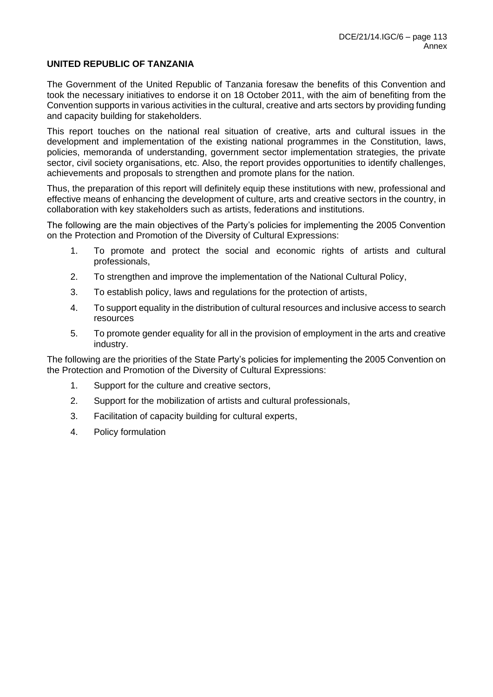## **UNITED REPUBLIC OF TANZANIA**

The Government of the United Republic of Tanzania foresaw the benefits of this Convention and took the necessary initiatives to endorse it on 18 October 2011, with the aim of benefiting from the Convention supports in various activities in the cultural, creative and arts sectors by providing funding and capacity building for stakeholders.

This report touches on the national real situation of creative, arts and cultural issues in the development and implementation of the existing national programmes in the Constitution, laws, policies, memoranda of understanding, government sector implementation strategies, the private sector, civil society organisations, etc. Also, the report provides opportunities to identify challenges, achievements and proposals to strengthen and promote plans for the nation.

Thus, the preparation of this report will definitely equip these institutions with new, professional and effective means of enhancing the development of culture, arts and creative sectors in the country, in collaboration with key stakeholders such as artists, federations and institutions.

The following are the main objectives of the Party's policies for implementing the 2005 Convention on the Protection and Promotion of the Diversity of Cultural Expressions:

- 1. To promote and protect the social and economic rights of artists and cultural professionals,
- 2. To strengthen and improve the implementation of the National Cultural Policy,
- 3. To establish policy, laws and regulations for the protection of artists,
- 4. To support equality in the distribution of cultural resources and inclusive access to search resources
- 5. To promote gender equality for all in the provision of employment in the arts and creative industry.

The following are the priorities of the State Party's policies for implementing the 2005 Convention on the Protection and Promotion of the Diversity of Cultural Expressions:

- 1. Support for the culture and creative sectors,
- 2. Support for the mobilization of artists and cultural professionals,
- 3. Facilitation of capacity building for cultural experts,
- 4. Policy formulation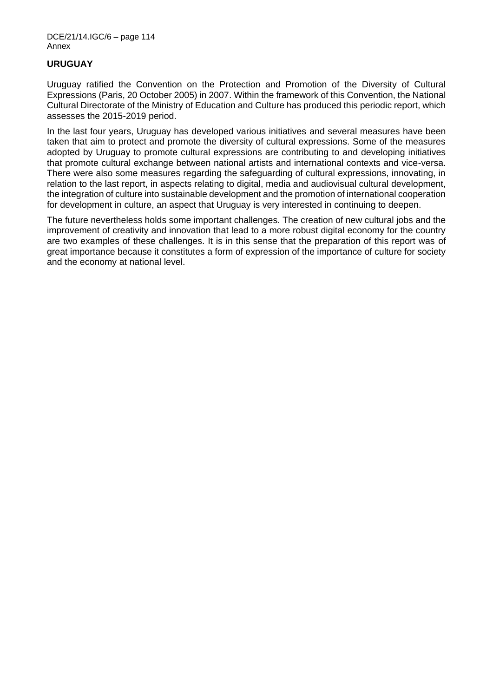## **URUGUAY**

Uruguay ratified the Convention on the Protection and Promotion of the Diversity of Cultural Expressions (Paris, 20 October 2005) in 2007. Within the framework of this Convention, the National Cultural Directorate of the Ministry of Education and Culture has produced this periodic report, which assesses the 2015-2019 period.

In the last four years, Uruguay has developed various initiatives and several measures have been taken that aim to protect and promote the diversity of cultural expressions. Some of the measures adopted by Uruguay to promote cultural expressions are contributing to and developing initiatives that promote cultural exchange between national artists and international contexts and vice-versa. There were also some measures regarding the safeguarding of cultural expressions, innovating, in relation to the last report, in aspects relating to digital, media and audiovisual cultural development, the integration of culture into sustainable development and the promotion of international cooperation for development in culture, an aspect that Uruguay is very interested in continuing to deepen.

The future nevertheless holds some important challenges. The creation of new cultural jobs and the improvement of creativity and innovation that lead to a more robust digital economy for the country are two examples of these challenges. It is in this sense that the preparation of this report was of great importance because it constitutes a form of expression of the importance of culture for society and the economy at national level.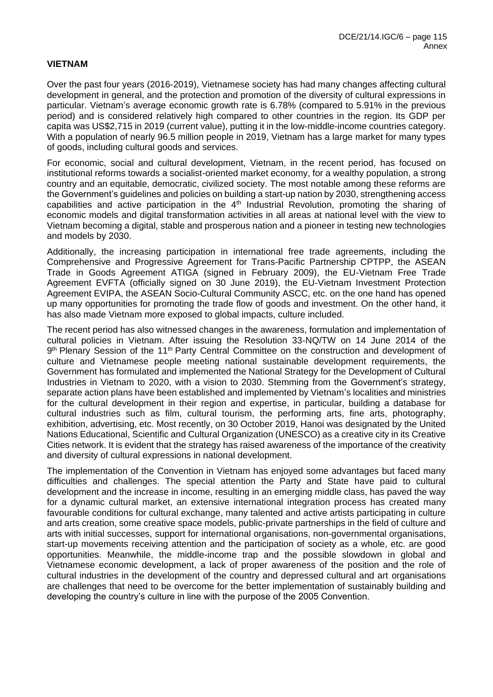## **VIETNAM**

Over the past four years (2016-2019), Vietnamese society has had many changes affecting cultural development in general, and the protection and promotion of the diversity of cultural expressions in particular. Vietnam's average economic growth rate is 6.78% (compared to 5.91% in the previous period) and is considered relatively high compared to other countries in the region. Its GDP per capita was US\$2,715 in 2019 (current value), putting it in the low-middle-income countries category. With a population of nearly 96.5 million people in 2019, Vietnam has a large market for many types of goods, including cultural goods and services.

For economic, social and cultural development, Vietnam, in the recent period, has focused on institutional reforms towards a socialist-oriented market economy, for a wealthy population, a strong country and an equitable, democratic, civilized society. The most notable among these reforms are the Government's guidelines and policies on building a start-up nation by 2030, strengthening access capabilities and active participation in the 4<sup>th</sup> Industrial Revolution, promoting the sharing of economic models and digital transformation activities in all areas at national level with the view to Vietnam becoming a digital, stable and prosperous nation and a pioneer in testing new technologies and models by 2030.

Additionally, the increasing participation in international free trade agreements, including the Comprehensive and Progressive Agreement for Trans-Pacific Partnership CPTPP, the ASEAN Trade in Goods Agreement ATIGA (signed in February 2009), the EU-Vietnam Free Trade Agreement EVFTA (officially signed on 30 June 2019), the EU-Vietnam Investment Protection Agreement EVIPA, the ASEAN Socio-Cultural Community ASCC, etc. on the one hand has opened up many opportunities for promoting the trade flow of goods and investment. On the other hand, it has also made Vietnam more exposed to global impacts, culture included.

The recent period has also witnessed changes in the awareness, formulation and implementation of cultural policies in Vietnam. After issuing the Resolution 33-NQ/TW on 14 June 2014 of the 9<sup>th</sup> Plenary Session of the 11<sup>th</sup> Party Central Committee on the construction and development of culture and Vietnamese people meeting national sustainable development requirements, the Government has formulated and implemented the National Strategy for the Development of Cultural Industries in Vietnam to 2020, with a vision to 2030. Stemming from the Government's strategy, separate action plans have been established and implemented by Vietnam's localities and ministries for the cultural development in their region and expertise, in particular, building a database for cultural industries such as film, cultural tourism, the performing arts, fine arts, photography, exhibition, advertising, etc. Most recently, on 30 October 2019, Hanoi was designated by the United Nations Educational, Scientific and Cultural Organization (UNESCO) as a creative city in its Creative Cities network. It is evident that the strategy has raised awareness of the importance of the creativity and diversity of cultural expressions in national development.

The implementation of the Convention in Vietnam has enjoyed some advantages but faced many difficulties and challenges. The special attention the Party and State have paid to cultural development and the increase in income, resulting in an emerging middle class, has paved the way for a dynamic cultural market, an extensive international integration process has created many favourable conditions for cultural exchange, many talented and active artists participating in culture and arts creation, some creative space models, public-private partnerships in the field of culture and arts with initial successes, support for international organisations, non-governmental organisations, start-up movements receiving attention and the participation of society as a whole, etc. are good opportunities. Meanwhile, the middle-income trap and the possible slowdown in global and Vietnamese economic development, a lack of proper awareness of the position and the role of cultural industries in the development of the country and depressed cultural and art organisations are challenges that need to be overcome for the better implementation of sustainably building and developing the country's culture in line with the purpose of the 2005 Convention.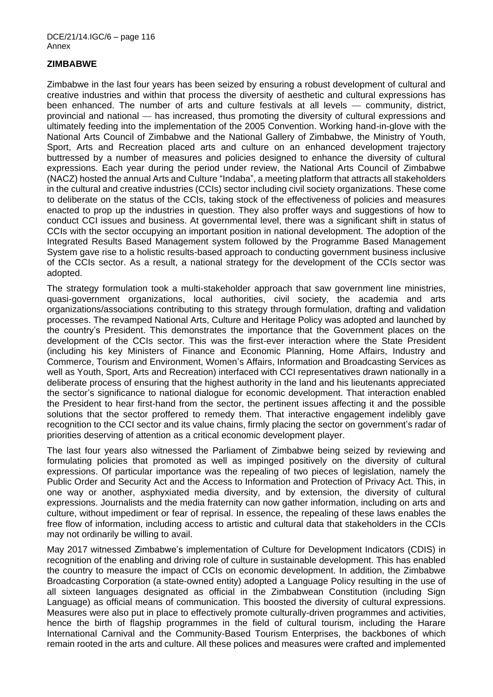# **ZIMBABWE**

Zimbabwe in the last four years has been seized by ensuring a robust development of cultural and creative industries and within that process the diversity of aesthetic and cultural expressions has been enhanced. The number of arts and culture festivals at all levels — community, district, provincial and national — has increased, thus promoting the diversity of cultural expressions and ultimately feeding into the implementation of the 2005 Convention. Working hand-in-glove with the National Arts Council of Zimbabwe and the National Gallery of Zimbabwe, the Ministry of Youth, Sport, Arts and Recreation placed arts and culture on an enhanced development trajectory buttressed by a number of measures and policies designed to enhance the diversity of cultural expressions. Each year during the period under review, the National Arts Council of Zimbabwe (NACZ) hosted the annual Arts and Culture "Indaba", a meeting platform that attracts all stakeholders in the cultural and creative industries (CCIs) sector including civil society organizations. These come to deliberate on the status of the CCIs, taking stock of the effectiveness of policies and measures enacted to prop up the industries in question. They also proffer ways and suggestions of how to conduct CCI issues and business. At governmental level, there was a significant shift in status of CCIs with the sector occupying an important position in national development. The adoption of the Integrated Results Based Management system followed by the Programme Based Management System gave rise to a holistic results-based approach to conducting government business inclusive of the CCIs sector. As a result, a national strategy for the development of the CCIs sector was adopted.

The strategy formulation took a multi-stakeholder approach that saw government line ministries, quasi-government organizations, local authorities, civil society, the academia and arts organizations/associations contributing to this strategy through formulation, drafting and validation processes. The revamped National Arts, Culture and Heritage Policy was adopted and launched by the country's President. This demonstrates the importance that the Government places on the development of the CCIs sector. This was the first-ever interaction where the State President (including his key Ministers of Finance and Economic Planning, Home Affairs, Industry and Commerce, Tourism and Environment, Women's Affairs, Information and Broadcasting Services as well as Youth, Sport, Arts and Recreation) interfaced with CCI representatives drawn nationally in a deliberate process of ensuring that the highest authority in the land and his lieutenants appreciated the sector's significance to national dialogue for economic development. That interaction enabled the President to hear first-hand from the sector, the pertinent issues affecting it and the possible solutions that the sector proffered to remedy them. That interactive engagement indelibly gave recognition to the CCI sector and its value chains, firmly placing the sector on government's radar of priorities deserving of attention as a critical economic development player.

The last four years also witnessed the Parliament of Zimbabwe being seized by reviewing and formulating policies that promoted as well as impinged positively on the diversity of cultural expressions. Of particular importance was the repealing of two pieces of legislation, namely the Public Order and Security Act and the Access to Information and Protection of Privacy Act. This, in one way or another, asphyxiated media diversity, and by extension, the diversity of cultural expressions. Journalists and the media fraternity can now gather information, including on arts and culture, without impediment or fear of reprisal. In essence, the repealing of these laws enables the free flow of information, including access to artistic and cultural data that stakeholders in the CCIs may not ordinarily be willing to avail.

May 2017 witnessed Zimbabwe's implementation of Culture for Development Indicators (CDIS) in recognition of the enabling and driving role of culture in sustainable development. This has enabled the country to measure the impact of CCIs on economic development. In addition, the Zimbabwe Broadcasting Corporation (a state-owned entity) adopted a Language Policy resulting in the use of all sixteen languages designated as official in the Zimbabwean Constitution (including Sign Language) as official means of communication. This boosted the diversity of cultural expressions. Measures were also put in place to effectively promote culturally-driven programmes and activities, hence the birth of flagship programmes in the field of cultural tourism, including the Harare International Carnival and the Community-Based Tourism Enterprises, the backbones of which remain rooted in the arts and culture. All these polices and measures were crafted and implemented